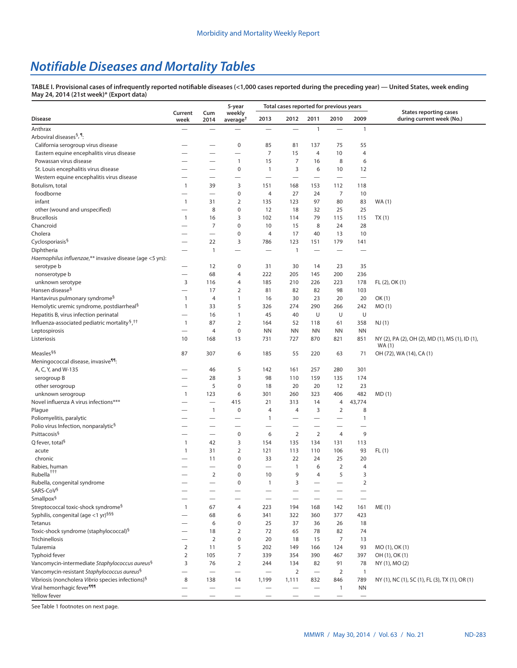# *Notifiable Diseases and Mortality Tables*

**TABLE I. Provisional cases of infrequently reported notifiable diseases (<1,000 cases reported during the preceding year) — United States, week ending May 24, 2014 (21st week)\* [\(Export data\)](https://data.cdc.gov/NNDSS/NNDSS-Table-I-infrequently-reported-notifiable-dis/wcwi-x3uk)**

|                                                                       |                          |                          | 5-year                         |                          | Total cases reported for previous years |                          |                          |                          |                                                            |
|-----------------------------------------------------------------------|--------------------------|--------------------------|--------------------------------|--------------------------|-----------------------------------------|--------------------------|--------------------------|--------------------------|------------------------------------------------------------|
| <b>Disease</b>                                                        | Current<br>week          | Cum<br>2014              | weekly<br>average <sup>†</sup> | 2013                     | 2012                                    | 2011                     | 2010                     | 2009                     | <b>States reporting cases</b><br>during current week (No.) |
| Anthrax                                                               |                          |                          | —                              | —                        |                                         | $\mathbf{1}$             |                          | $\mathbf{1}$             |                                                            |
| Arboviral diseases <sup>§, ¶</sup> :                                  |                          |                          |                                |                          |                                         |                          |                          |                          |                                                            |
| California serogroup virus disease                                    |                          |                          | $\mathbf 0$                    | 85                       | 81                                      | 137                      | 75                       | 55                       |                                                            |
| Eastern equine encephalitis virus disease                             |                          |                          | $\overline{\phantom{0}}$       | $\overline{7}$           | 15                                      | 4                        | 10                       | $\overline{4}$           |                                                            |
| Powassan virus disease                                                |                          |                          | $\mathbf{1}$                   | 15                       | 7                                       | 16                       | 8                        | 6                        |                                                            |
| St. Louis encephalitis virus disease                                  |                          |                          | $\mathbf 0$                    | 1                        | 3                                       | 6                        | 10                       | 12                       |                                                            |
| Western equine encephalitis virus disease                             |                          |                          | —                              | $\overline{\phantom{0}}$ | $\overline{\phantom{0}}$                | $\overline{\phantom{0}}$ | $\overline{\phantom{0}}$ | $\overline{\phantom{0}}$ |                                                            |
| Botulism, total                                                       | $\overline{1}$           | 39                       | 3                              | 151                      | 168                                     | 153                      | 112                      | 118                      |                                                            |
| foodborne                                                             | —                        |                          | $\mathbf 0$                    | 4                        | 27                                      | 24                       | $\overline{7}$           | 10                       |                                                            |
| infant                                                                | $\overline{1}$           | 31                       | $\overline{2}$                 | 135                      | 123                                     | 97                       | 80                       | 83                       | WA (1)                                                     |
| other (wound and unspecified)                                         |                          | 8                        | 0                              | 12                       | 18                                      | 32                       | 25                       | 25                       |                                                            |
| <b>Brucellosis</b>                                                    | $\overline{1}$           | 16                       | 3                              | 102                      | 114                                     | 79                       | 115                      | 115                      | TX(1)                                                      |
| Chancroid                                                             | $\overline{\phantom{0}}$ | 7                        | $\mathbf 0$                    | 10                       | 15                                      | 8                        | 24                       | 28                       |                                                            |
| Cholera                                                               |                          |                          | $\mathbf 0$                    | 4                        | 17                                      | 40                       | 13                       | 10                       |                                                            |
| Cyclosporiasis <sup>§</sup>                                           |                          | 22                       | 3                              | 786                      | 123                                     | 151                      | 179                      | 141                      |                                                            |
| Diphtheria                                                            |                          | $\mathbf{1}$             |                                |                          | $\overline{1}$                          |                          |                          |                          |                                                            |
| Haemophilus influenzae,** invasive disease (age <5 yrs):              |                          |                          |                                |                          |                                         |                          |                          |                          |                                                            |
| serotype b                                                            |                          | 12                       | 0                              | 31                       | 30                                      | 14                       | 23                       | 35                       |                                                            |
| nonserotype b                                                         |                          | 68                       | 4                              | 222                      | 205                                     | 145                      | 200                      | 236                      |                                                            |
| unknown serotype                                                      | 3                        | 116                      | 4                              | 185                      | 210                                     | 226                      | 223                      | 178                      | FL (2), OK (1)                                             |
| Hansen disease <sup>§</sup>                                           |                          | 17                       | $\overline{2}$                 | 81                       | 82                                      | 82                       | 98                       | 103                      |                                                            |
| Hantavirus pulmonary syndrome <sup>§</sup>                            | $\mathbf{1}$             | 4                        | $\mathbf{1}$                   | 16                       | 30                                      | 23                       | 20                       | 20                       | OK(1)                                                      |
| Hemolytic uremic syndrome, postdiarrheal <sup>§</sup>                 | $\overline{1}$           | 33                       | 5                              | 326                      | 274                                     | 290                      | 266                      | 242                      | MO(1)                                                      |
| Hepatitis B, virus infection perinatal                                | —                        | 16                       | $\mathbf{1}$                   | 45                       | 40                                      | U                        | U                        | U                        |                                                            |
| Influenza-associated pediatric mortality <sup>§</sup> , <sup>††</sup> | $\overline{1}$           | 87                       | $\overline{2}$                 | 164                      | 52                                      | 118                      | 61                       | 358                      | NJ(1)                                                      |
| Leptospirosis                                                         | $\overline{\phantom{0}}$ | 4                        | $\mathbf 0$                    | <b>NN</b>                | <b>NN</b>                               | <b>NN</b>                | <b>NN</b>                | <b>NN</b>                |                                                            |
| Listeriosis                                                           | 10                       | 168                      | 13                             | 731                      | 727                                     | 870                      | 821                      | 851                      | NY (2), PA (2), OH (2), MD (1), MS (1), ID (1),            |
| Measles <sup>§§</sup>                                                 | 87                       | 307                      | 6                              | 185                      | 55                                      | 220                      | 63                       | 71                       | WA (1)<br>OH (72), WA (14), CA (1)                         |
| Meningococcal disease, invasive <sup>99</sup> :                       |                          |                          |                                |                          |                                         |                          |                          |                          |                                                            |
| A, C, Y, and W-135                                                    |                          | 46                       | 5                              | 142                      | 161                                     | 257                      | 280                      | 301                      |                                                            |
| serogroup B                                                           |                          | 28                       | 3                              | 98                       | 110                                     | 159                      | 135                      | 174                      |                                                            |
| other serogroup                                                       |                          | 5                        | $\pmb{0}$                      | 18                       | 20                                      | 20                       | 12                       | 23                       |                                                            |
| unknown serogroup                                                     | $\overline{1}$           | 123                      | 6                              | 301                      | 260                                     | 323                      | 406                      | 482                      | MD(1)                                                      |
| Novel influenza A virus infections***                                 |                          | $\overline{\phantom{0}}$ | 415                            | 21                       | 313                                     | 14                       | 4                        | 43,774                   |                                                            |
| Plague                                                                |                          | $\mathbf{1}$             | $\mathbf 0$                    | $\overline{4}$           | $\overline{4}$                          | 3                        | 2                        | 8                        |                                                            |
| Poliomyelitis, paralytic                                              |                          |                          | -                              | 1                        |                                         |                          |                          | $\mathbf{1}$             |                                                            |
| Polio virus Infection, nonparalytic <sup>§</sup>                      |                          | $\overline{\phantom{0}}$ | $\overline{\phantom{0}}$       |                          | $\overline{\phantom{0}}$                |                          |                          |                          |                                                            |
| Psittacosis <sup>§</sup>                                              | $\overline{\phantom{0}}$ |                          | $\mathbf 0$                    | 6                        | 2                                       | $\overline{2}$           | $\overline{4}$           | 9                        |                                                            |
| Q fever, total <sup>§</sup>                                           | $\mathbf{1}$             | 42                       | 3                              | 154                      | 135                                     | 134                      | 131                      | 113                      |                                                            |
| acute                                                                 | $\mathbf{1}$             | 31                       | 2                              | 121                      | 113                                     | 110                      | 106                      | 93                       | FL(1)                                                      |
| chronic                                                               |                          | 11                       | 0                              | 33                       | 22                                      | 24                       | 25                       | 20                       |                                                            |
| Rabies, human                                                         |                          | $\overline{\phantom{0}}$ | $\mathbf 0$                    |                          | $\overline{1}$                          | 6                        | $\overline{2}$           | 4                        |                                                            |
| Rubella <sup>†††</sup>                                                |                          | $\overline{2}$           | $\Omega$                       | 10                       | 9                                       | 4                        | 5                        | 3                        |                                                            |
| Rubella, congenital syndrome                                          |                          |                          | 0                              | $\mathbf{1}$             | 3                                       |                          |                          | $\overline{2}$           |                                                            |
| SARS-CoV <sup>§</sup>                                                 |                          |                          |                                |                          |                                         |                          |                          |                          |                                                            |
| Smallpox <sup>§</sup>                                                 |                          |                          | -                              |                          |                                         | -                        |                          |                          |                                                            |
| Streptococcal toxic-shock syndrome <sup>§</sup>                       | $\overline{1}$           | 67                       | 4                              | 223                      | 194                                     | 168                      | 142                      | 161                      | ME(1)                                                      |
| Syphilis, congenital (age <1 yr) <sup>§§§</sup>                       |                          | 68                       | 6                              | 341                      | 322                                     | 360                      | 377                      | 423                      |                                                            |
| Tetanus                                                               |                          | 6                        | 0                              | 25                       | 37                                      | 36                       | 26                       | 18                       |                                                            |
| Toxic-shock syndrome (staphylococcal) <sup>§</sup>                    |                          | 18                       | 2                              | 72                       | 65                                      | 78                       | 82                       | 74                       |                                                            |
| Trichinellosis                                                        | $\overline{\phantom{0}}$ | $\overline{2}$           | 0                              | 20                       | 18                                      | 15                       | 7                        | 13                       |                                                            |
| Tularemia                                                             | $\overline{2}$           | 11                       | 5                              | 202                      | 149                                     | 166                      | 124                      | 93                       | MO (1), OK (1)                                             |
| Typhoid fever                                                         | $\overline{2}$           | 105                      | $\overline{7}$                 | 339                      | 354                                     | 390                      | 467                      | 397                      | OH (1), OK (1)                                             |
| Vancomycin-intermediate Staphylococcus aureus <sup>§</sup>            | 3                        | 76                       | $\overline{2}$                 | 244                      | 134                                     | 82                       | 91                       | 78                       | NY (1), MO (2)                                             |
| Vancomycin-resistant Staphylococcus aureus <sup>§</sup>               |                          |                          |                                |                          | $\overline{2}$                          |                          | $\overline{2}$           | $\mathbf{1}$             |                                                            |
| Vibriosis (noncholera Vibrio species infections) <sup>§</sup>         | 8                        | 138                      | 14                             | 1,199                    | 1,111                                   | 832                      | 846                      | 789                      | NY (1), NC (1), SC (1), FL (3), TX (1), OR (1)             |
| Viral hemorrhagic fever <sup>999</sup>                                |                          |                          | -                              |                          |                                         |                          | $\mathbf{1}$             | <b>NN</b>                |                                                            |
| Yellow fever                                                          |                          |                          |                                |                          |                                         |                          |                          |                          |                                                            |

See Table 1 footnotes on next page.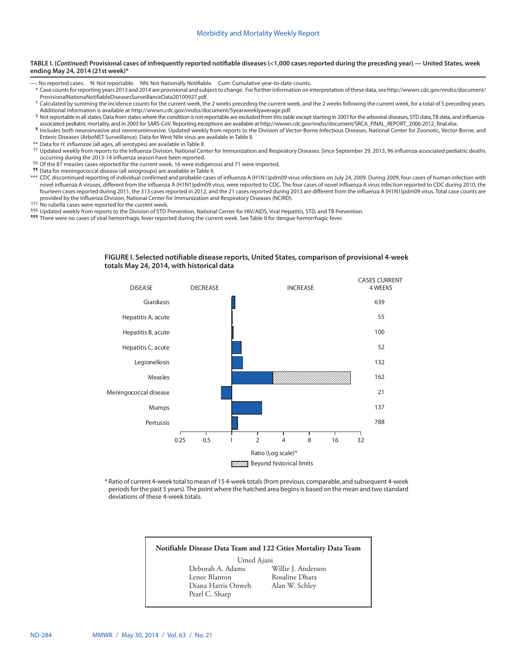#### **TABLE I. (***Continued***) Provisional cases of infrequently reported notifiable diseases (<1,000 cases reported during the preceding year) — United States, week ending May 24, 2014 (21st week)\***

- —: No reported cases. N: Not reportable. NN: Not Nationally Notifiable. Cum: Cumulative year-to-date counts.
- \* Case counts for reporting years 2013 and 2014 are provisional and subject to change. For further information on interpretation of these data, see [http://wwwn.cdc.gov/nndss/document/](http://wwwn.cdc.gov/nndss/document/ProvisionalNationaNotifiableDiseasesSurveillanceData20100927.pdf)
- [ProvisionalNationaNotifiableDiseasesSurveillanceData20100927.pdf.](http://wwwn.cdc.gov/nndss/document/ProvisionalNationaNotifiableDiseasesSurveillanceData20100927.pdf)<br><sup>†</sup> Calculated by summing the incidence counts for the current week, the 2 weeks preceding the current week, and the 2 weeks following the current week, for
- Additional information is available at <http://wwwn.cdc.gov/nndss/document/5yearweeklyaverage.pdf>.<br><sup>§</sup> Not reportable in all states. Data from states where the condition is not reportable are excluded from this table except
- Il ncludes both neuroinvasive and nonneuroinvasive. Updated weekly from reports to the Division of Vector-Borne Infectious Diseases, National Center for Zoonotic, Vector-Borne, and Enteric Diseases (ArboNET Surveillance). Data for West Nile virus are available in Table II.
- \*\* Data for *H. influenzae* (all ages, all serotypes) are available in Table II.
- †† Updated weekly from reports to the Influenza Division, National Center for Immunization and Respiratory Diseases. Since September 29, 2013, 96 influenza-associated pediatric deaths
- §§ Of the 87 measles cases reported for the current week, 16 were indigenous and 71 were imported.
- ¶¶ Data for meningococcal disease (all serogroups) are available in Table II.
- \*\*\* CDC discontinued reporting of individual confirmed and probable cases of influenza A (H1N1)pdm09 virus infections on July 24, 2009. During 2009, four cases of human infection with novel influenza A viruses, different from the influenza A (H1N1)pdm09 virus, were reported to CDC. The four cases of novel influenza A virus infection reported to CDC during 2010, the fourteen cases reported during 2011, the 313 cases reported in 2012, and the 21 cases reported during 2013 are different from the influenza A (H1N1)pdm09 virus. Total case counts are provided by the Influenza Division, National Center for Immunization and Respiratory Diseases (NCIRD).<br>
<sup>†††</sup> No rubella cases were reported for the current week.
- 
- §§§ Updated weekly from reports to the Division of STD Prevention, National Center for HIV/AIDS, Viral Hepatitis, STD, and TB Prevention.
- 111 There were no cases of viral hemorrhagic fever reported during the current week. See Table II for dengue hemorrhagic fever.

## **FIGURE I. Selected notifiable disease reports, United States, comparison of provisional 4-week totals May 24, 2014, with historical data**



\* Ratio of current 4-week total to mean of 15 4-week totals (from previous, comparable, and subsequent 4-week periods for the past 5 years). The point where the hatched area begins is based on the mean and two standard deviations of these 4-week totals.

### **Notifiable Disease Data Team and 122 Cities Mortality Data Team**

Umed Ajani<br>Peborah A. Adams Deborah A. Adams Willie J. Anderson Diana Harris Onweh Alan W. Schley Pearl C. Sharp

Rosaline Dhara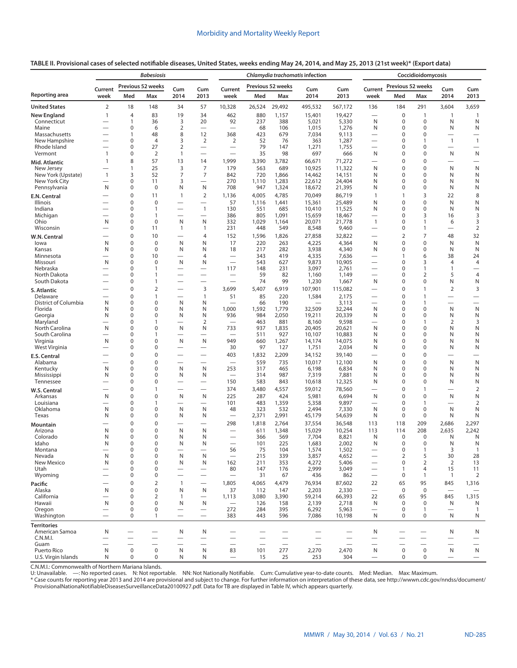|                                            |                               |                                         | <b>Babesiosis</b>                   |                               |                                                 |                                                              |                          |                                 | Chlamydia trachomatis infection |                   |                                       |                            | Coccidioidomycosis         |                                                   |                                            |
|--------------------------------------------|-------------------------------|-----------------------------------------|-------------------------------------|-------------------------------|-------------------------------------------------|--------------------------------------------------------------|--------------------------|---------------------------------|---------------------------------|-------------------|---------------------------------------|----------------------------|----------------------------|---------------------------------------------------|--------------------------------------------|
| Reporting area                             | Current                       |                                         | Previous 52 weeks                   | Cum                           | Cum                                             | Current                                                      |                          | Previous 52 weeks               | Cum                             | Cum               | Current                               | Previous 52 weeks          |                            | Cum                                               | Cum                                        |
|                                            | week                          | Med                                     | Max                                 | 2014                          | 2013                                            | week                                                         | Med                      | Max                             | 2014                            | 2013              | week                                  | Med                        | Max                        | 2014                                              | 2013                                       |
| <b>United States</b><br><b>New England</b> | 2<br>$\mathbf{1}$             | 18<br>$\overline{4}$                    | 148<br>83                           | 34<br>19                      | 57<br>34                                        | 10,328<br>462                                                | 26,524<br>880            | 29,492<br>1,157                 | 495,532<br>15,401               | 567,172<br>19,427 | 136                                   | 184<br>0                   | 291<br>$\mathbf{1}$        | 3,604<br>$\mathbf{1}$                             | 3,659<br>$\overline{1}$                    |
| Connecticut                                |                               | $\mathbf{1}$                            | 36                                  | 3                             | 20                                              | 92                                                           | 237                      | 388                             | 5,021                           | 5,330             | N                                     | 0                          | 0                          | N                                                 | N                                          |
| Maine                                      | $\overline{\phantom{0}}$      | 0<br>$\mathbf{1}$                       | 6                                   | 2<br>8                        | $\overbrace{\phantom{1232211}}$                 | $\overline{\phantom{0}}$                                     | 68                       | 106                             | 1,015                           | 1,276             | N<br>$\overline{\phantom{0}}$         | 0<br>0                     | $\mathbf 0$<br>0           | N<br>$\overline{\phantom{0}}$                     | N<br>$\overline{\phantom{0}}$              |
| Massachusetts<br>New Hampshire             |                               | 0                                       | 48<br>$\overline{4}$                | 3                             | 12<br>2                                         | 368<br>2                                                     | 423<br>52                | 679<br>76                       | 7,034<br>363                    | 9,113<br>1,287    | -                                     | 0                          | 1                          | $\mathbf{1}$                                      | $\mathbf{1}$                               |
| Rhode Island                               |                               | 0                                       | 27                                  | 2                             | $\overline{\phantom{0}}$                        | $\overbrace{\phantom{12322111}}$                             | 79                       | 147                             | 1,271                           | 1,755             | $\overline{\phantom{0}}$              | 0                          | 0                          |                                                   | $\overline{\phantom{0}}$                   |
| Vermont                                    | $\mathbf{1}$<br>$\mathbf{1}$  | 0<br>8                                  | $\overline{2}$<br>57                | $\mathbf{1}$<br>13            | $\overline{\phantom{0}}$                        | 1,999                                                        | 35                       | 98                              | 697                             | 666               | N                                     | 0<br>$\mathbf 0$           | $\Omega$<br>$\mathbf 0$    | N                                                 | N                                          |
| Mid. Atlantic<br>New Jersey                |                               | $\mathbf{1}$                            | 25                                  | 3                             | 14<br>$\overline{7}$                            | 179                                                          | 3,390<br>563             | 3,782<br>689                    | 66,671<br>10,925                | 71,272<br>11,322  | $\overline{\phantom{0}}$<br>N         | $\mathbf 0$                | $\mathbf{0}$               | N                                                 | $\overline{\phantom{0}}$<br>N              |
| New York (Upstate)                         | $\mathbf{1}$                  | 3                                       | 52                                  | 7                             | 7                                               | 842                                                          | 720                      | 1,866                           | 14,462                          | 14,151            | Ν                                     | 0                          | $\mathbf 0$                | N                                                 | N                                          |
| New York City<br>Pennsylvania              | N                             | 0<br>0                                  | 11<br>$\mathbf 0$                   | 3<br>Ν                        | N                                               | 270<br>708                                                   | 1,110<br>947             | 1,283<br>1,324                  | 22,612<br>18,672                | 24,404<br>21,395  | N<br>Ν                                | 0<br>0                     | $\mathbf 0$<br>$\mathbf 0$ | N<br>N                                            | N<br>N                                     |
| E.N. Central                               |                               | $\mathbf 0$                             | 11                                  | $\mathbf{1}$                  | $\overline{2}$                                  | 1,136                                                        | 4,005                    | 4,785                           | 70,049                          | 86,719            | 1                                     | $\mathbf{1}$               | 3                          | 22                                                | 8                                          |
| Illinois                                   |                               | 0                                       | 0                                   |                               | $\overline{\phantom{0}}$                        | 57                                                           | 1,116                    | 1,441                           | 15,361                          | 25,489            | N                                     | 0                          | $\mathbf 0$                | N                                                 | ${\sf N}$                                  |
| Indiana<br>Michigan                        |                               | 0<br>0                                  | 1<br>1                              | $\overline{\phantom{0}}$      | $\mathbf{1}$<br>$\overbrace{\phantom{1232211}}$ | 130<br>386                                                   | 551<br>805               | 685<br>1,091                    | 10,410<br>15,659                | 11,525<br>18,467  | N<br>$\overline{\phantom{0}}$         | 0<br>0                     | $\Omega$<br>3              | N<br>16                                           | N<br>3                                     |
| Ohio                                       | N                             | 0                                       | $\mathbf 0$                         | N                             | N                                               | 332                                                          | 1,029                    | 1,164                           | 20,071                          | 21,778            | $\mathbf{1}$                          | 0                          | 1                          | 6                                                 | 3                                          |
| Wisconsin                                  | $\overline{\phantom{0}}$      | 0                                       | 11                                  | $\mathbf{1}$                  | $\mathbf{1}$                                    | 231                                                          | 448                      | 549                             | 8,548                           | 9,460             | —                                     | 0                          | 1                          | $\overbrace{\phantom{1232211}}$                   | $\overline{2}$                             |
| W.N. Central                               |                               | $\mathbf 0$                             | 10                                  | $\overline{\phantom{0}}$      | 4                                               | 152                                                          | 1,596                    | 1,826                           | 27,858                          | 32,822            | $\overline{\phantom{0}}$              | $\overline{2}$             | $\overline{7}$             | 48                                                | 32                                         |
| lowa<br>Kansas                             | N<br>N                        | $\mathbf 0$<br>0                        | $\mathbf 0$<br>$\mathbf 0$          | N<br>Ν                        | N<br>N                                          | 17<br>18                                                     | 220<br>217               | 263<br>282                      | 4,225<br>3,938                  | 4,364<br>4,340    | N<br>N                                | $\mathbf 0$<br>$\Omega$    | $\mathbf 0$<br>$\mathbf 0$ | N<br>N                                            | $\mathsf N$<br>N                           |
| Minnesota                                  |                               | 0                                       | 10                                  |                               | 4                                               | $\overline{\phantom{0}}$                                     | 343                      | 419                             | 4,335                           | 7,636             | $\overline{\phantom{0}}$              | 1                          | 6                          | 38                                                | 24                                         |
| Missouri<br>Nebraska                       | N<br>-                        | 0<br>0                                  | 0<br>1                              | N<br>$\overline{\phantom{0}}$ | N<br>$\overline{\phantom{0}}$                   | $\overline{\phantom{0}}$<br>117                              | 543<br>148               | 627<br>231                      | 9,873<br>3,097                  | 10,905<br>2,761   | $\overline{\phantom{0}}$              | 0<br>0                     | 3<br>1                     | $\overline{4}$<br>1                               | $\overline{4}$<br>$\overline{\phantom{0}}$ |
| North Dakota                               |                               | 0                                       | $\mathbf{1}$                        | $\overline{\phantom{0}}$      | $\overline{\phantom{0}}$                        |                                                              | 59                       | 82                              | 1,160                           | 1,149             | $\overline{\phantom{0}}$              | 0                          | $\overline{2}$             | 5                                                 | $\overline{4}$                             |
| South Dakota                               |                               | 0                                       | 1                                   | $\overline{\phantom{0}}$      | $\overline{\phantom{0}}$                        | $\overbrace{\phantom{12322111}}$                             | 74                       | 99                              | 1,230                           | 1,667             | N                                     | 0                          | 0                          | N                                                 | N                                          |
| S. Atlantic<br>Delaware                    |                               | $\mathbf 0$<br>$\mathbf 0$              | $\overline{2}$<br>$\mathbf{1}$      | $\overline{\phantom{0}}$      | 3<br>$\mathbf{1}$                               | 3,699<br>51                                                  | 5,407<br>85              | 6,919<br>220                    | 107,901<br>1,584                | 115,082<br>2,175  | —                                     | $\mathbf 0$<br>$\mathbf 0$ | 1<br>1                     | $\overline{2}$<br>$\overbrace{\phantom{1232211}}$ | 3<br>$\overline{\phantom{0}}$              |
| District of Columbia                       | Ν                             | $\mathbf 0$                             | 0                                   | N                             | N                                               |                                                              | 66                       | 190                             |                                 | 3,113             | $\overline{\phantom{0}}$              | 0                          | 1                          |                                                   | $\overline{\phantom{0}}$                   |
| Florida                                    | Ν                             | 0                                       | 0                                   | Ν                             | N                                               | 1,000                                                        | 1,592                    | 1,779                           | 32,509                          | 32,244            | N                                     | 0                          | 0                          | N                                                 | N                                          |
| Georgia<br>Maryland                        | N<br>$\overline{\phantom{0}}$ | 0<br>0                                  | 0<br>1                              | Ν                             | N<br>2                                          | 936                                                          | 984<br>463               | 2,050<br>881                    | 19,211<br>8,160                 | 20,339<br>9,598   | N                                     | 0<br>0                     | 0<br>1                     | N<br>2                                            | N<br>3                                     |
| North Carolina                             | N                             | 0                                       | 0                                   | Ν                             | N                                               | 733                                                          | 937                      | 1,835                           | 20,405                          | 20,621            | N                                     | 0                          | $\mathbf 0$                | N                                                 | N                                          |
| South Carolina<br>Virginia                 | $\overline{\phantom{0}}$<br>N | 0<br>0                                  | $\mathbf{1}$<br>0                   | $\overline{\phantom{0}}$<br>N | $\overline{\phantom{0}}$<br>N                   | $\overline{\phantom{0}}$<br>949                              | 511<br>660               | 927<br>1,267                    | 10,107<br>14,174                | 10,883<br>14,075  | N<br>N                                | 0<br>0                     | 0<br>$\mathbf 0$           | N<br>N                                            | N<br>N                                     |
| West Virginia                              |                               | $\mathbf 0$                             | 0                                   |                               | $\overline{\phantom{0}}$                        | 30                                                           | 97                       | 127                             | 1,751                           | 2,034             | N                                     | $\mathbf 0$                | $\mathbf 0$                | N                                                 | N                                          |
| E.S. Central                               |                               | $\mathbf 0$                             | 0                                   |                               |                                                 | 403                                                          | 1,832                    | 2,209                           | 34,152                          | 39,140            | $\overline{\phantom{0}}$              | $\mathbf 0$                | $\mathbf 0$                | $\overline{\phantom{0}}$                          | $\overline{\phantom{0}}$                   |
| Alabama<br>Kentucky                        | N                             | $\mathbf 0$<br>0                        | 0<br>0                              | N                             | N                                               | $\overline{\phantom{0}}$<br>253                              | 559<br>317               | 735<br>465                      | 10,017<br>6,198                 | 12,100<br>6,834   | N<br>N                                | $\mathbf 0$<br>0           | $\pmb{0}$<br>$\mathbf 0$   | N<br>N                                            | N<br>N                                     |
| Mississippi                                | N                             | 0                                       | 0                                   | Ν                             | N                                               | $\overline{\phantom{0}}$                                     | 314                      | 987                             | 7,319                           | 7,881             | N                                     | 0                          | 0                          | N                                                 | N                                          |
| Tennessee                                  | -                             | $\mathbf 0$                             | 0                                   |                               | $\overline{\phantom{0}}$                        | 150                                                          | 583                      | 843                             | 10,618                          | 12,325            | N                                     | $\mathbf 0$                | $\mathbf 0$                | N                                                 | N                                          |
| W.S. Central<br>Arkansas                   | N                             | $\mathbf 0$<br>$\mathbf 0$              | $\mathbf{1}$<br>0                   | $\overline{\phantom{0}}$<br>N | $\overline{\phantom{0}}$<br>N                   | 374<br>225                                                   | 3,480<br>287             | 4,557<br>424                    | 59,012<br>5,981                 | 78,560<br>6,694   | N                                     | $\mathbf 0$<br>$\mathbf 0$ | 1<br>$\mathbf 0$           | N                                                 | $\overline{2}$<br>N                        |
| Louisiana                                  | $\overline{\phantom{0}}$      | 0                                       | 1                                   | $\overline{\phantom{0}}$      |                                                 | 101                                                          | 483                      | 1,359                           | 5,358                           | 9,897             | $\overline{\phantom{0}}$              | 0                          | $\mathbf{1}$               |                                                   | $\overline{2}$                             |
| Oklahoma                                   | N                             | 0                                       | 0                                   | N                             | N                                               | 48                                                           | 323                      | 532                             | 2,494                           | 7,330             | N                                     | 0                          | $\mathbf 0$                | N                                                 | N                                          |
| Texas                                      | Ν                             | $\mathbf 0$<br>0                        | 0<br>0                              | N                             | N<br>-                                          | 298                                                          | 2,371<br>1,818           | 2,991<br>2,764                  | 45,179<br>37,554                | 54,639<br>36,548  | N<br>113                              | $\mathbf 0$<br>118         | 0<br>209                   | N<br>2,686                                        | N<br>2,297                                 |
| Mountain<br>Arizona                        | Ν                             | 0                                       | 0                                   | Ν                             | N                                               | $\overline{\phantom{0}}$                                     | 611                      | 1,348                           | 15,029                          | 10,254            | 113                                   | 114                        | 208                        | 2,635                                             | 2,242                                      |
| Colorado                                   | Ν                             | 0                                       | 0                                   | N                             | N                                               |                                                              | 366                      | 569                             | 7,704                           | 8,821             | N                                     | 0                          | 0                          | N                                                 | N                                          |
| Idaho<br>Montana                           | Ν                             | 0<br>0                                  | 0<br>0                              | N                             | N                                               | $\overline{\phantom{0}}$<br>56                               | 101<br>75                | 225<br>104                      | 1,683<br>1,574                  | 2,002<br>1,502    | N                                     | 0<br>0                     | 0                          | N<br>3                                            | N                                          |
| Nevada                                     | N                             | $\mathbf 0$                             | $\mathbf 0$                         | N                             | N                                               | $\overline{\phantom{0}}$                                     | 215                      | 339                             | 3,857                           | 4,652             | $\overline{\phantom{0}}$              | $\overline{2}$             | 5                          | 30                                                | 28                                         |
| New Mexico<br>Utah                         | N                             | $\mathbf 0$<br>$\mathbf 0$              | $\mathbf 0$<br>$\mathbf 0$          | N                             | N                                               | 162<br>80                                                    | 211<br>147               | 353<br>176                      | 4,272<br>2,999                  | 5,406<br>3,049    |                                       | 0<br>1                     | $\overline{2}$<br>4        | $\overline{2}$<br>15                              | 13<br>11                                   |
| Wyoming                                    |                               | $\mathbf 0$                             | 0                                   |                               | $\overline{\phantom{0}}$                        | $\overline{\phantom{m}}$                                     | 31                       | 67                              | 436                             | 862               | $\overbrace{\phantom{123221111}}$     | 0                          | $\mathbf{1}$               | $\overline{1}$                                    | 2                                          |
| Pacific                                    |                               | $\mathbf 0$                             | $\overline{2}$                      | $\mathbf{1}$                  | $\overbrace{\phantom{123221111}}$               | 1,805                                                        | 4,065                    | 4,479                           | 76,934                          | 87,602            | 22                                    | 65                         | 95                         | 845                                               | 1,316                                      |
| Alaska<br>California                       | N                             | $\mathbf 0$<br>$\mathbf 0$              | $\mathbf 0$<br>$\overline{2}$       | N<br>$\mathbf{1}$             | N<br>$\overbrace{\phantom{123221111}}$          | 37<br>1,113                                                  | 112<br>3,080             | 147<br>3,390                    | 2,203<br>59,214                 | 2,330<br>66,393   | $\overbrace{\phantom{1232211}}$<br>22 | $\mathbf 0$<br>65          | $\mathbf 0$<br>95          | $\overline{\phantom{0}}$<br>845                   | 1,315                                      |
| Hawaii                                     | N                             | $\mathbf 0$                             | $\mathbf 0$                         | N                             | Ν                                               |                                                              | 126                      | 158                             | 2,139                           | 2,718             | N                                     | $\mathbf 0$                | 0                          | N                                                 | N                                          |
| Oregon                                     | $\overline{\phantom{0}}$      | $\mathbf 0$                             | $\mathbf 0$                         |                               |                                                 | 272                                                          | 284                      | 395                             | 6,292                           | 5,963             | $\overline{\phantom{0}}$              | $\mathbf 0$                | $\mathbf{1}$               |                                                   | 1                                          |
| Washington                                 | $\overline{\phantom{0}}$      | $\mathbf 0$                             | $\mathbf{1}$                        |                               |                                                 | 383                                                          | 443                      | 596                             | 7,086                           | 10,198            | N                                     | $\Omega$                   | $\mathbf 0$                | N                                                 | N                                          |
| <b>Territories</b><br>American Samoa       | N                             |                                         |                                     | Ν                             | N                                               |                                                              | $\overline{\phantom{0}}$ |                                 |                                 |                   | N                                     |                            |                            | N                                                 | N                                          |
| C.N.M.I.                                   |                               |                                         |                                     | $\overline{\phantom{0}}$      | $\overline{\phantom{0}}$                        | $\overbrace{\phantom{12322111}}$<br>$\overline{\phantom{0}}$ | $\overline{\phantom{0}}$ | $\overline{\phantom{0}}$        | $\overline{\phantom{0}}$        |                   |                                       |                            |                            | $\overline{\phantom{0}}$                          | $\overline{\phantom{0}}$                   |
| Guam<br>Puerto Rico                        | --<br>N                       | $\overline{\phantom{0}}$<br>$\mathbf 0$ | $\overline{\phantom{0}}$<br>$\bf 0$ | N                             | N                                               | 83                                                           | 101                      | $\overline{\phantom{0}}$<br>277 | 2,270                           | 2,470             | N                                     | $\mathbf 0$                | $\boldsymbol{0}$           | N                                                 | $\overline{\phantom{0}}$<br>N              |
| U.S. Virgin Islands                        | N                             | $\mathbf 0$                             | 0                                   | N                             | N                                               | $\overbrace{\phantom{1232211}}$                              | 15                       | 25                              | 253                             | 304               |                                       | 0                          | $\mathbf 0$                |                                                   | $\overline{\phantom{0}}$                   |

C.N.M.I.: Commonwealth of Northern Mariana Islands.<br>U: Unavailable. —: No reported cases. N: Not reportable. NN: Not Nationally Notifiable. Cum: Cumulative year-to-date counts. Med: Median. Max: Maximum.

\* Case counts for reporting year 2013 and 2014 are provisional and subject to change. For further information on interpretation of these data, see [http://wwwn.cdc.gov/nndss/document/](http://wwwn.cdc.gov/nndss/document/ProvisionalNationaNotifiableDiseasesSurveillanceData20100927.pdf) [ProvisionalNationaNotifiableDiseasesSurveillanceData20100927.pdf](http://wwwn.cdc.gov/nndss/document/ProvisionalNationaNotifiableDiseasesSurveillanceData20100927.pdf). Data for TB are displayed in Table IV, which appears quarterly.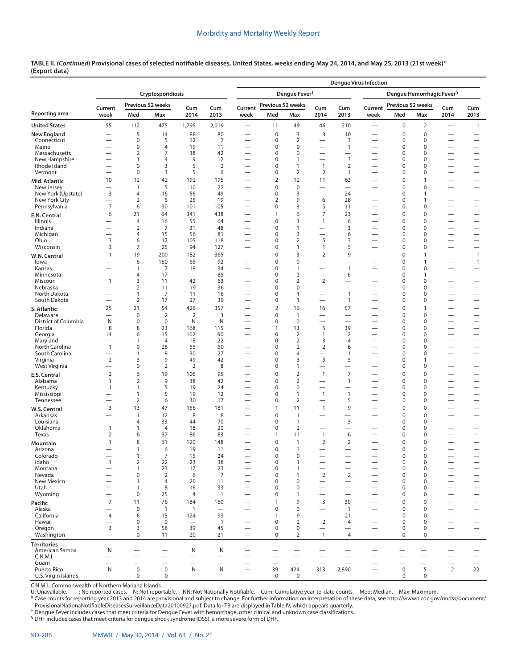**TABLE II. (***Continued***) Provisional cases of selected notifiable diseases, United States, weeks ending May 24, 2014, and May 25, 2013 (21st week)\* ([Export data](https://data.cdc.gov/NNDSS/NNDSS-Table-II-Cryptosporidiosis-to-Dengue-Hemorrh/b36e-ru3r))**

|                                      |                                            |                                       |                       |                                  |                                |                                                           |                                         |                                 |                                                      |                                          | <b>Dengue Virus Infection</b>                        |                                              |                                       |                                                              |                                                      |
|--------------------------------------|--------------------------------------------|---------------------------------------|-----------------------|----------------------------------|--------------------------------|-----------------------------------------------------------|-----------------------------------------|---------------------------------|------------------------------------------------------|------------------------------------------|------------------------------------------------------|----------------------------------------------|---------------------------------------|--------------------------------------------------------------|------------------------------------------------------|
|                                      |                                            |                                       | Cryptosporidiosis     |                                  |                                |                                                           |                                         | Dengue Fever <sup>†</sup>       |                                                      |                                          |                                                      |                                              | Dengue Hemorrhagic Fever <sup>§</sup> |                                                              |                                                      |
|                                      | Current                                    |                                       | Previous 52 weeks     | Cum                              | Cum                            | Current                                                   | Previous 52 weeks                       |                                 | Cum                                                  | Cum                                      | Current                                              | Previous 52 weeks                            |                                       | Cum                                                          | Cum                                                  |
| Reporting area                       | week                                       | Med                                   | Max                   | 2014                             | 2013                           | week                                                      | Med                                     | Max                             | 2014                                                 | 2013                                     | week                                                 | Med                                          | Max                                   | 2014                                                         | 2013                                                 |
| <b>United States</b>                 | 55                                         | 112                                   | 475                   | 1,795                            | 2,019                          | $\overline{\phantom{0}}$                                  | 11                                      | 49                              | 46                                                   | 210                                      | $\overline{\phantom{0}}$                             | 0                                            | $\overline{2}$                        |                                                              | $\mathbf{1}$                                         |
| <b>New England</b>                   | $\overline{\phantom{0}}$                   | 5                                     | 14                    | 88                               | 80                             |                                                           | $\mathbf 0$                             | 3                               | 3                                                    | 10                                       |                                                      | $\mathbf 0$                                  | $\mathbf 0$                           | $\overline{\phantom{0}}$                                     | —                                                    |
| Connecticut<br>Maine                 |                                            | $\mathbf 0$<br>$\mathbf 0$            | 5<br>$\overline{4}$   | 12<br>19                         | 7<br>11                        | $\overline{\phantom{0}}$                                  | $\pmb{0}$<br>$\mathbf 0$                | $\overline{2}$<br>$\mathbf 0$   |                                                      | 3<br>$\mathbf{1}$                        | $\overline{\phantom{0}}$                             | 0<br>0                                       | $\pmb{0}$<br>$\mathbf 0$              | $\overbrace{\phantom{12322111}}$<br>$\overline{\phantom{0}}$ | $\overline{\phantom{0}}$                             |
| Massachusetts                        |                                            | $\overline{2}$                        | $\overline{7}$        | 38                               | 42                             | —                                                         | 0                                       | $\mathbf 0$                     | $\overline{\phantom{0}}$                             | $\overline{\phantom{0}}$                 |                                                      | 0                                            | $\mathbf 0$                           | $\overline{\phantom{0}}$                                     |                                                      |
| New Hampshire                        |                                            | $\overline{1}$                        | 4                     | 9                                | 12                             | $\overline{\phantom{0}}$                                  | 0                                       | $\mathbf{1}$                    | $\overline{\phantom{0}}$                             | 3                                        | $\overline{\phantom{0}}$                             | 0                                            | $\mathbf 0$                           |                                                              | $\overline{\phantom{0}}$                             |
| Rhode Island<br>Vermont              | $\overline{\phantom{0}}$                   | $\mathbf 0$<br>$\pmb{0}$              | 3<br>3                | 5<br>5                           | $\overline{2}$<br>6            | $\overline{\phantom{0}}$                                  | 0<br>0                                  | 1<br>$\overline{2}$             | $\overline{1}$<br>2                                  | $\overline{2}$<br>$\mathbf{1}$           | $\overline{\phantom{0}}$                             | 0<br>0                                       | $\mathbf 0$<br>$\pmb{0}$              | $\overline{\phantom{0}}$<br>$\overline{\phantom{0}}$         |                                                      |
| Mid. Atlantic                        | 10                                         | 12                                    | 42                    | 192                              | 195                            | $\overline{\phantom{0}}$                                  | $\mathbf 2$                             | 12                              | 11                                                   | 63                                       | $\overline{\phantom{0}}$                             | 0                                            | 1                                     |                                                              | $\overline{\phantom{0}}$                             |
| New Jersey                           | $\overline{\phantom{0}}$                   | $\mathbf{1}$                          | 5                     | 10                               | 22                             |                                                           | $\mathbf 0$                             | $\mathbf 0$                     |                                                      | $\overline{\phantom{0}}$                 | $\overline{\phantom{0}}$                             | $\mathbf 0$                                  | $\mathbf 0$                           |                                                              |                                                      |
| New York (Upstate)                   | 3<br>$\overline{\phantom{0}}$              | $\overline{4}$<br>$\overline{2}$      | 16                    | 56<br>25                         | 49<br>19                       | —                                                         | 0<br>$\overline{2}$                     | 3<br>9                          | $\overline{\phantom{0}}$                             | 24<br>28                                 |                                                      | 0<br>0                                       | 1<br>1                                | $\overline{\phantom{0}}$                                     |                                                      |
| New York City<br>Pennsylvania        | $\overline{7}$                             | 6                                     | 6<br>30               | 101                              | 105                            | $\overline{\phantom{0}}$<br>$\overbrace{\phantom{13333}}$ | 0                                       | 3                               | 6<br>5                                               | 11                                       | $\overline{\phantom{0}}$                             | 0                                            | 0                                     |                                                              | $\overline{\phantom{0}}$                             |
| E.N. Central                         | 6                                          | 21                                    | 64                    | 341                              | 438                            |                                                           | 1                                       | 6                               | $\overline{7}$                                       | 23                                       | —                                                    | 0                                            | $\mathbf 0$                           |                                                              |                                                      |
| Illinois                             | —                                          | $\overline{4}$                        | 16                    | 55                               | 64                             | $\overbrace{\phantom{13333}}$                             | $\mathbf 0$                             | 3                               | $\mathbf{1}$                                         | 6                                        | $\overline{\phantom{0}}$                             | 0                                            | $\mathbf 0$                           |                                                              |                                                      |
| Indiana                              | $\overline{\phantom{0}}$                   | $\overline{2}$<br>$\overline{4}$      | $\overline{7}$        | 31<br>56                         | 48<br>81                       | $\overline{\phantom{0}}$                                  | 0<br>$\mathbf 0$                        | $\mathbf{1}$<br>3               | $\overline{\phantom{0}}$<br>$\overline{\phantom{0}}$ | 3<br>6                                   | $\overline{\phantom{0}}$                             | 0<br>0                                       | 0<br>$\mathbf 0$                      | $\overline{\phantom{0}}$                                     |                                                      |
| Michigan<br>Ohio                     | 3                                          | 6                                     | 15<br>17              | 105                              | 118                            | —<br>$\qquad \qquad$                                      | $\mathbf 0$                             | $\overline{2}$                  | 5                                                    | 3                                        |                                                      | 0                                            | $\mathbf 0$                           | $\overline{\phantom{0}}$                                     | $\overline{\phantom{0}}$                             |
| Wisconsin                            | 3                                          | 7                                     | 25                    | 94                               | 127                            | $\qquad \qquad$                                           | $\mathbf 0$                             | 1                               | 1                                                    | 5                                        | $\overline{\phantom{0}}$                             | 0                                            | $\mathbf 0$                           | $\overline{\phantom{m}}$                                     | $\qquad \qquad$                                      |
| W.N. Central                         | 1                                          | 19                                    | 200                   | 182                              | 365                            |                                                           | $\mathbf 0$                             | 3                               | $\mathbf 2$                                          | 9                                        |                                                      | 0                                            | 1                                     | $\overline{\phantom{0}}$                                     | $\mathbf{1}$                                         |
| lowa                                 |                                            | 6                                     | 160<br>$\overline{7}$ | 65                               | 92<br>34                       | $\overbrace{\phantom{13333}}$                             | $\mathbf 0$<br>0                        | $\mathbf 0$                     |                                                      | $\mathbf{1}$                             | $\overline{\phantom{0}}$                             | 0<br>0                                       | 1                                     | $\overline{\phantom{m}}$                                     | $\mathbf{1}$                                         |
| Kansas<br>Minnesota                  | —                                          | $\overline{1}$<br>$\overline{4}$      | 17                    | 18<br>$\overline{\phantom{m}}$   | 85                             | —                                                         | 0                                       | $\mathbf{1}$<br>$\overline{2}$  |                                                      | 6                                        | $\overline{\phantom{0}}$<br>$\overline{\phantom{0}}$ | 0                                            | 0<br>1                                | $\overline{\phantom{0}}$                                     |                                                      |
| Missouri                             | $\mathbf{1}$                               | $\overline{3}$                        | 11                    | 42                               | 63                             |                                                           | 0                                       | $\overline{2}$                  | $\overline{2}$                                       |                                          |                                                      | 0                                            | 0                                     |                                                              | $\overline{\phantom{0}}$                             |
| Nebraska<br>North Dakota             |                                            | $\overline{2}$                        | 11                    | 19                               | 36                             | $\qquad \qquad$                                           | $\mathbf 0$<br>$\bf 0$                  | $\mathbf 0$                     |                                                      | $\overline{\phantom{0}}$                 | $\overline{\phantom{0}}$                             | 0<br>0                                       | $\mathbf 0$                           |                                                              |                                                      |
| South Dakota                         | $\overline{\phantom{0}}$                   | $\overline{1}$<br>$\overline{2}$      | 7<br>17               | 11<br>27                         | 16<br>39                       | $\overline{\phantom{0}}$                                  | 0                                       | 1<br>$\mathbf{1}$               | $\overline{\phantom{0}}$                             | $\mathbf{1}$<br>$\mathbf{1}$             |                                                      | 0                                            | 0<br>$\mathbf 0$                      | $\overline{\phantom{0}}$<br>$\overline{\phantom{0}}$         |                                                      |
| S. Atlantic                          | 25                                         | 21                                    | 54                    | 426                              | 357                            | $\overline{\phantom{0}}$                                  | $\mathbf 2$                             | 16                              | 16                                                   | 57                                       | $\overline{\phantom{0}}$                             | 0                                            | 1                                     | $\overline{\phantom{0}}$                                     | $\overline{\phantom{0}}$                             |
| Delaware                             | $\overline{\phantom{0}}$                   | $\mathsf 0$                           | $\overline{2}$        | $\overline{2}$                   | 3                              |                                                           | $\mathbf 0$                             | 1                               |                                                      | $\overline{\phantom{0}}$                 |                                                      | 0                                            | $\mathbf 0$                           | $\overline{\phantom{0}}$                                     | $\overline{\phantom{0}}$                             |
| District of Columbia<br>Florida      | N<br>8                                     | $\mathbf 0$<br>8                      | $\mathbf 0$<br>23     | $\mathsf{N}$<br>168              | N<br>115                       |                                                           | 0<br>1                                  | $\mathbf 0$<br>13               | 5                                                    | $\overline{\phantom{0}}$<br>39           | $\overline{\phantom{0}}$                             | 0<br>0                                       | $\mathbf 0$<br>0                      |                                                              |                                                      |
| Georgia                              | 14                                         | 6                                     | 15                    | 102                              | 90                             |                                                           | $\pmb{0}$                               | $\overline{2}$                  | $\mathbf{1}$                                         | $\overline{2}$                           |                                                      | 0                                            | 0                                     | $\overline{\phantom{0}}$                                     |                                                      |
| Maryland                             |                                            | $\mathbf{1}$                          | $\overline{4}$        | 18                               | 22                             |                                                           | 0                                       | $\overline{2}$                  | 3                                                    | 4                                        |                                                      | 0                                            | $\mathbf 0$                           |                                                              | $\overline{\phantom{0}}$                             |
| North Carolina<br>South Carolina     | $\mathbf{1}$                               | $\mathbf 0$<br>$\mathbf{1}$           | 28<br>8               | 55<br>30                         | 50<br>27                       | $\overline{\phantom{0}}$                                  | 0<br>$\mathbf 0$                        | $\overline{2}$<br>4             | 2<br>$\overline{\phantom{0}}$                        | 6<br>1                                   | $\overline{\phantom{0}}$<br>$\overline{\phantom{0}}$ | 0<br>0                                       | 0<br>0                                | $\overline{\phantom{0}}$                                     |                                                      |
| Virginia                             | $\overline{2}$                             | 3                                     | 9                     | 49                               | 42                             |                                                           | 0                                       | 3                               | 5                                                    | 5                                        |                                                      | 0                                            | 1                                     |                                                              | $\overline{\phantom{0}}$                             |
| West Virginia                        | $\overline{\phantom{0}}$                   | $\mathbf 0$                           | 2                     | $\overline{2}$                   | 8                              |                                                           | 0                                       | 1                               | $\overline{\phantom{0}}$                             | $\overline{\phantom{0}}$                 |                                                      | 0                                            | 0                                     |                                                              | $\qquad \qquad -$                                    |
| E.S. Central                         | $\overline{2}$                             | 6                                     | 19                    | 106                              | 95                             |                                                           | 0                                       | $\overline{2}$                  | $\mathbf{1}$                                         | 7                                        | $\overline{\phantom{0}}$                             | 0                                            | $\pmb{0}$                             |                                                              |                                                      |
| Alabama<br>Kentucky                  | $\mathbf{1}$<br>1                          | $\mathbf 2$<br>$\mathbf{1}$           | 9<br>5                | 38<br>19                         | 42<br>24                       | $\overline{\phantom{0}}$                                  | $\mathbf 0$<br>0                        | $\overline{2}$<br>$\pmb{0}$     | $\overline{\phantom{0}}$                             | $\mathbf{1}$<br>$\overline{\phantom{0}}$ | $\overline{\phantom{0}}$                             | 0<br>0                                       | $\mathbf 0$<br>0                      | $\overline{\phantom{0}}$                                     | $\overline{\phantom{0}}$                             |
| Mississippi                          |                                            | $\mathbf{1}$                          | 5                     | 19                               | 12                             |                                                           | 0                                       | 1                               | $\mathbf{1}$                                         | $\mathbf{1}$                             | —                                                    | 0                                            | 0                                     |                                                              |                                                      |
| Tennessee                            |                                            | $\overline{2}$                        | 6                     | 30                               | 17                             |                                                           | $\pmb{0}$                               | $\overline{2}$                  |                                                      | 5                                        |                                                      | 0                                            | $\pmb{0}$                             |                                                              | $\overline{\phantom{0}}$                             |
| W.S. Central                         | 3                                          | 13                                    | 47                    | 156                              | 181                            |                                                           | $\mathbf{1}$                            | 11                              | $\mathbf{1}$                                         | 9                                        |                                                      | 0                                            | $\pmb{0}$                             |                                                              |                                                      |
| Arkansas<br>Louisiana                |                                            | $\mathbf{1}$<br>$\overline{4}$        | 12<br>33              | 8<br>44                          | 8<br>70                        |                                                           | $\mathbf 0$<br>0                        | 1<br>$\mathbf{1}$               | $\overline{\phantom{0}}$<br>$\overline{\phantom{0}}$ | $\overline{\phantom{0}}$<br>3            |                                                      | 0<br>0                                       | $\mathbf 0$<br>$\mathbf 0$            | $\overline{\phantom{0}}$                                     | $\overline{\phantom{0}}$<br>$\overline{\phantom{0}}$ |
| Oklahoma                             | $\mathbf{1}$                               | $\mathbf{1}$                          | $\overline{4}$        | 18                               | 20                             | $\overline{\phantom{0}}$                                  | 0                                       | $\overline{2}$                  | $\overline{\phantom{0}}$                             | $\overline{\phantom{0}}$                 | $\overline{\phantom{0}}$                             | 0                                            | 0                                     |                                                              |                                                      |
| Texas                                | 2                                          | 6                                     | 37                    | 86                               | 83                             |                                                           | 1                                       | 11                              | $\mathbf{1}$                                         | 6                                        | $\overline{\phantom{0}}$                             | 0                                            | 0                                     |                                                              | $\overline{\phantom{0}}$                             |
| Mountain                             | 1                                          | 8                                     | 61                    | 120                              | 148                            |                                                           | 0                                       | 1                               | $\overline{2}$                                       | $\overline{2}$                           |                                                      | 0                                            | 0                                     |                                                              |                                                      |
| Arizona<br>Colorado                  |                                            | $\mathbf{1}$<br>$\mathbf{1}$          | 6<br>7                | 19<br>15                         | 11<br>24                       |                                                           | 0<br>0                                  | $\mathbf{1}$<br>0               |                                                      | $\overline{\phantom{0}}$                 |                                                      | 0<br>$\Omega$                                | $\Omega$<br>$\Omega$                  |                                                              |                                                      |
| Idaho                                | $\mathbf{1}$                               | $\sqrt{2}$                            | 22                    | 23                               | 38                             |                                                           | $\pmb{0}$                               | $\mathbf{1}$                    |                                                      |                                          |                                                      | 0                                            | $\mathbf 0$                           |                                                              | —                                                    |
| Montana                              | $\overline{\phantom{0}}$                   | $\mathbf{1}$                          | 23                    | 17                               | 23                             |                                                           | $\pmb{0}$                               | 1                               | $\overline{\phantom{0}}$                             | $\overline{\phantom{0}}$                 | $\overline{\phantom{0}}$                             | 0                                            | 0                                     | $\overline{\phantom{m}}$                                     | $\qquad \qquad -$                                    |
| Nevada<br>New Mexico                 |                                            | $\mathbf 0$<br>$\overline{1}$         | $\overline{2}$<br>4   | 6<br>20                          | 7<br>11                        | $\overline{\phantom{0}}$<br>$\overline{\phantom{0}}$      | 0<br>$\pmb{0}$                          | 1<br>0                          | $\mathbf 2$<br>$\overline{\phantom{0}}$              | $\sqrt{2}$<br>$\overline{\phantom{0}}$   | $\overline{\phantom{0}}$<br>$\overline{\phantom{0}}$ | 0<br>0                                       | $\mathbf 0$<br>$\mathbf 0$            |                                                              | $\overline{\phantom{0}}$                             |
| Utah                                 | $\overline{\phantom{0}}$                   | $\overline{1}$                        | 8                     | 16                               | 33                             | $\overline{\phantom{0}}$                                  | 0                                       | $\mathbf 0$                     | $\overline{\phantom{0}}$                             | $\overline{\phantom{0}}$                 | $\overline{\phantom{0}}$                             | 0                                            | $\mathbf 0$                           | $\overline{\phantom{0}}$                                     |                                                      |
| Wyoming                              | $\overline{\phantom{0}}$                   | $\mathbf 0$                           | 25                    | 4                                | $\mathbf{1}$                   | $\overline{\phantom{0}}$                                  | 0                                       | 1                               | $\overline{\phantom{0}}$                             | $\overline{\phantom{0}}$                 | $\overline{\phantom{0}}$                             | 0                                            | $\mathbf 0$                           |                                                              |                                                      |
| Pacific                              | $\overline{7}$                             | 11                                    | 76                    | 184                              | 160                            |                                                           | $\mathbf{1}$                            | 9                               | 3                                                    | 30                                       |                                                      | 0                                            | 0                                     |                                                              |                                                      |
| Alaska<br>California                 | $\overline{\phantom{0}}$<br>$\overline{4}$ | $\pmb{0}$<br>6                        | $\overline{1}$<br>15  | $\mathbf{1}$<br>124              | $\overline{\phantom{0}}$<br>93 | $\overline{\phantom{0}}$<br>$\overline{\phantom{0}}$      | $\pmb{0}$<br>$\mathbf{1}$               | $\bf 0$<br>9                    | $\overline{\phantom{0}}$<br>$\overline{\phantom{0}}$ | $\overline{1}$<br>21                     | $\overline{\phantom{0}}$<br>$\overline{\phantom{0}}$ | 0<br>0                                       | $\bf 0$<br>$\mathbf 0$                |                                                              | $\overline{\phantom{0}}$                             |
| Hawaii                               |                                            | $\mathsf 0$                           | $\mathbf 0$           | $\overbrace{\phantom{12322111}}$ | $\overline{1}$                 |                                                           | $\bf 0$                                 | $\overline{2}$                  | $\overline{2}$                                       | 4                                        |                                                      | 0                                            | $\mathbf 0$                           |                                                              | $\equiv$                                             |
| Oregon                               | $\mathsf{3}$<br>$\overline{\phantom{0}}$   | 3<br>$\mathbf 0$                      | 58                    | 39                               | 45                             | $\overline{\phantom{0}}$                                  | 0<br>0                                  | 0                               | $\qquad \qquad$                                      | $\overline{\phantom{0}}$                 |                                                      | 0<br>0                                       | $\mathbf 0$<br>$\mathbf 0$            | $\overline{\phantom{0}}$                                     | $\qquad \qquad -$                                    |
| Washington                           |                                            |                                       | 11                    | 20                               | 21                             | $\overline{\phantom{0}}$                                  |                                         | $\overline{2}$                  | $\overline{1}$                                       | $\overline{4}$                           | $\overbrace{\phantom{1232211}}$                      |                                              |                                       | $\overline{\phantom{0}}$                                     |                                                      |
| <b>Territories</b><br>American Samoa | N                                          | $\overline{\phantom{0}}$              |                       | N                                | N                              | $\overline{\phantom{0}}$                                  | $\overline{\phantom{m}}$                |                                 |                                                      |                                          |                                                      |                                              |                                       | $\overline{\phantom{m}}$                                     |                                                      |
| C.N.M.I.                             | $\overline{\phantom{0}}$                   | $\overline{\phantom{0}}$              | $\equiv$              | $\overline{\phantom{0}}$         | $\overline{\phantom{0}}$       | $\overline{\phantom{0}}$                                  |                                         | $\equiv$                        | $\equiv$                                             | $\overline{\phantom{0}}$                 | $\equiv$                                             |                                              | $\overline{\phantom{0}}$              | $\equiv$                                                     |                                                      |
| Guam<br>Puerto Rico                  | N                                          | $\overline{\phantom{0}}$<br>$\pmb{0}$ | $\mathsf 0$           | N                                | $\overline{\phantom{0}}$<br>N  | $\overline{\phantom{0}}$                                  | $\overbrace{\phantom{123221111}}$<br>39 | $\overline{\phantom{0}}$<br>424 | 313                                                  | $\overline{\phantom{0}}$<br>2,890        | $\qquad \qquad -$                                    | $\overline{\phantom{0}}$<br>$\boldsymbol{0}$ | 5                                     | $\overline{2}$                                               | $\overline{\phantom{0}}$<br>22                       |
| U.S. Virgin Islands                  |                                            | $\mathbf 0$                           | $\mathbf 0$           |                                  | $\qquad \qquad -$              |                                                           | $\mathbf 0$                             | $\pmb{0}$                       | $\qquad \qquad -$                                    | $\qquad \qquad -$                        |                                                      | $\mathbf 0$                                  | $\mathbf 0$                           |                                                              | $\overline{\phantom{0}}$                             |

C.N.M.I.: Commonwealth of Northern Mariana Islands.

U: Unavailable. —: No reported cases. N: Not reportable. NN: Not Nationally Notifiable. Cum: Cumulative year-to-date counts. Med: Median. Max: Maximum.

\* Case counts for reporting year 2013 and 2014 are provisional and subject to change. For further information on interpretation of these data, see [http://wwwn.cdc.gov/nndss/document/](http://wwwn.cdc.gov/nndss/document/ProvisionalNationaNotifiableDiseasesSurveillanceData20100927.pdf) [ProvisionalNationaNotifiableDiseasesSurveillanceData20100927.pdf](http://wwwn.cdc.gov/nndss/document/ProvisionalNationaNotifiableDiseasesSurveillanceData20100927.pdf). Data for TB are displayed in Table IV, which appears quarterly.

† Dengue Fever includes cases that meet criteria for Dengue Fever with hemorrhage, other clinical and unknown case classifications.

§ DHF includes cases that meet criteria for dengue shock syndrome (DSS), a more severe form of DHF.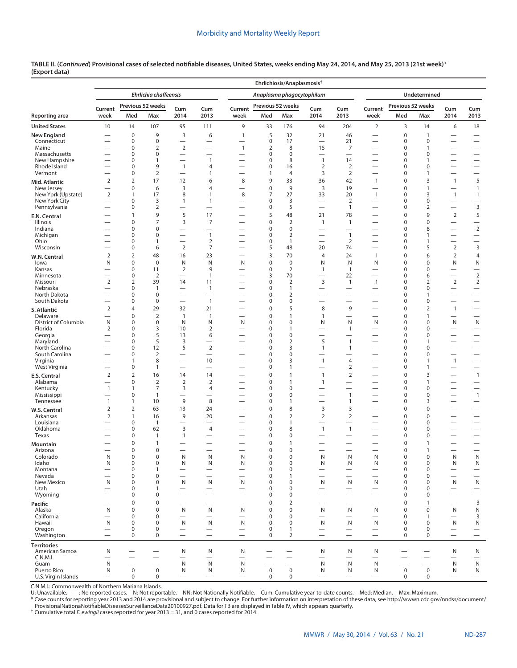|                             |                          |                            |                               |                                            |                                                      |                                          |                            | Ehrlichiosis/Anaplasmosis <sup>+</sup> |                                          |                                          |                                                      |                            |                          |                                                      |                                                      |
|-----------------------------|--------------------------|----------------------------|-------------------------------|--------------------------------------------|------------------------------------------------------|------------------------------------------|----------------------------|----------------------------------------|------------------------------------------|------------------------------------------|------------------------------------------------------|----------------------------|--------------------------|------------------------------------------------------|------------------------------------------------------|
|                             |                          |                            | Ehrlichia chaffeensis         |                                            |                                                      |                                          |                            | Anaplasma phagocytophilum              |                                          |                                          |                                                      |                            | Undetermined             |                                                      |                                                      |
|                             | Current                  |                            | Previous 52 weeks             | Cum                                        | Cum                                                  | Current                                  | Previous 52 weeks          |                                        | Cum                                      | Cum                                      | Current                                              | Previous 52 weeks          |                          | Cum                                                  | Cum                                                  |
| Reporting area              | week                     | Med                        | Max                           | 2014                                       | 2013                                                 | week                                     | Med                        | Max                                    | 2014                                     | 2013                                     | week                                                 | Med                        | Max                      | 2014                                                 | 2013                                                 |
| <b>United States</b>        | 10                       | 14                         | 107                           | 95                                         | 111                                                  | 9                                        | 33                         | 176                                    | 94                                       | 204                                      | 2                                                    | 3                          | 14                       | 6                                                    | 18                                                   |
| New England                 |                          | $\mathbf 0$                | 9                             | 3                                          | 6                                                    | $\mathbf{1}$                             | 5                          | 32                                     | 21                                       | 46                                       | $\overline{\phantom{0}}$                             | 0                          | $\mathbf{1}$             | $\overline{\phantom{0}}$                             | $\overline{\phantom{0}}$                             |
| Connecticut<br>Maine        | $\overline{\phantom{0}}$ | $\bf 0$<br>$\bf 0$         | $\mathbf 0$<br>$\overline{2}$ | $\overline{\phantom{m}}$<br>$\overline{2}$ | $\overline{\phantom{0}}$<br>$\overline{\phantom{0}}$ | $\overline{\phantom{0}}$<br>$\mathbf{1}$ | $\pmb{0}$<br>2             | 17<br>8                                | $\overline{\phantom{0}}$<br>15           | 21<br>7                                  | $\overline{\phantom{0}}$<br>$\overline{\phantom{0}}$ | 0<br>0                     | 0<br>1                   | $\overline{\phantom{0}}$<br>$\overline{\phantom{0}}$ | $\overline{\phantom{0}}$<br>$\overline{\phantom{0}}$ |
| Massachusetts               |                          | $\mathbf 0$                | 0                             | $\overline{\phantom{0}}$                   | $\overline{\phantom{0}}$                             | $\overline{\phantom{0}}$                 | $\pmb{0}$                  | $\mathbf 0$                            | $\overline{\phantom{0}}$                 | $\overline{\phantom{0}}$                 |                                                      | 0                          | 0                        |                                                      |                                                      |
| New Hampshire               | $\overline{\phantom{0}}$ | $\mathbf 0$                | 1                             | $\overline{\phantom{0}}$                   | $\mathbf{1}$                                         | $\overline{\phantom{0}}$                 | 0                          | 8                                      | $\mathbf{1}$                             | 14                                       | $\overline{\phantom{0}}$                             | 0                          | 1                        |                                                      |                                                      |
| Rhode Island                |                          | $\bf 0$                    | 9                             | $\mathbf{1}$                               | 4                                                    | $\overline{\phantom{0}}$                 | $\mathbf 0$                | 16                                     | $\overline{2}$                           | $\overline{2}$                           | $\overline{\phantom{0}}$                             | 0                          | 0                        | $\overline{\phantom{0}}$                             | $\overline{\phantom{0}}$                             |
| Vermont                     | $\overline{2}$           | $\bf 0$<br>$\overline{2}$  | $\overline{2}$<br>17          | $\overline{\phantom{0}}$<br>12             | 1<br>6                                               | 8                                        | $\mathbf{1}$<br>9          | 4<br>33                                | 3<br>36                                  | 2<br>42                                  | $\mathbf{1}$                                         | 0<br>0                     | $\mathbf{1}$<br>3        | $\overline{\phantom{0}}$                             | $\overline{\phantom{0}}$<br>5                        |
| Mid. Atlantic<br>New Jersey |                          | $\pmb{0}$                  | 6                             | $\overline{\mathbf{3}}$                    | 4                                                    | $\overline{\phantom{0}}$                 | $\pmb{0}$                  | 9                                      | 3                                        | 19                                       | $\overline{\phantom{0}}$                             | $\mathbf 0$                | $\mathbf{1}$             | $\mathbf{1}$<br>$\overline{\phantom{0}}$             | $\mathbf{1}$                                         |
| New York (Upstate)          | $\overline{2}$           | $\mathbf{1}$               | 17                            | 8                                          | 1                                                    | 8                                        | 7                          | 27                                     | 33                                       | 20                                       | $\mathbf{1}$                                         | 0                          | 3                        | $\mathbf{1}$                                         | $\mathbf{1}$                                         |
| New York City               | $\overline{\phantom{0}}$ | $\bf 0$                    | 3                             | $\mathbf{1}$                               | 1                                                    |                                          | 0                          | 3                                      | $\overline{\phantom{0}}$                 | 2                                        | $\overline{\phantom{0}}$                             | 0                          | 0                        | $\qquad \qquad -$                                    |                                                      |
| Pennsylvania                |                          | $\bf 0$                    | $\overline{2}$                | $\overline{\phantom{0}}$                   | $\overline{\phantom{0}}$                             | $\overline{\phantom{0}}$                 | 0                          | 5                                      | $\overline{\phantom{0}}$                 | $\mathbf{1}$                             | $\overline{\phantom{0}}$                             | 0                          | 2                        | $\qquad \qquad -$                                    | $\overline{3}$                                       |
| E.N. Central                |                          | $\mathbf{1}$               | 9                             | 5                                          | 17                                                   | -                                        | 5                          | 48                                     | 21                                       | 78                                       | $\overline{\phantom{0}}$                             | 0                          | 9                        | 2                                                    | 5                                                    |
| Illinois<br>Indiana         |                          | $\mathbf 0$<br>$\mathbf 0$ | $\overline{7}$<br>$\mathbf 0$ | 3<br>$\overline{\phantom{0}}$              | $\overline{7}$<br>$\overline{\phantom{0}}$           | $\overline{\phantom{0}}$                 | $\mathbf 0$<br>0           | $\mathbf 2$<br>$\pmb{0}$               | $\mathbf{1}$<br>$\overline{\phantom{0}}$ | $\mathbf{1}$<br>$\overline{\phantom{0}}$ | $\overline{\phantom{0}}$<br>$\overline{\phantom{0}}$ | $\mathbf 0$<br>0           | 0<br>8                   | $\overline{\phantom{0}}$                             | $\qquad \qquad -$<br>$\overline{2}$                  |
| Michigan                    |                          | $\mathbf 0$                | $\mathbf 0$                   | $\overline{\phantom{0}}$                   | $\overline{1}$                                       | $\overline{\phantom{0}}$                 | $\pmb{0}$                  | $\overline{2}$                         |                                          | $\mathbf{1}$                             |                                                      | 0                          | 1                        |                                                      | $\overline{\phantom{0}}$                             |
| Ohio                        |                          | 0                          | $\overline{1}$                | $\overbrace{\phantom{12322111}}$           | $\overline{2}$                                       | $\overline{\phantom{0}}$                 | 0                          | 1                                      |                                          | 2                                        | $\overline{\phantom{0}}$                             | 0                          | 1                        | $\overline{\phantom{0}}$                             | $\overline{\phantom{0}}$                             |
| Wisconsin                   | —                        | $\bf 0$                    | 6                             | $\overline{2}$                             | 7                                                    | $\overline{\phantom{0}}$                 | 5                          | 48                                     | 20                                       | 74                                       | $\overline{\phantom{0}}$                             | 0                          | 5                        | 2                                                    | $\mathsf 3$                                          |
| W.N. Central                | $\overline{2}$           | $\overline{2}$             | 48                            | 16                                         | 23                                                   | $\overline{\phantom{0}}$                 | 3                          | 70                                     | $\overline{4}$                           | 24                                       | $\mathbf{1}$                                         | 0                          | 6                        | 2                                                    | $\overline{4}$                                       |
| lowa                        | N                        | $\mathbf 0$                | $\mathbf 0$                   | N                                          | N                                                    | N                                        | $\mathbf 0$                | $\mathbf 0$                            | Ν                                        | N                                        | N                                                    | 0                          | 0                        | N                                                    | N                                                    |
| Kansas<br>Minnesota         | $\overline{\phantom{0}}$ | $\bf 0$<br>$\bf 0$         | 11<br>$\overline{2}$          | $\overline{2}$<br>$\overline{\phantom{0}}$ | 9<br>$\mathbf{1}$                                    | $\overline{\phantom{0}}$<br>-            | $\pmb{0}$<br>3             | $\overline{2}$<br>70                   | $\mathbf{1}$                             | $\mathbf{1}$<br>22                       | $\overline{\phantom{0}}$                             | 0<br>0                     | 0<br>6                   | $\overline{\phantom{0}}$                             | $\overline{\phantom{0}}$<br>$\overline{2}$           |
| Missouri                    | $\overline{2}$           | $\overline{2}$             | 39                            | 14                                         | 11                                                   | $\overline{\phantom{0}}$                 | 0                          | $\overline{2}$                         | 3                                        | $\mathbf{1}$                             | $\mathbf{1}$                                         | 0                          | $\overline{2}$           | $\overline{2}$                                       | $\overline{2}$                                       |
| Nebraska                    |                          | $\bf 0$                    | $\overline{1}$                | $\overline{\phantom{0}}$                   | $\overline{1}$                                       | $\overline{\phantom{0}}$                 | 0                          | $\mathbf{1}$                           | $\overline{\phantom{0}}$                 | $\overline{\phantom{0}}$                 |                                                      | 0                          | 0                        | $\overline{\phantom{0}}$                             | $\qquad \qquad -$                                    |
| North Dakota                |                          | $\bf 0$                    | 0                             | $\overline{\phantom{0}}$                   | $\overline{\phantom{0}}$                             | $\overline{\phantom{0}}$                 | 0                          | $\overline{2}$                         | $\overline{\phantom{0}}$                 | $\overline{\phantom{0}}$                 |                                                      | 0                          | 1                        | $\overline{\phantom{0}}$                             |                                                      |
| South Dakota                | $\overline{\phantom{0}}$ | $\bf 0$                    | $\mathbf 0$                   |                                            | $\overline{1}$                                       | -                                        | 0                          | 0                                      |                                          |                                          | $\overline{\phantom{0}}$                             | 0                          | 0                        |                                                      | $\overline{\phantom{0}}$                             |
| S. Atlantic<br>Delaware     | $\overline{2}$           | $\overline{4}$<br>$\bf 0$  | 29<br>$\overline{2}$          | 32<br>$\mathbf{1}$                         | 21<br>$\overline{1}$                                 | $\overline{\phantom{0}}$                 | $\mathbf 0$<br>$\pmb{0}$   | 5<br>$\mathbf{1}$                      | 8<br>$\mathbf{1}$                        | 9<br>$\overline{\phantom{0}}$            | $\overline{\phantom{0}}$<br>$\overline{\phantom{0}}$ | $\mathbf 0$<br>0           | 2<br>$\mathbf{1}$        | $\overline{1}$                                       | $\overline{\phantom{0}}$<br>$\overline{\phantom{0}}$ |
| District of Columbia        | N                        | $\mathbf 0$                | $\mathbf 0$                   | N                                          | N                                                    | N                                        | 0                          | 0                                      | N                                        | N                                        | N                                                    | 0                          | 0                        | N                                                    | N                                                    |
| Florida                     | 2                        | $\bf 0$                    | 3                             | 10                                         | 2                                                    | $\overline{\phantom{0}}$                 | 0                          | $\mathbf{1}$                           |                                          | $\mathbf{1}$                             | $\overline{\phantom{0}}$                             | $\mathbf 0$                | 0                        | $\overline{\phantom{0}}$                             |                                                      |
| Georgia                     |                          | $\mathbf 0$                | 5                             | 13                                         | 6                                                    | $\overline{\phantom{0}}$                 | 0                          | 0                                      |                                          |                                          |                                                      | 0                          | 0                        |                                                      | $\overline{\phantom{0}}$                             |
| Maryland<br>North Carolina  | $\overline{\phantom{0}}$ | $\mathbf 0$<br>$\mathbf 0$ | 5<br>12                       | 3<br>5                                     | $\overline{2}$                                       | $\overline{\phantom{0}}$                 | 0<br>0                     | $\overline{2}$<br>3                    | 5<br>1                                   | $\mathbf{1}$<br>$\mathbf{1}$             |                                                      | 0<br>0                     | 1<br>0                   | $\overline{\phantom{0}}$                             | $\overline{\phantom{0}}$                             |
| South Carolina              |                          | $\bf 0$                    | $\overline{2}$                | $\overline{\phantom{0}}$                   | $\overline{\phantom{0}}$                             |                                          | $\mathbf 0$                | 0                                      | $\overline{\phantom{0}}$                 | $\overline{\phantom{0}}$                 | $\qquad \qquad$<br>$\overline{\phantom{0}}$          | $\mathbf 0$                | 0                        | $\qquad \qquad -$<br>$\overline{\phantom{0}}$        | $\qquad \qquad -$                                    |
| Virginia                    |                          | $\mathbf{1}$               | 8                             | $\overline{\phantom{0}}$                   | 10                                                   |                                          | $\pmb{0}$                  | 3                                      | $\mathbf{1}$                             | 4                                        |                                                      | 0                          | 1                        | $\overline{1}$                                       | —                                                    |
| West Virginia               | $\overline{\phantom{0}}$ | $\bf 0$                    | $\mathbf{1}$                  | $\overline{\phantom{0}}$                   |                                                      | -                                        | $\pmb{0}$                  | $\mathbf{1}$                           | $\overline{\phantom{0}}$                 | $\overline{2}$                           | $\overline{\phantom{0}}$                             | 0                          | 1                        |                                                      |                                                      |
| E.S. Central                | $\overline{2}$           | $\overline{2}$             | 16                            | 14                                         | 14                                                   | $\overline{\phantom{0}}$                 | $\mathbf 0$                | $\mathbf{1}$                           | $\mathbf{1}$                             | $\overline{2}$                           | $\overline{\phantom{0}}$                             | $\mathbf 0$                | 3                        | $\qquad \qquad$                                      | $\overline{1}$                                       |
| Alabama                     |                          | $\bf 0$                    | $\overline{2}$                | $\overline{2}$                             | $\overline{2}$                                       |                                          | $\pmb{0}$                  | $\mathbf{1}$                           | $\mathbf{1}$                             |                                          |                                                      | 0                          | 1                        |                                                      | $\overline{\phantom{0}}$                             |
| Kentucky<br>Mississippi     | $\mathbf{1}$<br>—        | $\mathbf{1}$<br>$\bf 0$    | 7<br>$\overline{1}$           | 3                                          | 4                                                    | -                                        | $\pmb{0}$<br>$\mathbf 0$   | 0<br>$\mathbf 0$                       | $\overline{\phantom{0}}$                 | $\mathbf{1}$                             |                                                      | 0<br>$\mathbf 0$           | 0<br>0                   | $\qquad \qquad$                                      | $\overline{1}$                                       |
| Tennessee                   | $\mathbf{1}$             | $\mathbf{1}$               | 10                            | 9                                          | 8                                                    |                                          | $\pmb{0}$                  | 1                                      | $\overline{\phantom{0}}$                 | $\mathbf{1}$                             |                                                      | 0                          | 3                        |                                                      | $\qquad \qquad$                                      |
| <b>W.S. Central</b>         | $\overline{2}$           | $\overline{2}$             | 63                            | 13                                         | 24                                                   |                                          | $\pmb{0}$                  | 8                                      | 3                                        | 3                                        |                                                      | 0                          | 0                        |                                                      |                                                      |
| Arkansas                    | $\overline{2}$           | $\mathbf{1}$               | 16                            | 9                                          | 20                                                   |                                          | 0                          | $\overline{2}$                         | $\overline{2}$                           | $\overline{2}$                           |                                                      | 0                          | 0                        |                                                      | $\overline{\phantom{0}}$                             |
| Louisiana                   | $\overline{\phantom{0}}$ | $\bf 0$                    | $\overline{1}$                | $\overline{\phantom{0}}$                   | $\overline{\phantom{0}}$                             |                                          | 0                          | $\mathbf{1}$                           | $\overline{\phantom{0}}$                 | —                                        | $\overline{\phantom{0}}$                             | 0                          | 0                        | $\overline{\phantom{0}}$                             | $\overline{\phantom{0}}$                             |
| Oklahoma<br>Texas           |                          | $\bf 0$<br>$\bf 0$         | 62<br>$\mathbf{1}$            | 3<br>$\mathbf{1}$                          | 4<br>$\overline{\phantom{0}}$                        |                                          | $\pmb{0}$<br>$\pmb{0}$     | 8<br>0                                 | $\mathbf{1}$<br>$\overline{\phantom{0}}$ | $\mathbf{1}$<br>$\overline{\phantom{0}}$ |                                                      | 0<br>0                     | 0<br>0                   |                                                      | $\overline{\phantom{0}}$<br>$\overline{\phantom{0}}$ |
|                             |                          | $\bf 0$                    | $\overline{1}$                |                                            | $\overline{\phantom{0}}$                             |                                          | $\pmb{0}$                  | 1                                      |                                          |                                          |                                                      | 0                          | 1                        |                                                      | $\overline{\phantom{0}}$                             |
| Mountain<br>Arizona         |                          | $\mathbf 0$                | $\mathbf 0$                   |                                            |                                                      |                                          | $\mathbf 0$                | 0                                      |                                          |                                          |                                                      | 0                          | $\mathbf{1}$             | $\overbrace{\phantom{12322111}}$                     |                                                      |
| Colorado                    | N                        | 0                          | 0                             | N                                          | N                                                    | Ν                                        | 0                          | 0                                      | N                                        | N                                        | N                                                    | 0                          | 0                        | N                                                    | N                                                    |
| Idaho                       | N                        | $\pmb{0}$                  | $\mathsf 0$                   | N                                          | N                                                    | N                                        | $\pmb{0}$                  | $\pmb{0}$                              | N                                        | Ν                                        | N                                                    | $\mathbf 0$                | 0                        | N                                                    | ${\sf N}$                                            |
| Montana                     | —                        | $\bf 0$                    | $\overline{1}$                | $\overline{\phantom{0}}$                   |                                                      |                                          | $\pmb{0}$                  | 0                                      |                                          |                                          |                                                      | $\mathbf 0$<br>$\mathbf 0$ | 0                        |                                                      | $\overline{\phantom{0}}$                             |
| Nevada<br>New Mexico        | N                        | $\bf 0$<br>$\bf 0$         | $\mathbf 0$<br>$\mathbf 0$    | N                                          | N                                                    | $\overline{\phantom{0}}$<br>N            | $\pmb{0}$<br>$\mathbf 0$   | 1<br>0                                 | $\overline{\phantom{0}}$<br>N            | $\overline{\phantom{0}}$<br>N            | $\overline{\phantom{0}}$<br>N                        | $\mathbf 0$                | 0<br>0                   | $\overline{\phantom{0}}$<br>N                        | $\overline{\phantom{0}}$<br>${\sf N}$                |
| Utah                        | $\overline{\phantom{0}}$ | $\bf 0$                    | $\overline{1}$                | $\overline{\phantom{0}}$                   |                                                      | $\overline{\phantom{0}}$                 | $\pmb{0}$                  | 0                                      |                                          |                                          |                                                      | 0                          | 0                        | $\overline{\phantom{0}}$                             |                                                      |
| Wyoming                     |                          | $\bf 0$                    | $\mathbf 0$                   |                                            | $\overline{\phantom{0}}$                             |                                          | $\pmb{0}$                  | 0                                      |                                          |                                          |                                                      | 0                          | 0                        |                                                      | $\overline{\phantom{0}}$                             |
| Pacific                     | –                        | $\mathbf 0$                | $\mathbf 0$                   |                                            |                                                      |                                          | $\mathbf 0$                | $\mathbf 2$                            | —                                        | -                                        |                                                      | $\mathbf 0$                | 1                        |                                                      | $\mathbf{3}$                                         |
| Alaska                      | N                        | $\mathbf 0$                | $\mathbf 0$                   | N                                          | N                                                    | N                                        | $\boldsymbol{0}$           | 0                                      | N                                        | N                                        | N                                                    | $\mathbf 0$                | 0                        | N                                                    | ${\sf N}$                                            |
| California<br>Hawaii        | N                        | $\bf 0$<br>$\mathbf 0$     | $\mathbf 0$<br>$\mathbf 0$    | N                                          | $\overline{\phantom{0}}$                             | N                                        | $\mathbf 0$<br>$\mathbf 0$ | 0<br>$\mathbf 0$                       | N                                        | N                                        | N                                                    | $\mathbf 0$<br>$\mathbf 0$ | $\mathbf{1}$<br>0        | $\qquad \qquad$                                      | 3<br>N                                               |
| Oregon                      | $\overline{\phantom{0}}$ | $\mathsf{O}\xspace$        | $\mathbf 0$                   | $\overline{\phantom{0}}$                   | N                                                    | $\overline{\phantom{0}}$                 | $\mathbf 0$                | $\mathbf{1}$                           | $\overline{\phantom{0}}$                 | $\overline{\phantom{0}}$                 | $\overline{\phantom{0}}$                             | $\mathbf 0$                | 0                        | N<br>$\overline{\phantom{0}}$                        |                                                      |
| Washington                  |                          | $\mathbf 0$                | $\mathbf 0$                   |                                            |                                                      |                                          | $\mathbf 0$                | $\overline{2}$                         |                                          |                                          | $\qquad \qquad$                                      | 0                          | 0                        | $\qquad \qquad$                                      | $\qquad \qquad -$                                    |
| <b>Territories</b>          |                          |                            |                               |                                            |                                                      |                                          |                            |                                        |                                          |                                          |                                                      |                            |                          |                                                      |                                                      |
| American Samoa              | N                        |                            | -                             | N                                          | N                                                    | N                                        |                            |                                        | N                                        | N                                        | N                                                    |                            | $\overline{\phantom{0}}$ | N                                                    | N                                                    |
| C.N.M.I.                    | —                        | $\overline{\phantom{0}}$   |                               | $\overline{\phantom{0}}$                   | $\overline{\phantom{0}}$                             | $\overline{\phantom{0}}$                 |                            | $\overline{\phantom{0}}$               | $\overline{\phantom{0}}$                 | $\overline{\phantom{0}}$                 | $\overline{\phantom{0}}$                             | $\overline{\phantom{0}}$   | $\overline{\phantom{0}}$ | $\overline{\phantom{0}}$                             | $\overline{\phantom{0}}$                             |
| Guam<br>Puerto Rico         | N<br>N                   | —<br>$\pmb{0}$             | $\pmb{0}$                     | $\mathsf{N}$<br>N                          | N<br>N                                               | N<br>N                                   | $\mathbf 0$                | $\pmb{0}$                              | N<br>N                                   | N<br>N                                   | N<br>N                                               | $\mathsf 0$                | $\mathbf 0$              | N<br>N                                               | ${\sf N}$<br>N                                       |
| U.S. Virgin Islands         |                          | 0                          | 0                             |                                            |                                                      | $\overline{\phantom{0}}$                 | $\mathbf 0$                | 0                                      |                                          |                                          | $\overline{\phantom{0}}$                             | 0                          | $\mathbf 0$              | $\overline{\phantom{0}}$                             | $\qquad \qquad -$                                    |

C.N.M.I.: Commonwealth of Northern Mariana Islands. U: Unavailable. —: No reported cases. N: Not reportable. NN: Not Nationally Notifiable. Cum: Cumulative year-to-date counts. Med: Median. Max: Maximum.

\* Case counts for reporting year 2013 and 2014 are provisional and subject to change. For further information on interpretation of these data, see [http://wwwn.cdc.gov/nndss/document/](http://wwwn.cdc.gov/nndss/document/ProvisionalNationaNotifiableDiseasesSurveillanceData20100927.pdf)<br>ProvisionalNationaNotifiableDiseasesSur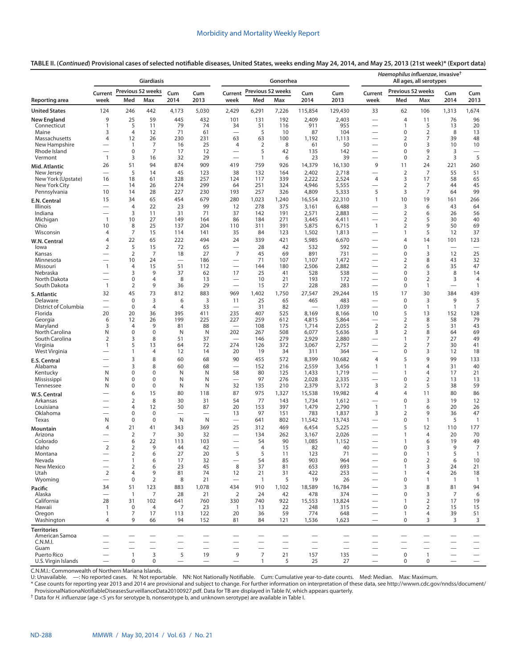|                                  |                          |                                | Giardiasis               |                                 |            |                                 |                     | Gonorrhea                        |                          |                          |                                                      | Haemophilus influenzae, invasive <sup>†</sup> | All ages, all serotypes          |                          |                          |
|----------------------------------|--------------------------|--------------------------------|--------------------------|---------------------------------|------------|---------------------------------|---------------------|----------------------------------|--------------------------|--------------------------|------------------------------------------------------|-----------------------------------------------|----------------------------------|--------------------------|--------------------------|
|                                  | Current                  | Previous 52 weeks              |                          | Cum                             | Cum        | Current                         | Previous 52 weeks   |                                  | Cum                      | Cum                      | Current                                              | Previous 52 weeks                             |                                  | Cum                      | Cum                      |
| Reporting area                   | week                     | Med                            | Max                      | 2014                            | 2013       | week                            | Med                 | Max                              | 2014                     | 2013                     | week                                                 | Med                                           | Max                              | 2014                     | 2013                     |
| <b>United States</b>             | 124                      | 246                            | 442                      | 4,173                           | 5,030      | 2,429                           | 6,291               | 7,226                            | 115,854                  | 129,430                  | 33                                                   | 62                                            | 106                              | 1,313                    | 1,674                    |
| <b>New England</b>               | 9                        | 25                             | 59                       | 445                             | 432        | 101                             | 131                 | 192                              | 2,409                    | 2,403                    |                                                      | $\overline{4}$                                | 11                               | 76                       | 96                       |
| Connecticut                      | $\mathbf{1}$<br>3        | 5<br>4                         | 11<br>12                 | 79<br>71                        | 74<br>61   | 34<br>$\overline{\phantom{0}}$  | 51<br>5             | 116<br>10                        | 911<br>87                | 955<br>104               | $\overline{\phantom{0}}$<br>$\overline{\phantom{0}}$ | $\overline{1}$<br>0                           | 5<br>$\overline{2}$              | 13<br>8                  | 20                       |
| Maine<br>Massachusetts           | 4                        | 12                             | 26                       | 230                             | 231        | 63                              | 63                  | 100                              | 1,192                    | 1,113                    | $\overline{\phantom{0}}$                             | 2                                             | 7                                | 39                       | 13<br>48                 |
| New Hampshire                    |                          | $\mathbf{1}$                   | 7                        | 16                              | 25         | 4                               | 2                   | 8                                | 61                       | 50                       | $\overline{\phantom{0}}$                             | $\mathbf 0$                                   | 3                                | 10                       | 10                       |
| Rhode Island                     |                          | $\mathbf 0$                    | 7                        | 17                              | 12         | $\overline{\phantom{0}}$        | 5                   | 42                               | 135                      | 142                      | $\overline{\phantom{0}}$                             | $\mathbf 0$                                   | 9                                | 3                        | $\overline{\phantom{0}}$ |
| Vermont                          | $\mathbf{1}$<br>26       | 3<br>51                        | 16<br>94                 | 32<br>874                       | 29<br>909  | 419                             | $\mathbf{1}$<br>759 | 6<br>926                         | 23<br>14,379             | 39<br>16,130             | -<br>9                                               | $\mathbf 0$<br>11                             | 2<br>24                          | 3<br>221                 | 5<br>260                 |
| Mid. Atlantic<br>New Jersey      | $\overline{\phantom{0}}$ | 5                              | 14                       | 45                              | 123        | 38                              | 132                 | 164                              | 2,402                    | 2,718                    | —                                                    | 2                                             | 7                                | 55                       | 51                       |
| New York (Upstate)               | 16                       | 18                             | 61                       | 328                             | 257        | 124                             | 117                 | 339                              | 2,222                    | 2,524                    | 4                                                    | 3                                             | 17                               | 58                       | 65                       |
| New York City                    |                          | 14                             | 26                       | 274                             | 299        | 64                              | 251                 | 324                              | 4,946                    | 5,555                    | $\overline{\phantom{0}}$                             | $\overline{2}$                                | 7                                | 44                       | 45                       |
| Pennsylvania                     | 10<br>15                 | 14<br>34                       | 28<br>65                 | 227<br>454                      | 230<br>679 | 193<br>280                      | 257<br>1,023        | 326<br>1,240                     | 4,809<br>16,554          | 5,333<br>22,310          | 5<br>$\mathbf{1}$                                    | 3<br>10                                       | 7<br>19                          | 64<br>161                | 99<br>266                |
| E.N. Central<br>Illinois         |                          | $\overline{4}$                 | 22                       | 23                              | 99         | 12                              | 278                 | 375                              | 3,161                    | 6,488                    | $\overline{\phantom{0}}$                             | 3                                             | 6                                | 43                       | 64                       |
| Indiana                          |                          | 3                              | 11                       | 31                              | 71         | 37                              | 142                 | 191                              | 2,571                    | 2,883                    | $\overline{\phantom{0}}$                             | $\overline{2}$                                | 6                                | 26                       | 56                       |
| Michigan                         | $\mathbf{1}$             | 10                             | 27                       | 149                             | 164        | 86                              | 184                 | 271                              | 3,445                    | 4,411                    | $\overline{\phantom{0}}$                             | $\overline{2}$                                | 5                                | 30                       | 40                       |
| Ohio<br>Wisconsin                | 10<br>4                  | 8<br>7                         | 25<br>15                 | 137<br>114                      | 204<br>141 | 110<br>35                       | 311<br>84           | 391<br>123                       | 5,875<br>1,502           | 6,715<br>1,813           | $\mathbf{1}$<br>—                                    | $\overline{2}$<br>$\mathbf{1}$                | 9<br>5                           | 50<br>12                 | 69<br>37                 |
| W.N. Central                     | 4                        | 22                             | 65                       | 222                             | 494        | 24                              | 339                 | 421                              | 5,985                    | 6,670                    | —                                                    | $\overline{4}$                                | 14                               | 101                      | 123                      |
| lowa                             | 2                        | 5                              | 15                       | 72                              | 65         | $\overline{\phantom{0}}$        | 28                  | 42                               | 532                      | 592                      |                                                      | $\mathbf 0$                                   | $\mathbf{1}$                     |                          |                          |
| Kansas                           |                          | 2                              | 7                        | 18                              | 27         | $\overline{7}$                  | 45                  | 69                               | 891                      | 731                      | $\overline{\phantom{0}}$                             | 0                                             | 3                                | 12                       | 25                       |
| Minnesota                        | $\mathbf{1}$             | 10<br>4                        | 24<br>15                 | 51                              | 186<br>112 |                                 | 71<br>144           | 107<br>180                       | 1,107                    | 1,472<br>2,882           |                                                      | $\overline{2}$<br>$\overline{2}$              | 8<br>6                           | 43<br>35                 | 32<br>47                 |
| Missouri<br>Nebraska             |                          | 3                              | 9                        | 37                              | 62         | 17                              | 25                  | 41                               | 2,506<br>528             | 538                      | $\overline{\phantom{0}}$                             | $\mathbf 0$                                   | 3                                | 8                        | 14                       |
| North Dakota                     |                          | $\mathbf 0$                    | $\overline{4}$           | 8                               | 13         | $\overline{\phantom{0}}$        | 10                  | 21                               | 193                      | 172                      | $\overline{\phantom{0}}$                             | $\mathbf 0$                                   | $\overline{2}$                   | 3                        | 4                        |
| South Dakota                     | $\mathbf{1}$             | $\overline{2}$                 | 9                        | 36                              | 29         | $\overline{\phantom{0}}$        | 15                  | 27                               | 228                      | 283                      | -                                                    | $\mathbf 0$                                   | $\mathbf{1}$                     |                          | $\mathbf{1}$             |
| S. Atlantic                      | 32                       | 45                             | 73                       | 812                             | 883        | 969                             | 1,402               | 1,750                            | 27,547                   | 29,244                   | 15                                                   | 17                                            | 30                               | 384                      | 439                      |
| Delaware<br>District of Columbia |                          | $\mathbf 0$<br>$\mathbf 0$     | 3<br>$\overline{4}$      | 6<br>$\overline{4}$             | 3<br>33    | 11<br>$\overline{\phantom{0}}$  | 25<br>31            | 65<br>82                         | 465                      | 483<br>1,039             |                                                      | $\mathbf 0$<br>$\pmb{0}$                      | 3<br>$\mathbf{1}$                | 9<br>$\mathbf{1}$        | 5<br>7                   |
| Florida                          | 20                       | 20                             | 36                       | 395                             | 411        | 235                             | 407                 | 525                              | 8,169                    | 8,166                    | 10                                                   | 5                                             | 13                               | 152                      | 128                      |
| Georgia                          | 6                        | 12                             | 26                       | 199                             | 225        | 227                             | 259                 | 612                              | 4,815                    | 5,864                    | -                                                    | $\overline{2}$                                | 8                                | 58                       | 79                       |
| Maryland<br>North Carolina       | 3<br>N                   | $\overline{4}$<br>$\mathbf 0$  | 9<br>$\mathbf 0$         | 81<br>N                         | 88<br>N    | $\overline{\phantom{0}}$<br>202 | 108<br>267          | 175<br>508                       | 1,714<br>6,077           | 2,055<br>5,636           | $\overline{2}$<br>3                                  | $\overline{2}$<br>$\overline{2}$              | 5<br>8                           | 31<br>64                 | 43<br>69                 |
| South Carolina                   | $\overline{2}$           | 3                              | 8                        | 51                              | 37         | $\overline{\phantom{0}}$        | 146                 | 279                              | 2,929                    | 2,880                    |                                                      | $\overline{1}$                                | 7                                | 27                       | 49                       |
| Virginia                         | 1                        | 5                              | 13                       | 64                              | 72         | 274                             | 126                 | 372                              | 3,067                    | 2,757                    | —                                                    | $\overline{2}$                                | 7                                | 30                       | 41                       |
| West Virginia                    |                          | 1                              | 4                        | 12<br>60                        | 14         | 20<br>90                        | 19                  | 34                               | 311                      | 364                      | $\overline{\phantom{0}}$                             | $\pmb{0}$<br>5                                | 3<br>9                           | 12<br>99                 | 18                       |
| E.S. Central<br>Alabama          | $\overline{\phantom{0}}$ | 3<br>3                         | 8<br>8                   | 60                              | 68<br>68   | $\overline{\phantom{0}}$        | 455<br>152          | 572<br>216                       | 8,399<br>2,559           | 10,682<br>3,456          | 4<br>$\mathbf{1}$                                    | $\overline{1}$                                | $\overline{4}$                   | 31                       | 133<br>40                |
| Kentucky                         | N                        | $\mathbf 0$                    | $\mathbf 0$              | N                               | N          | 58                              | 80                  | 125                              | 1,433                    | 1,719                    |                                                      | $\overline{1}$                                | 4                                | 17                       | 21                       |
| Mississippi                      | N                        | $\mathbf 0$                    | 0                        | N                               | N          | $\overline{\phantom{0}}$        | 97                  | 276                              | 2,028                    | 2,335                    | $\overline{\phantom{0}}$                             | $\mathbf 0$                                   | $\overline{2}$                   | 13                       | 13                       |
| Tennessee                        | N                        | $\mathbf 0$                    | $\mathbf 0$              | N                               | N          | 32                              | 135                 | 210                              | 2,379                    | 3,172                    | 3                                                    | 2                                             | 5                                | 38                       | 59                       |
| W.S. Central<br>Arkansas         |                          | 6<br>$\overline{2}$            | 15<br>8                  | 80<br>30                        | 118<br>31  | 87<br>54                        | 975<br>77           | 1,327<br>143                     | 15,538<br>1,734          | 19,982<br>1,612          | $\overline{4}$<br>$\overline{\phantom{0}}$           | $\overline{4}$<br>$\mathbf 0$                 | 11<br>3                          | 80<br>19                 | 86<br>12                 |
| Louisiana                        |                          | $\overline{4}$                 | 12                       | 50                              | 87         | 20                              | 153                 | 397                              | 1,479                    | 2,790                    | $\mathbf{1}$                                         | $\overline{1}$                                | 6                                | 20                       | 26                       |
| Oklahoma                         |                          | $\mathbf 0$                    | $\mathbf 0$              |                                 |            | 13                              | 97                  | 151                              | 783                      | 1,837                    | 3                                                    | $\overline{2}$                                | 9                                | 36                       | 47                       |
| Texas                            | N                        | $\mathbf 0$                    | $\mathbf 0$              | N                               | N          |                                 | 641                 | 802                              | 11,542                   | 13,743                   | $\overline{\phantom{0}}$                             | $\pmb{0}$                                     | $\mathbf{1}$                     | 5                        | $\overline{1}$           |
| Mountain<br>Arizona              | 4                        | 21<br>$\overline{2}$           | 41<br>$\overline{7}$     | 343<br>30                       | 369<br>32  | 25<br>$\overline{\phantom{0}}$  | 312<br>134          | 469<br>262                       | 6,454<br>3,167           | 5,225<br>2,026           |                                                      | 5<br>$\overline{1}$                           | 12<br>$\overline{4}$             | 110<br>20                | 177<br>70                |
| Colorado                         |                          | 6                              | 22                       | 113                             | 103        | $\overline{\phantom{0}}$        | 54                  | 90                               | 1,085                    | 1,152                    | $\overline{\phantom{0}}$                             | $\mathbf{1}$                                  | 6                                | 19                       | 49                       |
| Idaho                            | $\mathcal{P}$            | $\overline{2}$                 | $\Omega$                 | 44                              | 42         |                                 | $\overline{4}$      | 15                               | 82                       | 40                       |                                                      | $\Omega$                                      | 3                                | $\mathsf{Q}$             | $\overline{7}$           |
| Montana                          |                          | $\overline{2}$                 | 6                        | 27                              | 20         | 5                               | 5                   | 11                               | 123                      | 71                       |                                                      | $\mathbf 0$                                   | $\mathbf{1}$                     | 5                        | $\mathbf{1}$             |
| Nevada<br>New Mexico             | $\overline{\phantom{0}}$ | $\mathbf{1}$<br>$\overline{2}$ | 6<br>6                   | 17<br>23                        | 32<br>45   | $\overline{\phantom{0}}$<br>8   | 54<br>37            | 85<br>81                         | 903<br>653               | 964<br>693               | $\overline{\phantom{0}}$                             | $\mathbf 0$<br>1                              | 2<br>3                           | 6<br>24                  | 10<br>21                 |
| Utah                             | $\overline{2}$           | $\overline{4}$                 | 9                        | 81                              | 74         | 12                              | 21                  | 31                               | 422                      | 253                      | $\overline{\phantom{0}}$                             | $\overline{1}$                                | 4                                | 26                       | 18                       |
| Wyoming                          |                          | $\mathbf 0$                    | 2                        | 8                               | 21         |                                 | $\overline{1}$      | 5                                | 19                       | 26                       | $\overline{\phantom{0}}$                             | $\mathbf 0$                                   | 1                                | $\overline{1}$           | $\overline{1}$           |
| Pacific                          | 34                       | 51                             | 123                      | 883                             | 1,078      | 434                             | 910                 | 1,102                            | 18,589                   | 16,784                   |                                                      | 3                                             | 8                                | 81                       | 94                       |
| Alaska<br>California             | 28                       | $\overline{1}$<br>31           | $\overline{7}$<br>102    | 28<br>641                       | 21<br>760  | $\overline{2}$<br>330           | 24<br>740           | 42<br>922                        | 478<br>15,553            | 374<br>13,824            | $\overline{\phantom{0}}$                             | $\mathbf 0$<br>1                              | 3<br>$\overline{2}$              | $\overline{7}$<br>17     | 6<br>19                  |
| Hawaii                           | $\mathbf{1}$             | $\mathbf 0$                    | 4                        | 7                               | 23         | $\mathbf{1}$                    | 13                  | 22                               | 248                      | 315                      |                                                      | $\mathbf 0$                                   | $\overline{2}$                   | 15                       | 15                       |
| Oregon                           | 1                        | 7                              | 17                       | 113                             | 122        | 20                              | 36                  | 59                               | 774                      | 648                      |                                                      | 1                                             | 4                                | 39                       | 51                       |
| Washington                       | 4                        | 9                              | 66                       | 94                              | 152        | 81                              | 84                  | 121                              | 1,536                    | 1,623                    | $\qquad \qquad -$                                    | $\mathbf 0$                                   | 3                                | 3                        | 3                        |
| <b>Territories</b>               |                          |                                |                          |                                 |            |                                 |                     |                                  |                          |                          |                                                      |                                               |                                  |                          |                          |
| American Samoa<br>C.N.M.I.       |                          |                                | $\overline{\phantom{0}}$ |                                 |            | $\overline{\phantom{0}}$        |                     | $\overbrace{\phantom{12322111}}$ | $\overline{\phantom{0}}$ | $\overline{\phantom{0}}$ | $\overline{\phantom{0}}$                             | $\overbrace{\phantom{12322111}}$              | $\overbrace{\phantom{12322111}}$ | $\overline{\phantom{0}}$ | $\overline{\phantom{0}}$ |
| Guam                             |                          |                                |                          |                                 |            | $\overline{\phantom{0}}$        |                     |                                  |                          |                          |                                                      | -                                             | $\overline{\phantom{0}}$         |                          |                          |
| Puerto Rico                      |                          | $\mathbf{1}$                   | 3                        | 5                               | 19         | 9                               | $\overline{7}$      | 21                               | 157                      | 135                      |                                                      | $\mathbf 0$                                   | $\mathbf{1}$                     |                          |                          |
| U.S. Virgin Islands              | $\overline{\phantom{0}}$ | 0                              | $\mathbf 0$              | $\overbrace{\phantom{1232211}}$ |            |                                 | $\mathbf{1}$        | 5                                | 25                       | 27                       |                                                      | 0                                             | 0                                | $\overline{\phantom{0}}$ |                          |

C.N.M.I.: Commonwealth of Northern Mariana Islands.<br>U: Unavailable. —: No reported cases. N: Not reportable. NN: Not Nationally Notifiable. Cum: Cumulative year-to-date counts. Med: Median. Max: Maximum.

\* Case counts for reporting year 2013 and 2014 are provisional and subject to change. For further information on interpretation of these data, see [http://wwwn.cdc.gov/nndss/document/](http://wwwn.cdc.gov/nndss/document/ProvisionalNationaNotifiableDiseasesSurveillanceData20100927.pdf) [ProvisionalNationaNotifiableDiseasesSurveillanceData20100927.pdf](http://wwwn.cdc.gov/nndss/document/ProvisionalNationaNotifiableDiseasesSurveillanceData20100927.pdf). Data for TB are displayed in Table IV, which appears quarterly.

† Data for *H. influenzae* (age <5 yrs for serotype b, nonserotype b, and unknown serotype) are available in Table I.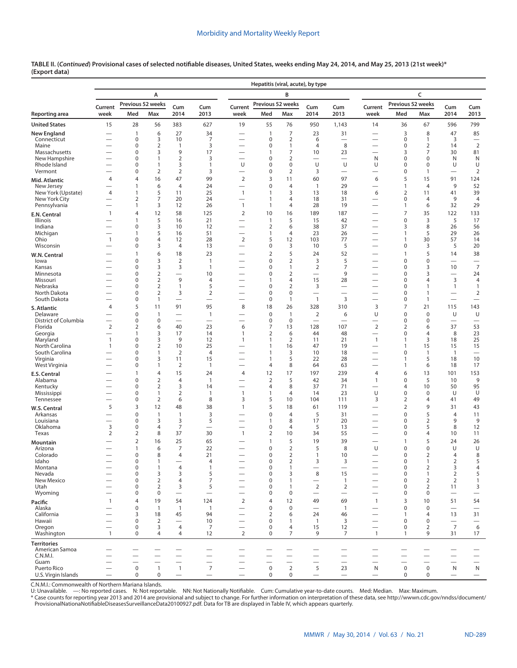|                                    |                               |                                 |                                  |                                          |                                            |                                             | Hepatitis (viral, acute), by type |                                       |                                                     |                               |                                          |                                |                                |                                            |                                       |
|------------------------------------|-------------------------------|---------------------------------|----------------------------------|------------------------------------------|--------------------------------------------|---------------------------------------------|-----------------------------------|---------------------------------------|-----------------------------------------------------|-------------------------------|------------------------------------------|--------------------------------|--------------------------------|--------------------------------------------|---------------------------------------|
|                                    |                               |                                 | А                                |                                          |                                            |                                             |                                   | B                                     |                                                     |                               |                                          |                                | C                              |                                            |                                       |
|                                    | Current                       |                                 | Previous 52 weeks                | Cum                                      | Cum                                        | Current                                     | Previous 52 weeks                 |                                       | Cum                                                 | Cum                           | Current                                  | Previous 52 weeks              |                                | Cum                                        | Cum                                   |
| Reporting area                     | week                          | Med                             | Max                              | 2014                                     | 2013                                       | week                                        | Med                               | Max                                   | 2014                                                | 2013                          | week                                     | Med                            | Max                            | 2014                                       | 2013                                  |
| <b>United States</b>               | 15                            | 28                              | 56                               | 383                                      | 627                                        | 19                                          | 55                                | 76                                    | 950                                                 | 1,143                         | 14                                       | 36                             | 67                             | 596                                        | 799                                   |
| New England<br>Connecticut         |                               | 1<br>0                          | 6<br>3                           | 27<br>10                                 | 34<br>7                                    |                                             | $\mathbf{1}$                      | $\overline{7}$<br>2                   | 23                                                  | 31                            |                                          | 3<br>$\pmb{0}$                 | 8                              | 47<br>3                                    | 85                                    |
| Maine                              |                               | 0                               | $\overline{2}$                   | $\mathbf{1}$                             | 3                                          |                                             | 0<br>0                            | $\mathbf{1}$                          | 6<br>$\overline{4}$                                 | 8                             |                                          | $\mathbf 0$                    | 1<br>$\overline{2}$            | 14                                         | $\overline{2}$                        |
| Massachusetts                      | —                             | 0                               | 3                                | 9                                        | 17                                         | —                                           | 1                                 | $\overline{7}$                        | 10                                                  | 23                            |                                          | 3                              | 7                              | 30                                         | 81                                    |
| New Hampshire<br>Rhode Island      |                               | 0<br>0                          | $\mathbf{1}$<br>$\mathbf{1}$     | $\overline{2}$<br>3                      | 3<br>1                                     | -<br>U                                      | 0<br>0                            | $\overline{2}$<br>$\mathbf 0$         | $\overline{\phantom{0}}$<br>U                       | $\overline{\phantom{0}}$<br>U | N<br>U                                   | $\pmb{0}$<br>$\mathbf 0$       | $\mathbf 0$<br>0               | N<br>U                                     | N<br>U                                |
| Vermont                            |                               | 0                               | $\overline{2}$                   | $\overline{2}$                           | 3                                          |                                             | 0                                 | $\overline{2}$                        | 3                                                   | $\overline{\phantom{0}}$      |                                          | $\mathbf 0$                    | $\mathbf{1}$                   | $\overline{\phantom{0}}$                   | $\overline{2}$                        |
| Mid. Atlantic                      | $\overline{4}$                | 4                               | 16                               | 47                                       | 99                                         | $\overline{2}$                              | 3                                 | 11                                    | 60                                                  | 97                            | 6                                        | 5                              | 15                             | 91                                         | 124                                   |
| New Jersey<br>New York (Upstate)   | 4                             | 1<br>1                          | 6<br>5                           | $\overline{4}$<br>11                     | 24<br>25                                   | $\mathbf{1}$                                | $\mathbf 0$<br>1                  | $\overline{4}$<br>3                   | $\mathbf{1}$<br>13                                  | 29<br>18                      | 6                                        | $\mathbf{1}$<br>$\overline{2}$ | $\overline{4}$<br>11           | 9<br>41                                    | 52<br>39                              |
| New York City                      | -                             | $\overline{2}$                  | $\overline{7}$                   | 20                                       | 24                                         | $\overline{\phantom{0}}$                    | 1                                 | $\overline{4}$                        | 18                                                  | 31                            | —                                        | $\pmb{0}$                      | 4                              | 9                                          | $\overline{4}$                        |
| Pennsylvania                       | —                             | $\mathbf{1}$                    | 3                                | 12                                       | 26                                         | $\mathbf{1}$                                | $\mathbf{1}$                      | $\overline{4}$                        | 28                                                  | 19                            | -                                        | 1                              | 6                              | 32                                         | 29                                    |
| E.N. Central<br>Illinois           | $\mathbf{1}$                  | 4<br>$\mathbf{1}$               | 12<br>5                          | 58<br>16                                 | 125<br>21                                  | $\overline{2}$                              | 10<br>$\mathbf{1}$                | 16<br>5                               | 189<br>15                                           | 187<br>42                     |                                          | $\overline{7}$<br>$\mathbf 0$  | 35<br>3                        | 122<br>5                                   | 133<br>17                             |
| Indiana                            |                               | 0                               | 3                                | 10                                       | 12                                         | -                                           | $\overline{2}$                    | 6                                     | 38                                                  | 37                            |                                          | 3                              | 8                              | 26                                         | 56                                    |
| Michigan                           | -                             | $\mathbf{1}$<br>0               | 5<br>$\overline{4}$              | 16                                       | 51<br>28                                   | $\overline{\phantom{0}}$<br>$\overline{2}$  | 1<br>5                            | $\overline{4}$<br>12                  | 23<br>103                                           | 26<br>77                      |                                          | $\mathbf{1}$                   | 5<br>30                        | 29<br>57                                   | 26                                    |
| Ohio<br>Wisconsin                  | $\mathbf{1}$                  | 0                               | 3                                | 12<br>4                                  | 13                                         | —                                           | 0                                 | 3                                     | 10                                                  | 5                             | —<br>—                                   | 1<br>$\mathbf 0$               | 3                              | 5                                          | 14<br>20                              |
| W.N. Central                       |                               | 1                               | 6                                | 18                                       | 23                                         |                                             | $\overline{2}$                    | 5                                     | 24                                                  | 52                            |                                          | $\mathbf{1}$                   | 5                              | 14                                         | 38                                    |
| lowa                               |                               | 0                               | $\overline{3}$                   | $\overline{2}$                           | $\mathbf{1}$                               |                                             | $\mathbf 0$                       | $\overline{2}$                        | 3                                                   | 5                             |                                          | $\mathbf 0$                    | $\mathbf 0$                    | —                                          | $\hspace{0.1mm}-\hspace{0.1mm}$       |
| Kansas<br>Minnesota                |                               | 0<br>0                          | 3<br>$\overline{2}$              | 3<br>$\overline{\phantom{0}}$            | $\mathbf{1}$<br>10                         | -                                           | 0<br>0                            | $\mathbf{1}$<br>$\sqrt{2}$            | $\mathbf 2$                                         | $\overline{7}$<br>9           | -                                        | $\mathbf 0$<br>$\mathbf 0$     | 3<br>3                         | 10                                         | $\overline{7}$<br>24                  |
| Missouri                           |                               | 0                               | $\overline{2}$                   | 9                                        | 4                                          |                                             | 1                                 | $\overline{4}$                        | 15                                                  | 28                            | $\overline{\phantom{0}}$                 | $\mathbf 0$                    | 4                              | 3                                          | 4                                     |
| Nebraska<br>North Dakota           | $\overline{\phantom{0}}$      | 0<br>0                          | $\overline{2}$<br>$\overline{2}$ | $\mathbf{1}$<br>3                        | 5<br>$\mathbf 2$                           | <u>—</u><br>-                               | 0<br>0                            | $\overline{2}$<br>$\mathsf{O}\xspace$ | 3<br>$\overline{\phantom{0}}$                       | $\overline{\phantom{0}}$      | <u>—</u>                                 | $\mathbf 0$<br>$\mathbf 0$     | -1<br>$\mathbf{1}$             | 1                                          | $\mathbf{1}$<br>$\overline{2}$        |
| South Dakota                       |                               | 0                               | 1                                | $\overline{\phantom{0}}$                 | $\overline{\phantom{0}}$                   | -                                           | 0                                 | $\mathbf{1}$                          | $\mathbf{1}$                                        | 3                             | $\overline{\phantom{0}}$                 | $\mathbf 0$                    | $\mathbf{1}$                   |                                            | $\qquad \qquad$                       |
| S. Atlantic                        | $\overline{4}$                | 5                               | 11                               | 91                                       | 95                                         | 8                                           | 18                                | 26                                    | 328                                                 | 310                           | 3                                        | $\overline{7}$                 | 21                             | 115                                        | 143                                   |
| Delaware<br>District of Columbia   | $\overline{\phantom{0}}$      | 0<br>0                          | $\mathbf{1}$<br>$\pmb{0}$        | $\overline{\phantom{0}}$                 | $\mathbf{1}$<br>$\overline{\phantom{0}}$   |                                             | $\mathbf 0$<br>0                  | $\mathbf{1}$<br>$\mathbf 0$           | $\overline{\mathbf{c}}$<br>$\overline{\phantom{0}}$ | 6<br>$\overline{\phantom{0}}$ | U<br>$\overline{\phantom{0}}$            | $\mathbf 0$<br>$\mathbf 0$     | $\mathbf 0$<br>$\mathbf 0$     | U<br>$\overline{\phantom{0}}$              | U<br>$\overbrace{\phantom{12322111}}$ |
| Florida                            | $\overline{2}$                | $\overline{2}$                  | 6                                | 40                                       | 23                                         | 6                                           | 7                                 | 13                                    | 128                                                 | 107                           | $\overline{2}$                           | $\overline{2}$                 | 6                              | 37                                         | 53                                    |
| Georgia                            | $\overline{\phantom{0}}$      | 1                               | 3                                | 17                                       | 14                                         | $\mathbf{1}$                                | $\overline{2}$                    | 6                                     | 44                                                  | 48                            |                                          | $\pmb{0}$                      | $\overline{4}$                 | 8                                          | 23                                    |
| Maryland<br>North Carolina         | $\mathbf{1}$<br>$\mathbf{1}$  | 0<br>0                          | 3<br>$\overline{2}$              | 9<br>10                                  | 12<br>25                                   | 1                                           | 1<br>1                            | $\overline{2}$<br>16                  | 11<br>47                                            | 21<br>19                      | $\mathbf{1}$<br>$\overline{\phantom{0}}$ | $\mathbf{1}$<br>$\mathbf{1}$   | 3<br>15                        | 18<br>15                                   | 25<br>15                              |
| South Carolina                     |                               | 0                               | $\mathbf{1}$                     | 2                                        | $\overline{4}$                             |                                             | 1                                 | 3                                     | 10                                                  | 18                            |                                          | 0                              | $\mathbf{1}$                   | $\mathbf{1}$                               | $\overline{\phantom{0}}$              |
| Virginia<br>West Virginia          |                               | 0<br>0                          | 3<br>$\mathbf{1}$                | 11<br>2                                  | 15<br>$\mathbf{1}$                         | -                                           | 1<br>4                            | 5<br>8                                | 22<br>64                                            | 28<br>63                      | -                                        | $\mathbf{1}$<br>1              | 5<br>6                         | 18<br>18                                   | 10<br>17                              |
| E.S. Central                       |                               | $\mathbf{1}$                    | $\overline{4}$                   | 15                                       | 24                                         | 4                                           | 12                                | 17                                    | 197                                                 | 239                           | $\overline{4}$                           | 6                              | 13                             | 101                                        | 153                                   |
| Alabama                            |                               | 0                               | $\overline{2}$                   | $\overline{4}$                           | $\mathbf{1}$                               |                                             | $\overline{2}$                    | 5                                     | 42                                                  | 34                            | 1                                        | $\mathbf 0$                    | 5                              | 10                                         | 9                                     |
| Kentucky<br>Mississippi            |                               | 0<br>0                          | $\overline{2}$<br>1              | 3<br>$\overline{2}$                      | 14<br>$\mathbf{1}$                         | $\overline{\phantom{0}}$<br>$\mathbf{1}$    | 4<br>1                            | 8<br>$\overline{4}$                   | 37<br>14                                            | 71<br>23                      | U                                        | $\overline{4}$<br>0            | 10<br>$\mathbf 0$              | 50<br>U                                    | 95<br>U                               |
| Tennessee                          |                               | 0                               | $\overline{2}$                   | 6                                        | 8                                          | 3                                           | 5                                 | 10                                    | 104                                                 | 111                           | 3                                        | $\overline{2}$                 | 4                              | 41                                         | 49                                    |
| W.S. Central                       | 5                             | 3                               | 12                               | 48                                       | 38                                         | $\mathbf{1}$                                | 5                                 | 18                                    | 61                                                  | 119                           |                                          | $\overline{2}$                 | 9                              | 31                                         | 43                                    |
| Arkansas                           |                               | 0<br>$\Omega$                   | $\mathbf{1}$                     | $\mathbf{1}$                             | 3                                          |                                             | 0<br>1                            | $\overline{4}$<br>8                   | 5                                                   | 31                            |                                          | $\mathbf 0$<br>$\mathbf 0$     | 5                              | 4<br>9                                     | 11<br>9                               |
| Louisiana<br>Oklahoma              | 3                             | 0                               | 3<br>4                           | 3<br>$\overline{7}$                      | 5                                          |                                             | 0                                 | $\overline{4}$                        | 17<br>5                                             | 20<br>13                      |                                          | 0                              | $\overline{2}$<br>5            | 8                                          | 12                                    |
| Texas                              | 2                             | 2                               | 8                                | 37                                       | 30                                         | 1                                           | 2                                 | 10                                    | 34                                                  | 55                            | -                                        | 0                              | 4                              | 10                                         | 11                                    |
| Mountain                           |                               | $\overline{2}$                  | 16                               | 25                                       | 65                                         |                                             | 1                                 | 5                                     | 19                                                  | 39                            | -<br>U                                   | $\mathbf{1}$<br>$\mathbf 0$    | 5<br>$\mathbf 0$               | 24<br>U                                    | 26<br>U                               |
| Arizona<br>Colorado                |                               | 1<br>$\Omega$                   | 6<br>8                           | 7<br>4                                   | 22<br>21                                   |                                             | 0<br>$\Omega$                     | $\overline{2}$<br>2                   | 5<br>1                                              | 8<br>10                       |                                          | $\Omega$                       | 2                              | 4                                          | 8                                     |
| Idaho                              |                               | 0                               | 1                                |                                          | 4                                          |                                             | 0                                 | 2                                     | 3                                                   | 3                             |                                          | 0                              | 1                              | 2                                          | 5                                     |
| Montana<br>Nevada                  |                               | 0<br>0                          | 1<br>3                           | 4<br>3                                   | $\mathbf{1}$<br>5                          |                                             | 0<br>0                            | $\mathbf{1}$<br>3                     | $\overline{\phantom{0}}$<br>8                       | $\equiv$<br>15                | -                                        | $\pmb{0}$<br>$\mathbf 0$       | $\overline{2}$<br>$\mathbf{1}$ | 3<br>$\overline{2}$                        | 4<br>5                                |
| New Mexico                         |                               | 0                               | $\overline{2}$                   | $\overline{4}$                           | 7                                          |                                             | 0                                 | $\mathbf{1}$                          | $\overline{\phantom{0}}$                            | $\mathbf{1}$                  | $\qquad \qquad -$                        | 0                              | $\overline{2}$                 | $\overline{2}$                             | 1                                     |
| Utah<br>Wyoming                    | $\overline{\phantom{0}}$      | 0<br>0                          | $\overline{2}$<br>0              | 3<br>$\overline{\phantom{0}}$            | 5<br>$\overline{\phantom{m}}$              | $\overline{\phantom{0}}$<br>$\qquad \qquad$ | 0<br>0                            | $\mathbf{1}$<br>$\mathbf 0$           | $\overline{2}$<br>$\overline{\phantom{0}}$          | $\overline{2}$                | $\overline{\phantom{0}}$                 | $\mathbf 0$<br>$\pmb{0}$       | $\overline{2}$<br>0            | 11                                         | 3                                     |
| Pacific                            | $\mathbf{1}$                  | 4                               | 19                               | 54                                       | 124                                        | $\overline{2}$                              | 4                                 | 12                                    | 49                                                  | 69                            | $\overline{1}$                           | 3                              | 10                             | 51                                         | 54                                    |
| Alaska                             |                               | 0                               | $\mathbf{1}$                     | $\overline{1}$                           | $\overline{1}$                             | $\overline{\phantom{0}}$                    | $\mathbf 0$                       | $\mathbf 0$                           | $\overline{\phantom{0}}$                            | $\overline{1}$                | $\overbrace{\phantom{12322111}}$         | $\mathbf 0$                    | $\mathbf 0$                    | $\overline{\phantom{0}}$                   |                                       |
| California                         |                               | 3                               | 18                               | 45                                       | 94                                         | -                                           | 2                                 | 6                                     | 24                                                  | 46                            | —                                        | $\mathbf{1}$                   | 4                              | 13                                         | 31                                    |
| Hawaii<br>Oregon                   | —<br>$\overline{\phantom{0}}$ | 0<br>0                          | $\overline{2}$<br>3              | $\overline{\phantom{0}}$<br>4            | 10<br>7                                    | -<br>$\overline{\phantom{0}}$               | 0<br>0                            | $\mathbf{1}$<br>$\overline{4}$        | $\overline{1}$<br>15                                | 3<br>12                       | $\overline{\phantom{0}}$                 | $\pmb{0}$<br>$\mathbf 0$       | 0<br>$\overline{2}$            | $\overline{\phantom{0}}$<br>$\overline{7}$ | $\overline{\phantom{0}}$<br>6         |
| Washington                         | $\mathbf{1}$                  | $\mathbf 0$                     | 4                                | 4                                        | 12                                         | 2                                           | 0                                 | 7                                     | 9                                                   | 7                             | $\mathbf{1}$                             | $\mathbf{1}$                   | 9                              | 31                                         | 17                                    |
| Territories                        |                               |                                 |                                  |                                          |                                            |                                             |                                   |                                       |                                                     |                               |                                          |                                |                                |                                            |                                       |
| American Samoa<br>C.N.M.I.         |                               |                                 |                                  |                                          | -                                          |                                             |                                   |                                       |                                                     | —<br>$\qquad \qquad$          |                                          |                                |                                | $\overline{\phantom{0}}$                   |                                       |
| Guam                               |                               | -                               | $\overline{\phantom{0}}$         |                                          | $\overline{\phantom{0}}$                   |                                             | $\overline{\phantom{0}}$          |                                       |                                                     | $\overline{\phantom{0}}$      |                                          |                                |                                | $\overline{\phantom{0}}$                   | $\qquad \qquad$                       |
| Puerto Rico<br>U.S. Virgin Islands |                               | $\boldsymbol{0}$<br>$\mathbf 0$ | $\mathbf{1}$<br>0                | $\mathbf{1}$<br>$\overline{\phantom{m}}$ | $\overline{7}$<br>$\overline{\phantom{m}}$ | $\overline{\phantom{m}}$                    | $\pmb{0}$<br>0                    | $\overline{2}$<br>0                   | 5<br>$\overline{\phantom{m}}$                       | 23<br>$\qquad \qquad -$       | N<br>$\hspace{0.1mm}-\hspace{0.1mm}$     | $\mathbf 0$<br>0               | 0<br>0                         | N<br>$\qquad \qquad$                       | N<br>$\qquad \qquad -$                |
|                                    |                               |                                 |                                  |                                          |                                            |                                             |                                   |                                       |                                                     |                               |                                          |                                |                                |                                            |                                       |

C.N.M.I.: Commonwealth of Northern Mariana Islands.<br>U: Unavailable. —: No reported cases. N: Not reportable. NN: Not Nationally Notifiable. Cum: Cumulative year-to-date counts. Med: Median. Max: Maximum.

\* Case counts for reporting year 2013 and 2014 are provisional and subject to change. For further information on interpretation of these data, see [http://wwwn.cdc.gov/nndss/document/](http://wwwn.cdc.gov/nndss/document/ProvisionalNationaNotifiableDiseasesSurveillanceData20100927.pdf)<br>ProvisionalNationaNotifiableDiseasesSur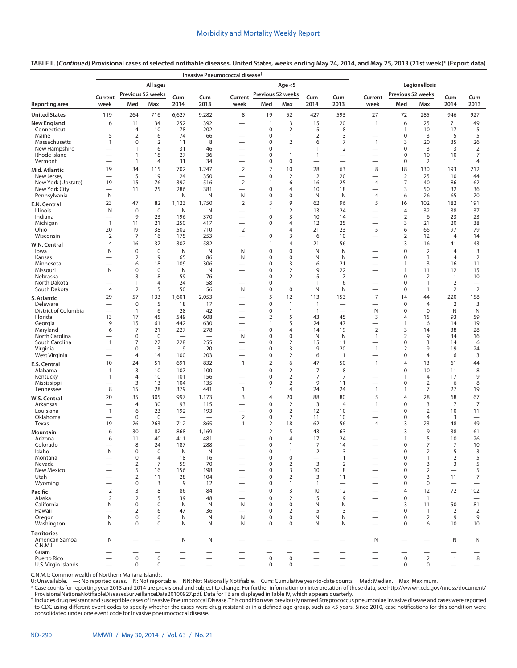**TABLE II. (***Continued***) Provisional cases of selected notifiable diseases, United States, weeks ending May 24, 2014, and May 25, 2013 (21st week)\* ([Export data](https://data.cdc.gov/NNDSS/NNDSS-Table-II-Invasive-Pneumococcal-to-Legionello/23gt-ssfe))**

|                                     |                                  |                              |                   |                          |                          | Invasive Pneumococcal disease <sup>†</sup> |                             |                                  |                                            |                          |                               |                                  |                      |                                 |                          |
|-------------------------------------|----------------------------------|------------------------------|-------------------|--------------------------|--------------------------|--------------------------------------------|-----------------------------|----------------------------------|--------------------------------------------|--------------------------|-------------------------------|----------------------------------|----------------------|---------------------------------|--------------------------|
|                                     |                                  |                              | All ages          |                          |                          |                                            |                             | Age $<$ 5                        |                                            |                          |                               |                                  | Legionellosis        |                                 |                          |
|                                     | Current                          | Previous 52 weeks            |                   | Cum                      | Cum                      | Current                                    | Previous 52 weeks           |                                  | Cum                                        | Cum                      | Current                       | Previous 52 weeks                |                      | Cum                             | Cum                      |
| Reporting area                      | week                             | Med                          | Max               | 2014                     | 2013                     | week                                       | Med                         | Max                              | 2014                                       | 2013                     | week                          | Med                              | Max                  | 2014                            | 2013                     |
| <b>United States</b>                | 119                              | 264                          | 716               | 6,627                    | 9,282                    | 8                                          | 19                          | 52                               | 427                                        | 593                      | 27                            | 72                               | 285                  | 946                             | 927                      |
| New England                         | 6                                | 11                           | 34                | 252                      | 392                      |                                            | $\mathbf{1}$                | 3                                | 15<br>5                                    | 20                       | $\mathbf{1}$                  | 6                                | 25<br>10             | 71                              | 49<br>5                  |
| Connecticut<br>Maine                | 5                                | 4<br>$\overline{2}$          | 10<br>6           | 78<br>74                 | 202<br>66                |                                            | $\mathbf 0$<br>$\mathbf 0$  | $\overline{2}$<br>$\mathbf{1}$   | $\overline{2}$                             | 8<br>3                   | $\overline{\phantom{0}}$      | 1<br>$\mathbf 0$                 | 3                    | 17<br>5                         | 5                        |
| Massachusetts                       | $\mathbf{1}$                     | 0                            | $\overline{2}$    | 11                       | 8                        | <u>—</u>                                   | $\mathbf 0$                 | $\overline{2}$                   | 6                                          | 7                        | 1                             | 3                                | 20                   | 35                              | 26                       |
| New Hampshire<br>Rhode Island       |                                  | $\mathbf{1}$<br>$\mathbf{1}$ | 6<br>18           | 31<br>27                 | 46<br>36                 | $\overline{\phantom{0}}$<br>-              | $\mathbf 0$<br>$\mathbf 0$  | $\mathbf{1}$<br>$\mathbf{1}$     | 1<br>1                                     | $\overline{2}$           | $\overline{\phantom{0}}$      | $\mathbf 0$<br>$\mathbf 0$       | 3<br>10              | 3<br>10                         | $\overline{2}$<br>7      |
| Vermont                             |                                  | $\mathbf{1}$                 | 4                 | 31                       | 34                       | -                                          | $\mathbf 0$                 | $\mathbf 0$                      |                                            |                          | —                             | $\mathbf 0$                      | $\overline{2}$       | $\overline{1}$                  | 4                        |
| Mid. Atlantic                       | 19                               | 34                           | 115               | 702                      | 1,247                    | 2                                          | $\overline{2}$              | 10                               | 28                                         | 63                       | 8                             | 18                               | 130                  | 193                             | 212                      |
| New Jersey                          | $\overline{\phantom{0}}$<br>19   | 5                            | 19<br>76          | 24<br>392                | 350<br>516               | $\overline{\phantom{0}}$<br>$\overline{2}$ | $\mathbf 0$<br>$\mathbf{1}$ | $\overline{2}$<br>6              | $\overline{2}$                             | 20<br>25                 |                               | $\overline{2}$<br>7              | 25<br>40             | 10<br>86                        | 44<br>62                 |
| New York (Upstate)<br>New York City | $\overline{\phantom{0}}$         | 15<br>11                     | 25                | 286                      | 381                      | $\overline{\phantom{0}}$                   | $\mathbf 0$                 | $\overline{4}$                   | 16<br>10                                   | 18                       | 4                             | 3                                | 50                   | 32                              | 36                       |
| Pennsylvania                        | N                                |                              |                   | Ν                        | N                        | N                                          | $\mathbf 0$                 | $\mathbf 0$                      | Ν                                          | N                        | $\overline{4}$                | 6                                | 26                   | 65                              | 70                       |
| E.N. Central                        | 23                               | 47                           | 82                | 1,123                    | 1,750                    | $\overline{2}$                             | 3                           | 9                                | 62                                         | 96                       | 5                             | 16                               | 102                  | 182                             | 191                      |
| <b>Illinois</b><br>Indiana          | N<br>$\overline{\phantom{0}}$    | $\mathbf 0$<br>9             | $\mathbf 0$<br>23 | N<br>196                 | N<br>370                 | -<br>$\overline{\phantom{0}}$              | 1<br>$\mathbf 0$            | $\overline{2}$<br>3              | 13<br>10                                   | 24<br>14                 | —<br>-                        | $\overline{4}$<br>$\overline{2}$ | 32<br>6              | 38<br>23                        | 37<br>23                 |
| Michigan                            | $\overline{1}$                   | 11                           | 21                | 250                      | 417                      | $\overline{\phantom{0}}$                   | $\mathbf 0$                 | $\overline{4}$                   | 12                                         | 25                       |                               | 3                                | 21                   | 20                              | 38                       |
| Ohio                                | 20                               | 19                           | 38                | 502                      | 710                      | $\overline{2}$                             | $\mathbf{1}$                | 4                                | 21                                         | 23                       | 5                             | 6                                | 66                   | 97                              | 79                       |
| Wisconsin                           | 2<br>$\overline{4}$              | 7<br>16                      | 16<br>37          | 175<br>307               | 253<br>582               | $\overline{\phantom{0}}$<br>-              | $\Omega$<br>1               | 3<br>$\overline{4}$              | 6<br>21                                    | 10<br>56                 | $\overline{\phantom{0}}$      | $\overline{2}$<br>3              | 12<br>16             | $\overline{4}$<br>41            | 14<br>43                 |
| W.N. Central<br>lowa                | N                                | $\mathbf 0$                  | $\mathbf 0$       | N                        | N                        | N                                          | $\mathbf 0$                 | $\mathbf 0$                      | N                                          | N                        | —                             | $\Omega$                         | $\overline{2}$       | $\overline{4}$                  | 3                        |
| Kansas                              | $\overline{\phantom{0}}$         | 2                            | 9                 | 65                       | 86                       | N                                          | $\mathbf 0$                 | $\mathbf 0$                      | N                                          | N                        |                               | $\mathbf 0$                      | 3                    | $\overline{4}$                  | $\overline{2}$           |
| Minnesota                           | $\overline{\phantom{0}}$         | 6<br>$\mathbf 0$             | 18<br>0           | 109<br>N                 | 306<br>N                 |                                            | $\mathbf 0$<br>$\mathbf 0$  | 3<br>$\overline{2}$              | 6<br>9                                     | 21<br>22                 | -                             | $\mathbf{1}$<br>$\mathbf{1}$     | 3<br>11              | 16                              | 11<br>15                 |
| Missouri<br>Nebraska                | N                                | 3                            | 8                 | 59                       | 76                       | -                                          | $\mathbf 0$                 | $\overline{2}$                   | 5                                          | 7                        | —                             | $\mathbf 0$                      | 2                    | 12<br>$\mathbf{1}$              | 10                       |
| North Dakota                        | $\overline{\phantom{0}}$         | 1                            | 4                 | 24                       | 58                       |                                            | $\mathbf 0$                 | $\mathbf{1}$                     | $\mathbf{1}$                               | 6                        | -                             | 0                                | $\mathbf{1}$         | $\overline{2}$                  |                          |
| South Dakota                        | 4<br>29                          | $\overline{2}$<br>57         | 5<br>133          | 50<br>1,601              | 56<br>2,053              | N                                          | $\mathbf 0$<br>5            | $\mathbf 0$<br>12                | Ν<br>113                                   | Ν<br>153                 | —<br>$\overline{7}$           | 0<br>14                          | 1<br>44              | $\overline{2}$<br>220           | $\overline{2}$<br>158    |
| S. Atlantic<br>Delaware             |                                  | $\mathbf 0$                  | 5                 | 18                       | 17                       |                                            | $\mathbf 0$                 | $\mathbf{1}$                     | $\mathbf{1}$                               | -                        | -                             | $\mathbf 0$                      | $\overline{4}$       | $\overline{2}$                  | 3                        |
| District of Columbia                |                                  | $\mathbf{1}$                 | 6                 | 28                       | 42                       |                                            | 0                           | $\mathbf{1}$                     | $\mathbf{1}$                               | $\overline{\phantom{0}}$ | N                             | 0                                | 0                    | N                               | N                        |
| Florida                             | 13                               | 17<br>15                     | 45                | 549                      | 608                      | -                                          | 2<br>$\mathbf{1}$           | 5                                | 43                                         | 45                       | 3<br>$\overline{\phantom{0}}$ | $\overline{4}$<br>$\mathbf{1}$   | 15                   | 93<br>14                        | 59                       |
| Georgia<br>Maryland                 | 9<br>6                           | 7                            | 61<br>21          | 442<br>227               | 630<br>278               | -                                          | $\mathbf 0$                 | 5<br>$\overline{4}$              | 24<br>14                                   | 47<br>19                 | $\overline{2}$                | 3                                | 6<br>14              | 38                              | 19<br>28                 |
| North Carolina                      |                                  | 0                            | $\mathbf 0$       |                          |                          | N                                          | $\mathbf 0$                 | $\mathbf 0$                      | N                                          | N                        | 1                             | $\overline{2}$                   | 9                    | 34                              | 16                       |
| South Carolina<br>Virginia          | $\mathbf{1}$                     | 7<br>$\mathbf 0$             | 27<br>3           | 228<br>9                 | 255<br>20                | $\overline{\phantom{0}}$                   | $\mathbf 0$<br>$\mathbf 0$  | $\overline{2}$<br>3              | 15<br>9                                    | 11<br>20                 | $\mathbf{1}$                  | $\mathbf 0$<br>2                 | 3<br>9               | 14<br>19                        | 6<br>24                  |
| West Virginia                       |                                  | 4                            | 14                | 100                      | 203                      | -                                          | 0                           | $\overline{2}$                   | 6                                          | 11                       | $\overline{\phantom{0}}$      | $\mathbf 0$                      | 4                    | 6                               | 3                        |
| E.S. Central                        | 10                               | 24                           | 51                | 691                      | 832                      | $\mathbf{1}$                               | $\overline{2}$              | 6                                | 47                                         | 50                       | $\overline{1}$                | 4                                | 13                   | 61                              | 44                       |
| Alabama                             | $\mathbf{1}$                     | 3                            | 10                | 107                      | 100                      |                                            | $\mathbf 0$                 | $\overline{2}$                   | $\overline{7}$                             | 8                        |                               | $\mathbf 0$                      | 10                   | 11                              | 8                        |
| Kentucky<br>Mississippi             | 1<br>$\overline{\phantom{0}}$    | 4<br>3                       | 10<br>13          | 101<br>104               | 156<br>135               | -<br>-                                     | $\mathbf 0$<br>$\mathbf 0$  | $\overline{2}$<br>$\overline{2}$ | $\overline{7}$<br>9                        | 7<br>11                  | —<br>—                        | 1<br>0                           | 4<br>$\overline{2}$  | 17<br>6                         | 9<br>8                   |
| Tennessee                           | 8                                | 15                           | 28                | 379                      | 441                      | $\mathbf{1}$                               | $\mathbf{1}$                | 4                                | 24                                         | 24                       | $\mathbf{1}$                  | $\mathbf{1}$                     | 7                    | 27                              | 19                       |
| W.S. Central                        | 20                               | 35                           | 305               | 997                      | 1,173                    | 3                                          | $\overline{4}$              | 20                               | 88                                         | 80                       | 5                             | 4                                | 28                   | 68                              | 67                       |
| Arkansas<br>Louisiana               | $\mathbf{1}$                     | 4<br>6                       | 30<br>23          | 93<br>192                | 115<br>193               | -                                          | $\mathbf 0$<br>$\mathbf 0$  | $\overline{2}$<br>$\overline{2}$ | 3<br>12                                    | $\overline{4}$<br>10     | 1                             | $\mathbf 0$<br>$\mathbf 0$       | 3<br>2               | $\overline{7}$<br>10            | $\overline{7}$<br>11     |
| Oklahoma                            | $\overline{\phantom{0}}$         | 0                            | 0                 | $\overline{\phantom{0}}$ | $\overline{\phantom{0}}$ | $\overline{2}$                             | 0                           | $\overline{2}$                   | 11                                         | 10                       | -                             | 0                                | 4                    | 3                               | $\overline{\phantom{0}}$ |
| Texas                               | 19                               | 26                           | 263               | 712                      | 865                      | $\mathbf{1}$                               | 2                           | 18                               | 62                                         | 56                       | 4                             | 3                                | 23                   | 48                              | 49                       |
| Mountain                            | 6                                | 30                           | 82                | 868                      | 1,169                    |                                            | $\overline{2}$              | 5                                | 43                                         | 63                       |                               | 3                                | 9                    | 38                              | 61                       |
| Arizona<br>Colorado                 | 6                                | 11<br>8                      | 40<br>24          | 411<br>187               | 481<br>288               |                                            | $\mathbf 0$<br>$\mathbf 0$  | $\overline{4}$<br>1              | 17<br>7                                    | 24<br>14                 |                               | 1<br>0                           | 5<br>7               | 10<br>7                         | 26<br>10                 |
| ldaho                               | N                                | 0                            | 0                 | N                        | N                        |                                            | 0                           |                                  | 2                                          | 3                        |                               | 0                                | 2                    | 5                               | 3                        |
| Montana<br>Nevada                   |                                  | 0<br>$\overline{2}$          | 4<br>7            | 18<br>59                 | 16<br>70                 |                                            | 0<br>0                      | $\pmb{0}$<br>$\overline{2}$      | $\overline{\phantom{0}}$<br>$\overline{3}$ | $\mathbf{1}$<br>2        |                               | $\mathbf 0$<br>$\mathbf 0$       | 1<br>3               | $\overline{2}$<br>3             | 5<br>5                   |
| New Mexico                          |                                  | 5                            | 16                | 156                      | 198                      |                                            | 0                           | 3                                | 10                                         | 8                        |                               | $\mathbf 0$                      | $\overline{2}$       |                                 | 5                        |
| Utah                                |                                  | $\overline{2}$               | 11                | 28                       | 104                      |                                            | 0                           | $\overline{2}$                   | 3                                          | 11                       |                               | $\mathbf 0$                      | 3                    | 11                              | 7                        |
| Wyoming                             | $\overline{\phantom{0}}$         | 0                            | 3                 | 9                        | 12                       |                                            | 0                           | $\mathbf{1}$                     | $\mathbf{1}$                               | $\qquad \qquad$          | —                             | 0                                | 0                    | $\qquad \qquad$                 | $\overline{\phantom{0}}$ |
| Pacific<br>Alaska                   | $\overline{2}$<br>$\overline{2}$ | 3<br>$\overline{2}$          | 8<br>5            | 86<br>39                 | 84<br>48                 |                                            | $\mathbf 0$<br>$\mathbf 0$  | 3<br>$\overline{2}$              | 10<br>5                                    | 12<br>9                  |                               | $\overline{4}$<br>$\mathbf 0$    | 12<br>$\overline{1}$ | 72<br>$\overline{1}$            | 102<br>$\qquad \qquad -$ |
| California                          | N                                | $\mathbf 0$                  | 0                 | N                        | N                        | N                                          | $\mathbf 0$                 | $\mathbf 0$                      | Ν                                          | N                        |                               | 3                                | 11                   | 50                              | 81                       |
| Hawaii                              |                                  | $\overline{2}$               | 6                 | 47                       | 36                       | $\overline{\phantom{0}}$                   | $\mathbf 0$                 | $\overline{2}$                   | 5                                          | 3                        |                               | $\mathbf 0$                      | $\mathbf{1}$         | 2                               | $\overline{2}$           |
| Oregon<br>Washington                | N<br>N                           | 0<br>$\mathbf 0$             | 0<br>0            | N<br>N                   | N<br>N                   | N<br>N                                     | 0<br>$\mathbf 0$            | $\mathbf 0$<br>$\mathbf 0$       | Ν<br>Ν                                     | Ν<br>N                   | $\overline{\phantom{0}}$      | $\mathbf 0$<br>0                 | $\overline{2}$<br>6  | 9<br>10                         | 9<br>10                  |
| <b>Territories</b>                  |                                  |                              |                   |                          |                          |                                            |                             |                                  |                                            |                          |                               |                                  |                      |                                 |                          |
| American Samoa                      | N                                |                              |                   | N                        | N                        |                                            |                             |                                  |                                            |                          | N                             |                                  |                      | N                               | N                        |
| C.N.M.I.<br>Guam                    |                                  |                              |                   |                          |                          |                                            | $\overline{\phantom{0}}$    |                                  |                                            | $\overline{\phantom{0}}$ |                               |                                  |                      | $\overline{\phantom{0}}$        | $\qquad \qquad$          |
| Puerto Rico                         | $\overline{\phantom{0}}$         | $\mathbf 0$                  | $\mathbf 0$       |                          |                          |                                            | 0                           | $\pmb{0}$                        |                                            | $\overline{\phantom{0}}$ |                               | $\mathbf 0$                      | $\overline{2}$       | $\qquad \qquad$<br>$\mathbf{1}$ | 8                        |
| U.S. Virgin Islands                 | $\overbrace{\phantom{13333}}$    | $\mathbf 0$                  | $\pmb{0}$         | $\overline{\phantom{0}}$ |                          |                                            | $\mathbf 0$                 | $\mathbf 0$                      |                                            |                          |                               | $\mathbf 0$                      | 0                    | $\overline{\phantom{0}}$        | $\overline{\phantom{0}}$ |

C.N.M.I.: Commonwealth of Northern Mariana Islands.

U: Unavailable. —: No reported cases. N: Not reportable. NN: Not Nationally Notifiable. Cum: Cumulative year-to-date counts. Med: Median. Max: Maximum.

\* Case counts for reporting year 2013 and 2014 are provisional and subject to change. For further information on interpretation of these data, see [http://wwwn.cdc.gov/nndss/document/](http://wwwn.cdc.gov/nndss/document/ProvisionalNationaNotifiableDiseasesSurveillanceData20100927.pdf)<br>ProvisionalNationaNotifiableDiseasesSur

[ProvisionalNationaNotifiableDiseasesSurveillanceData20100927.pdf](http://wwwn.cdc.gov/nndss/document/ProvisionalNationaNotifiableDiseasesSurveillanceData20100927.pdf). Data for TB are displayed in Table IV, which appears quarterly.<br>Thcludes drug resistant and susceptible cases of Invasive Pneumococcal Disease. This conditi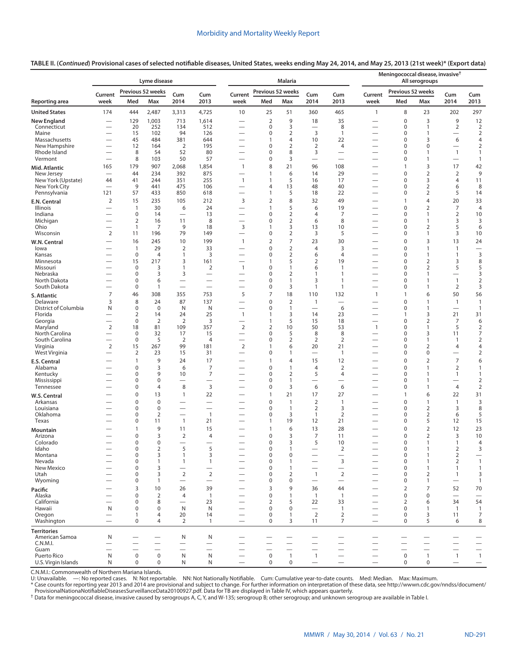**TABLE II. (***Continued***) Provisional cases of selected notifiable diseases, United States, weeks ending May 24, 2014, and May 25, 2013 (21st week)\* ([Export data](https://data.cdc.gov/NNDSS/NNDSS-Table-II-Lyme-disease-to-Meningococcal/y6uv-t34t))**

|                                  |                                                      |                                 | Lyme disease             |                                                      |                                                      |                                                      |                              | <b>Malaria</b>                 |                                |                                  |                                                      | Meningococcal disease, invasive <sup>†</sup> | All serogroups                 |                                            |                                  |
|----------------------------------|------------------------------------------------------|---------------------------------|--------------------------|------------------------------------------------------|------------------------------------------------------|------------------------------------------------------|------------------------------|--------------------------------|--------------------------------|----------------------------------|------------------------------------------------------|----------------------------------------------|--------------------------------|--------------------------------------------|----------------------------------|
|                                  | Current                                              |                                 | Previous 52 weeks        | Cum                                                  | Cum                                                  | Current                                              | Previous 52 weeks            |                                | Cum                            | Cum                              | Current                                              | Previous 52 weeks                            |                                | Cum                                        | Cum                              |
| Reporting area                   | week                                                 | Med                             | Max                      | 2014                                                 | 2013                                                 | week                                                 | Med                          | Max                            | 2014                           | 2013                             | week                                                 | Med                                          | Max                            | 2014                                       | 2013                             |
| <b>United States</b>             | 174                                                  | 444                             | 2,487                    | 3,313                                                | 4,725                                                | 10                                                   | 25                           | 51                             | 360                            | 465                              | 1                                                    | 8                                            | 23                             | 202                                        | 297                              |
| <b>New England</b>               |                                                      | 129                             | 1,003                    | 713                                                  | 1,614                                                |                                                      | $\overline{2}$               | 9                              | 18                             | 35                               |                                                      | $\mathbf 0$                                  | 3                              | 9                                          | 12                               |
| Connecticut<br>Maine             | $\overline{\phantom{0}}$                             | 20<br>15                        | 252<br>102               | 134<br>94                                            | 512<br>126                                           | $\overline{\phantom{0}}$                             | 0<br>$\mathbf 0$             | 3<br>$\overline{2}$            | 3                              | 8<br>$\mathbf{1}$                | $\overline{\phantom{0}}$                             | 0<br>$\mathbf 0$                             | 1<br>$\mathbf{1}$              | $\overline{2}$<br>$\overline{\phantom{0}}$ | $\overline{2}$<br>$\overline{2}$ |
| Massachusetts                    | $\overline{\phantom{0}}$                             | 45                              | 484                      | 381                                                  | 644                                                  |                                                      | $\mathbf{1}$                 | $\overline{4}$                 | 10                             | 22                               | $\overline{\phantom{0}}$                             | 0                                            | 3                              | 6                                          | 4                                |
| New Hampshire<br>Rhode Island    | —                                                    | 12<br>8                         | 164<br>54                | $\overline{2}$<br>52                                 | 195<br>80                                            | $\overline{\phantom{0}}$                             | $\mathbf 0$<br>$\mathbf 0$   | $\overline{2}$<br>8            | 2<br>3                         | $\overline{4}$                   | —<br>$\overline{\phantom{0}}$                        | $\mathbf 0$<br>0                             | 0<br>$\mathbf{1}$              | $\overline{\phantom{0}}$<br>$\mathbf{1}$   | $\overline{2}$<br>$\mathbf{1}$   |
| Vermont                          |                                                      | 8                               | 103                      | 50                                                   | 57                                                   | $\overline{\phantom{0}}$                             | $\mathbf 0$                  | 3                              | $\overline{\phantom{0}}$       | $\overline{\phantom{0}}$         | $\overline{\phantom{0}}$                             | 0                                            | $\mathbf{1}$                   |                                            | $\mathbf{1}$                     |
| Mid. Atlantic                    | 165                                                  | 179                             | 907                      | 2,068                                                | 1,854                                                | $\mathbf{1}$                                         | 8                            | 21                             | 96                             | 108                              |                                                      | $\mathbf{1}$                                 | 3                              | 17                                         | 42                               |
| New Jersey<br>New York (Upstate) | $\overline{\phantom{0}}$<br>44                       | 44<br>41                        | 234<br>244               | 392<br>351                                           | 875<br>255                                           | $\overline{\phantom{0}}$<br>$\mathbf{1}$             | $\mathbf{1}$<br>$\mathbf{1}$ | 6<br>5                         | 14<br>16                       | 29<br>17                         | $\overline{\phantom{0}}$                             | $\mathbf 0$<br>0                             | $\overline{2}$<br>3            | $\overline{2}$<br>4                        | 9<br>11                          |
| New York City                    |                                                      | 9                               | 441                      | 475                                                  | 106                                                  | $\overline{\phantom{0}}$                             | $\overline{4}$               | 13                             | 48                             | 40                               | $\overline{\phantom{0}}$                             | $\mathbf 0$                                  | $\overline{2}$                 | 6                                          | 8                                |
| Pennsylvania                     | 121                                                  | 57                              | 433                      | 850                                                  | 618                                                  | $\overline{\phantom{0}}$                             | 1                            | 5                              | 18                             | 22                               |                                                      | 0                                            | $\overline{2}$                 | 5                                          | 14                               |
| E.N. Central                     | $\overline{2}$                                       | 15                              | 235                      | 105                                                  | 212                                                  | 3                                                    | $\overline{2}$               | 8                              | 32                             | 49                               |                                                      | $\mathbf{1}$                                 | 4                              | 20                                         | 33                               |
| Illinois<br>Indiana              | $\overline{\phantom{0}}$<br>$\overline{\phantom{0}}$ | $\mathbf{1}$<br>0               | 30<br>14                 | 6<br>$\overline{\phantom{m}}$                        | 24<br>13                                             | $\overline{\phantom{0}}$<br>$\overline{\phantom{0}}$ | $\mathbf{1}$<br>$\mathbf 0$  | 5<br>$\overline{2}$            | 6<br>$\overline{4}$            | 19<br>7                          | $\overline{\phantom{0}}$<br>—                        | $\mathbf 0$<br>$\mathbf 0$                   | $\overline{2}$<br>1            | $\overline{7}$<br>$\overline{2}$           | $\overline{4}$<br>10             |
| Michigan                         |                                                      | $\overline{2}$                  | 16                       | 11                                                   | 8                                                    | $\overline{\phantom{0}}$                             | 0                            | $\overline{2}$                 | 6                              | 8                                | $\overline{\phantom{0}}$                             | 0                                            | 1                              | 3                                          | 3                                |
| Ohio<br>Wisconsin                | 2                                                    | $\mathbf{1}$<br>11              | 7<br>196                 | 9<br>79                                              | 18<br>149                                            | 3                                                    | $\mathbf{1}$<br>$\pmb{0}$    | 3<br>2                         | 13<br>3                        | 10<br>5                          | $\overline{\phantom{0}}$                             | 0<br>$\mathbf 0$                             | $\overline{2}$<br>1            | 5<br>3                                     | 6<br>10                          |
| W.N. Central                     |                                                      | 16                              | 245                      | 10                                                   | 199                                                  | $\mathbf{1}$                                         | $\overline{2}$               | $\overline{7}$                 | 23                             | 30                               |                                                      | $\mathbf 0$                                  | 3                              | 13                                         | 24                               |
| lowa                             |                                                      | $\mathbf{1}$                    | 29                       | $\overline{2}$                                       | 33                                                   | $\overline{\phantom{0}}$                             | 0                            | $\overline{2}$                 | 4                              | 3                                | $\overline{\phantom{0}}$                             | $\mathbf 0$                                  | $\mathbf{1}$                   | $\mathbf{1}$                               | $\overbrace{\phantom{12322111}}$ |
| Kansas<br>Minnesota              |                                                      | $\mathbf 0$<br>15               | $\overline{4}$<br>217    | $\mathbf{1}$<br>3                                    | 3<br>161                                             | $\overline{\phantom{0}}$                             | $\mathbf 0$<br>$\mathbf{1}$  | $\overline{2}$<br>5            | 6<br>$\overline{2}$            | $\overline{4}$<br>19             | —<br>$\overline{\phantom{0}}$                        | 0<br>0                                       | $\mathbf{1}$<br>$\overline{2}$ | 1<br>3                                     | 3<br>8                           |
| Missouri                         |                                                      | 0                               | 3                        | $\mathbf{1}$                                         | $\overline{2}$                                       | $\mathbf{1}$                                         | $\mathbf 0$                  | $\mathbf{1}$                   | 6                              | $\mathbf{1}$                     |                                                      | $\mathbf 0$                                  | $\overline{2}$                 | 5                                          | 5                                |
| Nebraska                         |                                                      | $\pmb{0}$                       | 3                        | 3                                                    |                                                      | -                                                    | $\mathbf 0$                  | 2                              | 1                              | $\mathbf{1}$                     |                                                      | $\mathbf 0$                                  | $\mathbf{1}$                   | $\qquad \qquad$                            | 3                                |
| North Dakota<br>South Dakota     |                                                      | $\mathbf 0$<br>$\pmb{0}$        | 6<br>$\mathbf{1}$        | $\overline{\phantom{0}}$<br>$\overline{\phantom{0}}$ | $\overline{\phantom{0}}$<br>$\overline{\phantom{0}}$ | $\overline{\phantom{0}}$                             | $\mathbf 0$<br>0             | $\mathbf{1}$<br>3              | 3<br>$\mathbf{1}$              | $\mathbf{1}$<br>$\mathbf{1}$     | $\overline{\phantom{0}}$<br>$\overline{\phantom{0}}$ | $\mathbf 0$<br>$\mathbf 0$                   | $\mathbf{1}$<br>1              | $\mathbf{1}$<br>2                          | $\overline{2}$<br>3              |
| S. Atlantic                      | 7                                                    | 46                              | 308                      | 355                                                  | 753                                                  | 5                                                    | 7                            | 18                             | 110                            | 132                              | $\mathbf{1}$                                         | $\mathbf{1}$                                 | 6                              | 50                                         | 56                               |
| Delaware                         | 3                                                    | 8                               | 24                       | 87                                                   | 137                                                  |                                                      | $\mathbf 0$                  | $\overline{2}$                 | $\mathbf{1}$                   |                                  |                                                      | $\mathbf 0$                                  | $\mathbf{1}$                   | $\mathbf{1}$                               | $\mathbf{1}$                     |
| District of Columbia<br>Florida  | N                                                    | 0<br>$\overline{2}$             | $\mathbf 0$<br>14        | N<br>24                                              | N<br>25                                              | -<br>$\mathbf{1}$                                    | 0<br>1                       | $\mathbf{1}$<br>3              | $\overline{\phantom{0}}$<br>14 | 6<br>23                          |                                                      | $\mathbf 0$<br>1                             | $\mathbf{1}$<br>3              | $\overline{\phantom{0}}$<br>21             | $\overline{1}$<br>31             |
| Georgia                          |                                                      | $\mathbf 0$                     | 2                        | $\overline{2}$                                       | 3                                                    | $\overline{\phantom{0}}$                             | $\mathbf{1}$                 | 5                              | 15                             | 18                               | $\overline{\phantom{0}}$                             | $\mathbf 0$                                  | $\overline{2}$                 | 7                                          | 6                                |
| Maryland                         | 2                                                    | 18                              | 81                       | 109                                                  | 357                                                  | 2                                                    | $\overline{2}$               | 10                             | 50                             | 53                               | $\mathbf{1}$                                         | $\mathbf 0$                                  | 1                              | 5                                          | $\overline{2}$                   |
| North Carolina<br>South Carolina | $\overline{\phantom{0}}$<br>$\overline{\phantom{0}}$ | $\mathbf 0$<br>$\boldsymbol{0}$ | 32<br>5                  | 17<br>$\overline{2}$                                 | 15<br>$\overline{4}$                                 | $\overline{\phantom{0}}$                             | 0<br>$\mathbf 0$             | 5<br>2                         | 8<br>2                         | 8<br>2                           | $\overline{\phantom{0}}$                             | $\mathbf 0$<br>$\mathbf 0$                   | 3<br>1                         | 11<br>$\mathbf{1}$                         | $\overline{7}$<br>$\overline{2}$ |
| Virginia                         | 2                                                    | 15                              | 267                      | 99                                                   | 181                                                  | 2                                                    | 1                            | 6                              | 20                             | 21                               |                                                      | $\mathbf 0$                                  | $\overline{2}$                 | $\overline{4}$                             | 4                                |
| West Virginia                    | —                                                    | $\overline{2}$                  | 23<br>9                  | 15                                                   | 31                                                   | $\overline{\phantom{0}}$                             | $\mathbf 0$                  | $\mathbf{1}$                   |                                | $\mathbf{1}$                     |                                                      | $\mathbf 0$                                  | 0                              | —                                          | $\overline{2}$                   |
| E.S. Central<br>Alabama          |                                                      | 1<br>$\mathbf 0$                | 3                        | 24<br>6                                              | 17<br>7                                              | —                                                    | 1<br>$\mathbf 0$             | $\overline{4}$<br>$\mathbf{1}$ | 15<br>$\overline{4}$           | 12<br>$\overline{2}$             |                                                      | $\mathbf 0$<br>$\mathbf 0$                   | $\overline{2}$<br>$\mathbf{1}$ | $\overline{7}$<br>$\overline{2}$           | 6<br>$\mathbf{1}$                |
| Kentucky                         |                                                      | $\mathbf 0$                     | 9                        | 10                                                   | 7                                                    |                                                      | $\mathbf 0$                  | $\overline{2}$                 | 5                              | $\overline{4}$                   | $\overline{\phantom{0}}$                             | $\mathbf 0$                                  | $\mathbf{1}$                   | $\mathbf{1}$                               | $\mathbf{1}$                     |
| Mississippi<br>Tennessee         |                                                      | $\mathbf 0$<br>$\mathbf 0$      | 0<br>4                   | 8                                                    | 3                                                    |                                                      | $\mathbf 0$<br>$\mathbf 0$   | $\mathbf{1}$<br>3              | $\overline{\phantom{0}}$<br>6  | -<br>6                           |                                                      | $\mathbf 0$<br>$\mathbf 0$                   | $\mathbf{1}$<br>$\mathbf{1}$   | $\overline{4}$                             | $\overline{2}$<br>$\overline{2}$ |
| W.S. Central                     |                                                      | $\mathbf 0$                     | 13                       | $\mathbf{1}$                                         | 22                                                   |                                                      | $\mathbf{1}$                 | 21                             | 17                             | 27                               |                                                      | $\mathbf{1}$                                 | 6                              | 22                                         | 31                               |
| Arkansas                         |                                                      | $\mathbf 0$                     | 0                        | $\overline{\phantom{0}}$                             |                                                      |                                                      | $\mathbf 0$                  | $\mathbf{1}$                   | $\overline{2}$                 | $\mathbf{1}$                     |                                                      | $\mathbf 0$                                  | $\mathbf{1}$                   | $\mathbf{1}$                               | 3                                |
| Louisiana                        |                                                      | $\mathbf 0$                     | 0                        |                                                      | $\overline{\phantom{0}}$                             |                                                      | $\pmb{0}$                    | $\mathbf{1}$                   | $\overline{2}$                 | 3                                |                                                      | $\mathbf 0$                                  | $\overline{2}$                 | 3                                          | 8                                |
| Oklahoma<br>Texas                |                                                      | 0<br>0                          | $\overline{2}$<br>11     | $\overline{\phantom{0}}$<br>$\mathbf{1}$             | $\overline{1}$<br>21                                 | -                                                    | 0<br>1                       | 3<br>19                        | $\mathbf{1}$<br>12             | 2<br>21                          | —                                                    | $\mathbf 0$<br>$\mathbf 0$                   | $\overline{2}$<br>5            | 6<br>12                                    | 5<br>15                          |
| Mountain                         |                                                      | $\mathbf{1}$                    | 9                        | 11                                                   | 15                                                   |                                                      | $\mathbf{1}$                 | 6                              | 13                             | 28                               |                                                      | $\mathbf 0$                                  | $\overline{2}$                 | 12                                         | 23                               |
| Arizona                          |                                                      | $\pmb{0}$                       | 3                        | $\overline{2}$                                       | 4                                                    |                                                      | $\pmb{0}$                    | 3                              | 7                              | 11                               |                                                      | $\mathbf 0$                                  | $\overline{2}$                 | 3                                          | 10                               |
| Colorado<br>Idaho                |                                                      | $\mathbf 0$<br>0                | 0<br>2                   | $\overline{\phantom{0}}$<br>5                        | $\overline{\phantom{0}}$<br>5                        |                                                      | $\mathbf 0$<br>0             | 3<br>1                         | 5                              | 10<br>2                          | $\overline{\phantom{0}}$                             | $\mathbf 0$<br>$\mathbf 0$                   | 1<br>1                         | $\mathbf{1}$<br>$\overline{2}$             | $\overline{4}$<br>3              |
| Montana                          |                                                      | 0                               | 3                        | $\mathbf{1}$                                         | 3                                                    |                                                      | $\pmb{0}$                    | $\pmb{0}$                      |                                | -                                |                                                      | $\mathbf 0$                                  | 1                              | $\overline{2}$                             | $\qquad \qquad$                  |
| Nevada<br>New Mexico             |                                                      | $\mathbf 0$<br>$\mathbf 0$      | $\mathbf{1}$<br>3        | $\mathbf{1}$                                         | $\mathbf{1}$                                         |                                                      | $\mathbf 0$<br>$\mathbf 0$   | $\mathbf{1}$<br>$\mathbf{1}$   | -                              | 3<br>$\overline{\phantom{0}}$    | $\overline{\phantom{0}}$                             | $\mathbf 0$<br>$\mathbf 0$                   | $\mathbf{1}$<br>1              | $\overline{2}$<br>$\mathbf{1}$             | $\mathbf{1}$<br>$\mathbf{1}$     |
| Utah                             |                                                      | 0                               | 3                        | $\overline{2}$                                       | $\overline{2}$                                       | $\overline{\phantom{0}}$                             | $\mathbf 0$                  | $\overline{2}$                 | $\mathbf{1}$                   | $\mathbf 2$                      | $\overline{\phantom{0}}$                             | $\mathbf 0$                                  | $\overline{2}$                 | $\mathbf{1}$                               | 3                                |
| Wyoming                          |                                                      | 0                               | $\mathbf{1}$             |                                                      |                                                      |                                                      | 0                            | $\mathbf 0$                    |                                |                                  |                                                      | $\mathbf 0$                                  | $\mathbf{1}$                   | $\overline{\phantom{m}}$                   | $\mathbf{1}$                     |
| Pacific                          |                                                      | 3                               | 10                       | 26                                                   | 39                                                   |                                                      | 3                            | 9                              | 36                             | 44                               |                                                      | $\overline{2}$                               | $\overline{7}$                 | 52                                         | 70                               |
| Alaska<br>California             | $\overline{\phantom{0}}$                             | $\mathbf 0$<br>0                | $\mathbf 2$<br>8         | $\overline{4}$                                       | $\overline{1}$<br>23                                 |                                                      | $\mathbf 0$<br>2             | $\mathbf{1}$<br>5              | $\overline{1}$<br>22           | $\mathbf{1}$<br>33               |                                                      | $\mathbf 0$<br>$\overline{2}$                | $\mathbf 0$<br>6               | $\equiv$<br>34                             | $\overline{\phantom{0}}$<br>54   |
| Hawaii                           | N                                                    | $\mathbf 0$                     | 0                        | $\mathsf{N}$                                         | N                                                    | —                                                    | $\mathbf 0$                  | $\mathbf 0$                    |                                | $\mathbf{1}$                     | —                                                    | $\mathbf 0$                                  | $\mathbf{1}$                   | $\overline{1}$                             | $\overline{1}$                   |
| Oregon<br>Washington             | $\overline{\phantom{0}}$                             | $\mathbf{1}$<br>$\mathbf 0$     | 4<br>$\overline{4}$      | 20<br>$\overline{2}$                                 | 14<br>$\mathbf{1}$                                   | $\overline{\phantom{0}}$                             | $\mathbf 0$<br>$\mathbf 0$   | $\mathbf{1}$<br>3              | 2<br>11                        | $\overline{2}$<br>$\overline{7}$ |                                                      | $\mathbf 0$<br>$\mathbf 0$                   | 3<br>5                         | 11<br>6                                    | $\overline{7}$<br>8              |
| <b>Territories</b>               |                                                      |                                 |                          |                                                      |                                                      |                                                      |                              |                                |                                |                                  |                                                      |                                              |                                |                                            |                                  |
| American Samoa                   | N                                                    |                                 |                          | N                                                    | N                                                    |                                                      |                              |                                |                                |                                  |                                                      |                                              |                                |                                            |                                  |
| C.N.M.I.                         | $\overline{\phantom{0}}$                             | $\overline{\phantom{0}}$        | $\overline{\phantom{0}}$ | $\overline{\phantom{0}}$<br>$\overline{\phantom{0}}$ | $\overline{\phantom{0}}$<br>$\overline{\phantom{0}}$ |                                                      |                              |                                | $\overline{\phantom{0}}$       | $\overline{\phantom{0}}$         | $\overline{\phantom{0}}$                             |                                              | $\overline{\phantom{0}}$       | $\overline{\phantom{0}}$                   | $\overline{\phantom{0}}$         |
| Guam<br>Puerto Rico              | N                                                    | 0                               | $\mathbf 0$              | $\mathsf{N}$                                         | N                                                    | $\overline{\phantom{0}}$                             | 0                            | $\mathbf{1}$                   | $\mathbf{1}$                   |                                  |                                                      | $\mathbf 0$                                  | $\overline{1}$                 | $\overline{1}$                             | $\mathbf{1}$                     |
| U.S. Virgin Islands              | N                                                    | $\mathbf 0$                     | $\pmb{0}$                | N                                                    | N                                                    | $\overline{\phantom{0}}$                             | $\mathbf 0$                  | $\mathbf 0$                    |                                | $\overline{\phantom{0}}$         |                                                      | $\mathbf 0$                                  | 0                              | $\overline{\phantom{m}}$                   | $\overline{\phantom{m}}$         |

C.N.M.I.: Commonwealth of Northern Mariana Islands.

U: Unavailable. —: No reported cases. N: Not reportable. NN: Not Nationally Notifiable. Cum: Cumulative year-to-date counts. Med: Median. Max: Maximum.<br>\* Case counts for reporting year 2013 and 2014 are provisional and sub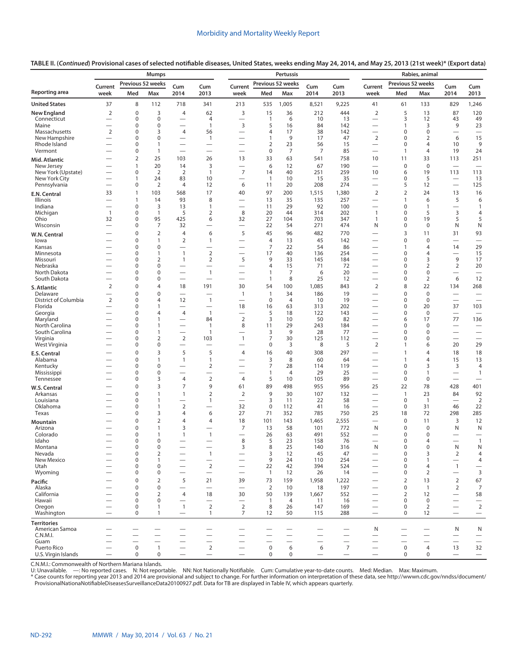|                                     |                                            |                          | <b>Mumps</b>                |                                                      |                                            |                                                      |                      | Pertussis            |                          |                          |                                                      |                               | Rabies, animal                                       |                                                      |                                                      |
|-------------------------------------|--------------------------------------------|--------------------------|-----------------------------|------------------------------------------------------|--------------------------------------------|------------------------------------------------------|----------------------|----------------------|--------------------------|--------------------------|------------------------------------------------------|-------------------------------|------------------------------------------------------|------------------------------------------------------|------------------------------------------------------|
|                                     | Current                                    | Previous 52 weeks        |                             | Cum                                                  | Cum                                        | Current                                              |                      | Previous 52 weeks    | Cum                      | Cum                      | Current                                              | Previous 52 weeks             |                                                      | Cum                                                  | Cum                                                  |
| <b>Reporting area</b>               | week                                       | Med                      | Max                         | 2014                                                 | 2013                                       | week                                                 | Med                  | Max                  | 2014                     | 2013                     | week                                                 | Med                           | Max                                                  | 2014                                                 | 2013                                                 |
| <b>United States</b>                | 37                                         | 8                        | 112                         | 718                                                  | 341                                        | 213                                                  | 535                  | 1,005                | 8,521                    | 9,225                    | 41                                                   | 61                            | 133                                                  | 829                                                  | 1,246                                                |
| <b>New England</b><br>Connecticut   | $\overline{2}$<br>$\overline{\phantom{0}}$ | $\mathbf 0$<br>0         | 3<br>$\mathbf 0$            | $\overline{4}$<br>$\overline{\phantom{0}}$           | 62<br>4                                    | 3<br>$\overline{\phantom{0}}$                        | 15<br>$\mathbf{1}$   | 36<br>6              | 212<br>10                | 444<br>13                | $\overline{2}$<br>$\overline{\phantom{0}}$           | 5<br>3                        | 13<br>12                                             | 87<br>43                                             | 120<br>49                                            |
| Maine                               | $\overline{\phantom{0}}$                   | 0                        | $\mathbf 0$                 | $\overline{\phantom{0}}$                             | $\mathbf{1}$                               | 3                                                    | 5                    | 16                   | 84                       | 142                      | $\overline{\phantom{0}}$                             | $\overline{1}$                | 3                                                    | 9                                                    | 23                                                   |
| Massachusetts                       | $\overline{2}$                             | 0                        | 3                           | $\overline{4}$                                       | 56                                         | $\overline{\phantom{0}}$                             | 4                    | 17                   | 38                       | 142                      | $\overline{\phantom{0}}$                             | $\mathbf 0$                   | 0                                                    |                                                      | $\overline{\phantom{0}}$                             |
| New Hampshire<br>Rhode Island       | $\overline{\phantom{0}}$                   | 0<br>0                   | $\mathbf 0$<br>1            | $\overline{\phantom{0}}$<br>$\overline{\phantom{0}}$ | $\overline{1}$<br>$\overline{\phantom{0}}$ | $\overline{\phantom{0}}$<br>$\overline{\phantom{0}}$ | $\mathbf{1}$<br>2    | 9<br>23              | 17<br>56                 | 47<br>15                 | $\overline{2}$<br>$\overbrace{\phantom{12322111}}$   | $\mathbf 0$<br>$\mathbf 0$    | 2<br>4                                               | 6<br>10                                              | 15<br>9                                              |
| Vermont                             |                                            | 0                        | 1                           |                                                      | $\overline{\phantom{0}}$                   | $\overline{\phantom{0}}$                             | 0                    | $\overline{7}$       | 7                        | 85                       | $\overline{\phantom{0}}$                             | $\overline{1}$                | 4                                                    | 19                                                   | 24                                                   |
| Mid. Atlantic                       |                                            | 2                        | 25                          | 103                                                  | 26                                         | 13                                                   | 33                   | 63                   | 541                      | 758                      | 10                                                   | 11                            | 33                                                   | 113                                                  | 251                                                  |
| New Jersey                          |                                            | 1                        | 20                          | 14                                                   | 3                                          | $\overline{\phantom{0}}$                             | 6                    | 12                   | 67                       | 190                      | $\overline{\phantom{0}}$                             | $\mathbf 0$                   | $\mathbf 0$                                          | $\overline{\phantom{0}}$                             |                                                      |
| New York (Upstate)<br>New York City | $\overline{\phantom{0}}$                   | 0<br>$\mathbf{1}$        | $\overline{2}$<br>24        | $\overline{2}$<br>83                                 | $\mathbf{1}$<br>10                         | $\overline{7}$<br>$\overline{\phantom{0}}$           | 14<br>$\overline{1}$ | 40<br>10             | 251<br>15                | 259<br>35                | 10<br>$\overline{\phantom{0}}$                       | 6<br>$\mathbf 0$              | 19<br>5                                              | 113                                                  | 113<br>13                                            |
| Pennsylvania                        |                                            | 0                        | $\overline{2}$              | 4                                                    | 12                                         | 6                                                    | 11                   | 20                   | 208                      | 274                      |                                                      | 5                             | 12                                                   | $\equiv$                                             | 125                                                  |
| E.N. Central                        | 33                                         | $\mathbf{1}$             | 103                         | 568                                                  | 17                                         | 40                                                   | 97                   | 200                  | 1,515                    | 1,380                    | $\overline{2}$                                       | $\overline{2}$                | 24                                                   | 13                                                   | 16                                                   |
| Illinois                            |                                            | $\mathbf{1}$             | 14                          | 93                                                   | 8                                          | $\overline{\phantom{0}}$                             | 13                   | 35                   | 135                      | 257                      | $\overline{\phantom{0}}$                             | $\mathbf{1}$                  | 6                                                    | 5                                                    | 6                                                    |
| Indiana<br>Michigan                 | $\overline{\phantom{0}}$<br>$\overline{1}$ | 0<br>0                   | 3<br>1                      | 13<br>5                                              | 1<br>$\overline{2}$                        | 8                                                    | 11<br>20             | 29<br>44             | 92<br>314                | 100<br>202               | $\overline{\phantom{0}}$<br>$\mathbf{1}$             | $\mathbf 0$<br>0              | $\mathbf{1}$<br>5                                    | $\overline{\phantom{0}}$<br>3                        | 1<br>4                                               |
| Ohio                                | 32                                         | 0                        | 95                          | 425                                                  | 6                                          | 32                                                   | 27                   | 104                  | 703                      | 347                      | $\overline{1}$                                       | $\mathbf 0$                   | 19                                                   | 5                                                    | 5                                                    |
| Wisconsin                           | $\overline{\phantom{0}}$                   | 0                        | 7                           | 32                                                   |                                            | $\overline{\phantom{0}}$                             | 22                   | 54                   | 271                      | 474                      | N                                                    | $\mathbf 0$                   | 0                                                    | N                                                    | N                                                    |
| W.N. Central                        |                                            | 0                        | $\overline{2}$              | $\overline{4}$                                       | 6                                          | 5                                                    | 45                   | 96                   | 482                      | 770                      | $\overline{\phantom{0}}$                             | 3                             | 11                                                   | 31                                                   | 93                                                   |
| lowa<br>Kansas                      |                                            | 0<br>0                   | $\mathbf{1}$<br>$\mathbf 0$ | $\overline{2}$<br>$\overline{\phantom{0}}$           | $\mathbf{1}$<br>$\overline{\phantom{0}}$   |                                                      | $\overline{4}$<br>7  | 13<br>22             | 45<br>54                 | 142<br>86                | —                                                    | $\pmb{0}$<br>$\overline{1}$   | $\mathbf 0$<br>4                                     | 14                                                   | 29                                                   |
| Minnesota                           |                                            | 0                        | 1                           | $\mathbf{1}$                                         | $\overline{2}$                             | $\overline{\phantom{0}}$                             | 17                   | 40                   | 136                      | 254                      | $\overline{\phantom{0}}$                             | 0                             | 4                                                    | $\overline{\phantom{0}}$                             | 15                                                   |
| Missouri                            |                                            | 0                        | $\overline{2}$              | $\overline{1}$                                       | $\overline{2}$                             | 5                                                    | 9                    | 33                   | 145                      | 184                      |                                                      | $\mathbf 0$                   | 3                                                    | 9                                                    | 17                                                   |
| Nebraska<br>North Dakota            |                                            | 0<br>0                   | $\mathbf 0$<br>$\mathbf 0$  | $\overline{\phantom{0}}$<br>$\overline{\phantom{0}}$ | $\overline{\phantom{0}}$<br>$\mathbf{1}$   | $\overline{\phantom{0}}$                             | 4<br>$\mathbf{1}$    | 15<br>7              | 71<br>6                  | 72<br>20                 | —<br>$\overline{\phantom{0}}$                        | $\mathbf 0$<br>$\mathbf 0$    | $\overline{2}$<br>0                                  | $\overline{2}$<br>$\overline{\phantom{0}}$           | 20<br>$\overline{\phantom{0}}$                       |
| South Dakota                        |                                            | 0                        | $\mathbf 0$                 | $\equiv$                                             | $\overline{\phantom{0}}$                   | $\overline{\phantom{0}}$                             | $\mathbf{1}$         | 8                    | 25                       | 12                       | $\overbrace{\phantom{12322111}}$                     | 0                             | $\overline{2}$                                       | 6                                                    | 12                                                   |
| S. Atlantic                         | $\overline{2}$                             | 0                        | $\overline{4}$              | 18                                                   | 191                                        | 30                                                   | 54                   | 100                  | 1,085                    | 843                      | $\overline{2}$                                       | 8                             | 22                                                   | 134                                                  | 268                                                  |
| Delaware                            |                                            | 0                        | $\mathbf 0$                 |                                                      | $\overline{\phantom{0}}$                   | $\mathbf{1}$                                         | $\mathbf{1}$         | 34                   | 186                      | 19                       |                                                      | $\mathbf 0$                   | $\mathbf 0$                                          | $\overline{\phantom{0}}$                             |                                                      |
| District of Columbia<br>Florida     | $\overline{2}$<br>$\overline{\phantom{0}}$ | 0<br>0                   | 4<br>$\mathbf{1}$           | 12<br>$\overline{\phantom{0}}$                       | $\mathbf{1}$<br>$\overline{\phantom{0}}$   | $\overline{\phantom{0}}$<br>18                       | $\mathbf 0$<br>16    | $\overline{4}$<br>63 | 10<br>313                | 19<br>202                | $\overline{\phantom{0}}$<br>$\overline{\phantom{0}}$ | $\mathbf 0$<br>$\pmb{0}$      | $\mathbf 0$<br>20                                    | $\overline{\phantom{0}}$<br>37                       | $\overbrace{\phantom{12322111}}$<br>103              |
| Georgia                             | $\overline{\phantom{0}}$                   | 0                        | $\overline{4}$              | $\overline{4}$                                       | $\mathbf{1}$                               |                                                      | 5                    | 18                   | 122                      | 143                      | $\overline{\phantom{0}}$                             | $\mathbf 0$                   | 0                                                    | $\overline{\phantom{0}}$                             |                                                      |
| Maryland                            | $\overline{\phantom{0}}$                   | 0                        | 1                           | $\overline{\phantom{0}}$                             | 84                                         | 2                                                    | 3                    | 10                   | 50                       | 82                       | $\overline{\phantom{0}}$                             | 6                             | 17                                                   | 77                                                   | 136                                                  |
| North Carolina<br>South Carolina    |                                            | 0<br>0                   | 1<br>1                      | $\overline{\phantom{0}}$<br>$\overline{\phantom{0}}$ | $\mathbf{1}$<br>$\mathbf{1}$               | 8<br>$\overline{\phantom{0}}$                        | 11<br>3              | 29<br>9              | 243<br>28                | 184<br>77                | $\overline{\phantom{0}}$<br>$\overline{\phantom{0}}$ | $\mathbf 0$<br>0              | 0<br>0                                               | $\overline{\phantom{0}}$<br>$\overline{\phantom{0}}$ | $\overline{\phantom{0}}$<br>$\overline{\phantom{0}}$ |
| Virginia                            |                                            | 0                        | $\overline{2}$              | 2                                                    | 103                                        | $\mathbf{1}$                                         | 7                    | 30                   | 125                      | 112                      | $\overline{\phantom{0}}$                             | 0                             | 0                                                    |                                                      | $\overline{\phantom{0}}$                             |
| West Virginia                       |                                            | 0                        | $\mathbf 0$                 | $\overline{\phantom{0}}$                             | $\overline{\phantom{0}}$                   | $\overline{\phantom{0}}$                             | 0                    | 3                    | 8                        | 5                        | $\overline{2}$                                       | $\overline{1}$                | 6                                                    | 20                                                   | 29                                                   |
| E.S. Central                        |                                            | 0                        | 3                           | 5                                                    | 5                                          | $\overline{4}$                                       | 16                   | 40                   | 308                      | 297                      |                                                      | $\overline{1}$                | $\overline{4}$                                       | 18                                                   | 18                                                   |
| Alabama<br>Kentucky                 |                                            | 0<br>0                   | 1<br>$\mathbf 0$            | $\mathbf{1}$<br>$\overline{\phantom{0}}$             | 1<br>$\overline{2}$                        |                                                      | 3<br>7               | 8<br>28              | 60<br>114                | 64<br>119                | $\overline{\phantom{0}}$<br>$\overline{\phantom{0}}$ | $\overline{1}$<br>$\mathbf 0$ | 4<br>3                                               | 15<br>3                                              | 13<br>4                                              |
| Mississippi                         |                                            | 0                        | $\mathbf 0$                 | $\overline{\phantom{0}}$                             | $\overline{\phantom{0}}$                   | $\overline{\phantom{0}}$                             | $\mathbf{1}$         | 4                    | 29                       | 25                       | $\overline{\phantom{0}}$                             | $\mathbf 0$                   | $\mathbf{1}$                                         | $\overline{\phantom{0}}$                             | $\mathbf{1}$                                         |
| Tennessee                           | $\overline{\phantom{0}}$                   | 0                        | 3                           | $\overline{4}$                                       | $\mathbf 2$                                | $\overline{4}$                                       | 5                    | 10                   | 105                      | 89                       |                                                      | $\pmb{0}$                     | 0                                                    |                                                      | $\overline{\phantom{0}}$                             |
| W.S. Central                        |                                            | $\mathbf 0$              | 3                           | $\overline{7}$                                       | 9                                          | 61                                                   | 89                   | 498                  | 955                      | 956                      | 25                                                   | 22                            | 78                                                   | 428                                                  | 401                                                  |
| Arkansas<br>Louisiana               |                                            | 0<br>0                   | $\mathbf{1}$<br>1           | $\overline{1}$<br>$\overline{\phantom{0}}$           | $\overline{2}$<br>1                        | 2<br>$\overline{\phantom{0}}$                        | 9<br>3               | 30<br>11             | 107<br>22                | 132<br>58                | $\overline{\phantom{0}}$<br>$\overline{\phantom{0}}$ | $\overline{1}$<br>$\mathbf 0$ | 23<br>$\overline{1}$                                 | 84<br>$\overline{\phantom{0}}$                       | 92<br>$\overline{2}$                                 |
| Oklahoma                            |                                            | 0                        | 1                           | $\overline{2}$                                       | $\overline{\phantom{0}}$                   | 32                                                   | $\mathbf 0$          | 112                  | 41                       | 16                       | $\overline{\phantom{0}}$                             | $\mathbf 0$                   | 31                                                   | 46                                                   | 22                                                   |
| Texas                               |                                            | 0                        | 3                           | 4                                                    | 6                                          | 27                                                   | 71                   | 352                  | 785                      | 750                      | 25                                                   | 18                            | 72                                                   | 298                                                  | 285                                                  |
| Mountain                            |                                            | 0                        | $\overline{2}$              | 4                                                    | $\overline{4}$                             | 18                                                   | 101                  | 143                  | 1,465                    | 2,555                    |                                                      | $\mathbf 0$                   | 11                                                   | 3                                                    | 12                                                   |
| Arizona<br>Colorado                 |                                            | 0<br>0                   | 1<br>$\mathbf{1}$           | 3<br>$\mathbf{1}$                                    | $\overline{\phantom{0}}$                   | 7                                                    | 13<br>26             | 58<br>63             | 101<br>491               | 772<br>552               | N<br>$\overline{\phantom{0}}$                        | $\pmb{0}$<br>$\mathbf 0$      | 0<br>0                                               | N                                                    | N                                                    |
| Idaho                               |                                            | 0                        | $\mathbf 0$                 | $\overline{\phantom{0}}$                             | $\mathbf{1}$<br>$\overline{\phantom{0}}$   | 8                                                    | 5                    | 23                   | 158                      | 76                       | $\overline{\phantom{0}}$                             | $\mathbf 0$                   | 4                                                    | $\overline{\phantom{0}}$                             | $\mathbf{1}$                                         |
| Montana                             |                                            | 0                        | $\Omega$                    | $\overline{\phantom{0}}$                             | -                                          | 3                                                    | 8                    | 25                   | 140                      | 316                      | N                                                    | $\Omega$                      | $\Omega$                                             | N                                                    | N                                                    |
| Nevada                              |                                            | $\boldsymbol{0}$         | $\overline{2}$              |                                                      | $\mathbf{1}$                               |                                                      | 3                    | 12                   | 45                       | 47                       |                                                      | $\mathbf 0$                   | 3                                                    | $\overline{2}$                                       | 4                                                    |
| New Mexico<br>Utah                  |                                            | $\boldsymbol{0}$<br>0    | $\mathbf{1}$<br>$\mathbf 0$ |                                                      | $\overline{\phantom{0}}$<br>$\overline{2}$ | $\overline{\phantom{0}}$                             | 9<br>22              | 24<br>42             | 110<br>394               | 254<br>524               | $\overline{\phantom{0}}$                             | $\mathbf 0$<br>$\mathbf 0$    | $\mathbf{1}$<br>$\overline{4}$                       | $\overline{\phantom{0}}$<br>$\overline{1}$           | $\overline{4}$                                       |
| Wyoming                             |                                            | 0                        | $\mathbf 0$                 |                                                      |                                            | $\overline{\phantom{0}}$                             | $\overline{1}$       | 12                   | 26                       | 14                       | $\overline{\phantom{0}}$                             | $\mathbf 0$                   | 2                                                    |                                                      | 3                                                    |
| Pacific                             |                                            | 0                        | $\overline{2}$              | 5                                                    | 21                                         | 39                                                   | 73                   | 159                  | 1,958                    | 1,222                    |                                                      | $\overline{2}$                | 13                                                   | $\overline{2}$                                       | 67                                                   |
| Alaska                              |                                            | 0                        | $\mathbf 0$                 |                                                      | $\overline{\phantom{0}}$                   | $\overline{\phantom{0}}$                             | 2                    | 10                   | 18                       | 197                      |                                                      | $\mathbf 0$                   | $\mathbf{1}$                                         | $\overline{2}$                                       | $\overline{7}$                                       |
| California<br>Hawaii                |                                            | $\mathbf 0$<br>$\pmb{0}$ | $\overline{2}$<br>0         | $\overline{4}$<br>$\overline{\phantom{0}}$           | 18                                         | 30<br>$\overline{\phantom{0}}$                       | 50<br>$\mathbf{1}$   | 139<br>4             | 1,667<br>11              | 552<br>16                | $\overline{\phantom{0}}$                             | $\overline{2}$<br>$\mathbf 0$ | 12<br>$\mathbf 0$                                    | $\overline{\phantom{0}}$                             | 58                                                   |
| Oregon                              |                                            | $\boldsymbol{0}$         | 1                           | $\mathbf{1}$                                         | $\overline{2}$                             | 2                                                    | 8                    | 26                   | 147                      | 169                      | $\overline{\phantom{0}}$                             | $\mathbf 0$                   | 2                                                    |                                                      | $\mathbf 2$                                          |
| Washington                          |                                            | $\mathbf 0$              | $\mathbf{1}$                |                                                      | $\mathbf{1}$                               | $\overline{7}$                                       | 12                   | 50                   | 115                      | 288                      | $\qquad \qquad -$                                    | $\mathbf 0$                   | 12                                                   | $\overline{\phantom{0}}$                             | $\qquad \qquad -$                                    |
| <b>Territories</b>                  |                                            |                          |                             |                                                      |                                            |                                                      |                      |                      |                          |                          |                                                      |                               |                                                      |                                                      |                                                      |
| American Samoa<br>C.N.M.I.          |                                            |                          |                             | $\overline{\phantom{0}}$                             | $\overline{\phantom{0}}$                   |                                                      |                      |                      | —                        | -<br>—                   | N<br>$\overline{\phantom{0}}$                        | —<br>-                        | $\overline{\phantom{0}}$<br>$\overline{\phantom{0}}$ | N                                                    | N<br>$\overline{\phantom{0}}$                        |
| Guam                                |                                            |                          |                             | $\equiv$                                             | $\equiv$                                   | $\overline{\phantom{0}}$                             |                      |                      | $\overline{\phantom{0}}$ | $\overline{\phantom{0}}$ | $\overline{\phantom{0}}$                             | $\overline{\phantom{0}}$      | $\overline{\phantom{0}}$                             | $\equiv$                                             | $\overline{\phantom{0}}$                             |
| Puerto Rico                         | $\overline{\phantom{0}}$                   | $\mathbf 0$              | $\mathbf{1}$                | $\overline{\phantom{0}}$                             | $\overline{2}$                             | $\overline{\phantom{0}}$                             | $\mathbf 0$          | 6                    | 6                        | $\overline{7}$           | $\qquad \qquad$                                      | $\mathbf 0$                   | 4                                                    | 13                                                   | 32                                                   |
| U.S. Virgin Islands                 | $\overbrace{\phantom{1232211}}$            | $\mathbf 0$              | 0                           | $\overline{\phantom{0}}$                             | $\qquad \qquad -$                          | $\overbrace{\phantom{1232211}}$                      | $\mathbf 0$          | 0                    | $\overline{\phantom{m}}$ | $\qquad \qquad -$        | $\qquad \qquad -$                                    | 0                             | $\mathbf 0$                                          |                                                      |                                                      |

C.N.M.I.: Commonwealth of Northern Mariana Islands.<br>U: Unavailable. —: No reported cases. N: Not reportable. NN: Not Nationally Notifiable. Cum: Cumulative year-to-date counts. Med: Median. Max: Maximum.<br>\*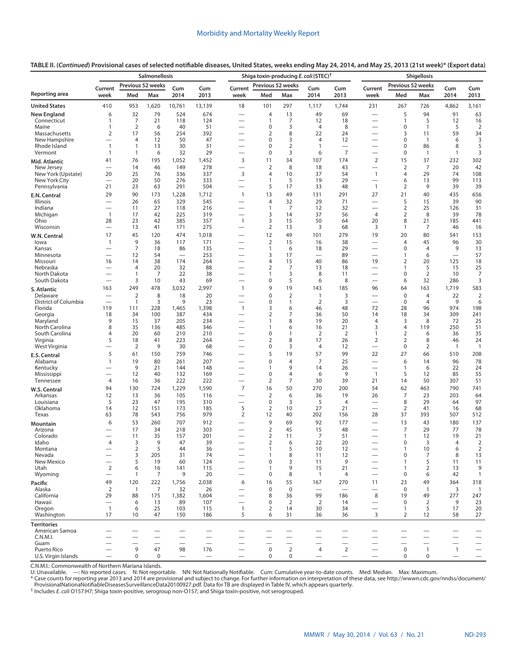|                                  |                                |                                  | <b>Salmonellosis</b> |                                   |                          |                                                      | Shiga toxin-producing E. coli (STEC) <sup>†</sup> |                      |                                |                                 |                                                      |                             | Shigellosis                      |                          |                                                      |
|----------------------------------|--------------------------------|----------------------------------|----------------------|-----------------------------------|--------------------------|------------------------------------------------------|---------------------------------------------------|----------------------|--------------------------------|---------------------------------|------------------------------------------------------|-----------------------------|----------------------------------|--------------------------|------------------------------------------------------|
|                                  | Current                        |                                  | Previous 52 weeks    | Cum                               | Cum                      | Current                                              | Previous 52 weeks                                 |                      | Cum                            | Cum                             | Current                                              | Previous 52 weeks           |                                  | Cum                      | Cum                                                  |
| Reporting area                   | week                           | Med                              | Max                  | 2014                              | 2013                     | week                                                 | Med                                               | Max                  | 2014                           | 2013                            | week                                                 | Med                         | Max                              | 2014                     | 2013                                                 |
| <b>United States</b>             | 410                            | 953                              | 1,620                | 10,761                            | 13,139                   | 18                                                   | 101                                               | 297                  | 1,117                          | 1,744                           | 231                                                  | 267                         | 726                              | 4,862                    | 3,161                                                |
| <b>New England</b>               | 6                              | 32                               | 79                   | 524                               | 674                      | $\overline{\phantom{0}}$                             | 4                                                 | 13                   | 49                             | 69                              | $\overline{\phantom{0}}$                             | 5                           | 94                               | 91                       | 63                                                   |
| Connecticut<br>Maine             | 1<br>1                         | $\overline{7}$<br>$\overline{2}$ | 21<br>6              | 118<br>40                         | 124<br>51                | $\overline{\phantom{0}}$                             | $\mathbf{1}$<br>0                                 | 7<br>3               | 12<br>$\overline{4}$           | 18<br>8                         | $\overline{\phantom{0}}$<br>$\overline{\phantom{0}}$ | $\mathbf{1}$<br>0           | 5<br>$\overline{1}$              | 12<br>5                  | 16<br>$\overline{2}$                                 |
| Massachusetts                    | $\overline{2}$                 | 17                               | 56                   | 254                               | 392                      |                                                      | $\overline{2}$                                    | 8                    | 22                             | 24                              |                                                      | 3                           | 11                               | 59                       | 34                                                   |
| New Hampshire                    | $\overline{\phantom{0}}$       | 4                                | 12                   | 50                                | 47                       | $\overline{\phantom{0}}$                             | 0                                                 | 3                    | 4                              | 12                              | $\overline{\phantom{0}}$                             | 0                           | $\overline{1}$                   | 6                        | 3                                                    |
| Rhode Island<br>Vermont          | 1<br>1                         | 1<br>$\mathbf{1}$                | 13<br>6              | 30<br>32                          | 31<br>29                 | $\overline{\phantom{0}}$                             | $\mathbf 0$<br>0                                  | $\overline{2}$<br>3  | $\overline{1}$<br>6            | $\overline{7}$                  | $\overline{\phantom{0}}$                             | 0<br>0                      | 86<br>$\mathbf{1}$               | 8<br>$\mathbf{1}$        | 5<br>3                                               |
| Mid. Atlantic                    | 41                             | 76                               | 195                  | 1,052                             | 1,452                    | 3                                                    | 11                                                | 34                   | 107                            | 174                             | $\overline{2}$                                       | 15                          | 37                               | 232                      | 302                                                  |
| New Jersey                       |                                | 14                               | 46                   | 149                               | 278                      | $\overline{\phantom{0}}$                             | $\overline{2}$                                    | 8                    | 18                             | 43                              |                                                      | $\overline{2}$              | $\overline{7}$                   | 20                       | 42                                                   |
| New York (Upstate)               | 20                             | 25                               | 76                   | 336                               | 337                      | 3                                                    | 4                                                 | 10                   | 37                             | 54                              | $\mathbf{1}$                                         | 4                           | 29                               | 74                       | 108                                                  |
| New York City<br>Pennsylvania    | $\overline{\phantom{0}}$<br>21 | 20<br>23                         | 50<br>63             | 276<br>291                        | 333<br>504               | $\overline{\phantom{0}}$                             | $\mathbf{1}$<br>5                                 | 5<br>17              | 19<br>33                       | 29<br>48                        | $\overline{\phantom{0}}$<br>$\overline{1}$           | 6<br>$\overline{2}$         | 13<br>9                          | 99<br>39                 | 113<br>39                                            |
| E.N. Central                     | 29                             | 90                               | 173                  | 1,228                             | 1,712                    | $\mathbf{1}$                                         | 13                                                | 49                   | 131                            | 291                             | 27                                                   | 21                          | 40                               | 435                      | 656                                                  |
| Illinois                         |                                | 26                               | 65                   | 329                               | 545                      |                                                      | 4                                                 | 32                   | 29                             | 71                              | $\overline{\phantom{0}}$                             | 5                           | 15                               | 39                       | 90                                                   |
| Indiana                          |                                | 11                               | 27                   | 118                               | 216                      | $\overline{\phantom{0}}$                             | $\mathbf{1}$                                      | 7                    | 12                             | 32                              |                                                      | $\overline{2}$              | 25                               | 126                      | 31                                                   |
| Michigan                         | $\mathbf{1}$                   | 17                               | 42                   | 225                               | 319                      |                                                      | 3                                                 | 14                   | 37                             | 56                              | $\overline{4}$                                       | $\overline{2}$              | 8                                | 39                       | 78                                                   |
| Ohio<br>Wisconsin                | 28                             | 23<br>13                         | 42<br>41             | 385<br>171                        | 357<br>275               | $\mathbf{1}$                                         | 3<br>$\overline{2}$                               | 15<br>13             | 50<br>3                        | 64<br>68                        | 20<br>3                                              | 8<br>$\mathbf{1}$           | 21<br>7                          | 185<br>46                | 441<br>16                                            |
| W.N. Central                     | 17                             | 45                               | 120                  | 474                               | 1,018                    |                                                      | 12                                                | 49                   | 101                            | 279                             | 19                                                   | 20                          | 80                               | 541                      | 153                                                  |
| lowa                             | 1                              | 9                                | 36                   | 117                               | 171                      |                                                      | $\overline{2}$                                    | 15                   | 16                             | 38                              |                                                      | $\overline{4}$              | 45                               | 96                       | 30                                                   |
| Kansas                           |                                | $\overline{7}$                   | 18                   | 86                                | 135                      |                                                      | $\mathbf{1}$                                      | 6                    | 18                             | 29                              | $\overline{\phantom{0}}$                             | $\mathbf 0$                 | 4                                | 9                        | 13                                                   |
| Minnesota<br>Missouri            | $\overline{\phantom{0}}$<br>16 | 12<br>14                         | 54<br>38             | $\overline{\phantom{0}}$<br>174   | 253<br>264               | $\overline{\phantom{0}}$<br>$\overline{\phantom{0}}$ | 3<br>4                                            | 17<br>15             | $\overline{\phantom{0}}$<br>40 | 89<br>86                        | $\overline{\phantom{0}}$<br>19                       | $\mathbf{1}$<br>2           | 6<br>20                          | 125                      | 57<br>18                                             |
| Nebraska                         |                                | $\overline{4}$                   | 20                   | 32                                | 88                       |                                                      | $\overline{2}$                                    | 7                    | 13                             | 18                              | $\overline{\phantom{0}}$                             | $\mathbf{1}$                | 5                                | 15                       | 25                                                   |
| North Dakota                     |                                | 1                                | 7                    | 22                                | 38                       | $\overline{\phantom{0}}$                             | $\mathbf{1}$                                      | 3                    | 8                              | 11                              | $\overline{\phantom{0}}$                             | 0                           | $\overline{2}$                   | 10                       | 7                                                    |
| South Dakota                     | $\overline{\phantom{0}}$       | 3                                | 10                   | 43                                | 69                       | $\overline{\phantom{0}}$                             | 0                                                 | 5                    | 6                              | 8                               |                                                      | 6                           | 32                               | 286                      | 3                                                    |
| S. Atlantic                      | 163                            | 249                              | 478                  | 3,032                             | 2,997                    | $\overline{1}$                                       | 9                                                 | 19                   | 143                            | 185                             | 96                                                   | 64                          | 163                              | 1,719                    | 583                                                  |
| Delaware<br>District of Columbia | $\overline{\phantom{0}}$       | $\overline{2}$<br>$\mathbf{1}$   | 8<br>3               | 18<br>9                           | 20<br>23                 | $\overline{\phantom{0}}$                             | $\mathbf 0$<br>0                                  | $\overline{2}$<br>1  | $\overline{1}$<br>2            | 3<br>3                          | $\overline{\phantom{0}}$                             | $\mathbf 0$<br>0            | $\overline{4}$<br>$\overline{4}$ | 22<br>9                  | $\overline{2}$<br>6                                  |
| Florida                          | 119                            | 111                              | 228                  | 1,465                             | 1,398                    | $\overline{1}$                                       | 3                                                 | 6                    | 46                             | 48                              | 72                                                   | 28                          | 96                               | 974                      | 198                                                  |
| Georgia                          | 18                             | 34                               | 100                  | 387                               | 434                      |                                                      | $\overline{2}$                                    | 7                    | 36                             | 50                              | 14                                                   | 18                          | 34                               | 309                      | 241                                                  |
| Maryland<br>North Carolina       | 9<br>8                         | 15<br>35                         | 37<br>136            | 205<br>485                        | 234<br>346               | —                                                    | $\mathbf{1}$<br>$\mathbf{1}$                      | 8<br>6               | 19<br>16                       | 20<br>21                        | $\overline{4}$<br>3                                  | 3<br>4                      | 8<br>119                         | 72<br>250                | 25<br>51                                             |
| South Carolina                   | 4                              | 20                               | 60                   | 210                               | 210                      |                                                      | 0                                                 | $\mathbf{1}$         | 2                              | $\overline{2}$                  | $\mathbf{1}$                                         | 2                           | 6                                | 36                       | 35                                                   |
| Virginia                         | 5                              | 18                               | 41                   | 223                               | 264                      |                                                      | $\overline{2}$                                    | 8                    | 17                             | 26                              | $\overline{2}$                                       | $\overline{2}$              | 8                                | 46                       | 24                                                   |
| West Virginia                    |                                | $\overline{2}$                   | 9                    | 30                                | 68                       |                                                      | 0                                                 | 3                    | $\overline{4}$                 | 12                              | $\overline{\phantom{0}}$                             | $\boldsymbol{0}$            | $\overline{2}$                   | $\mathbf{1}$             | $\overline{1}$                                       |
| E.S. Central<br>Alabama          | 5<br>$\mathbf{1}$              | 61<br>19                         | 150<br>80            | 759<br>261                        | 746<br>207               |                                                      | 5<br>0                                            | 19<br>$\overline{4}$ | 57<br>7                        | 99<br>25                        | 22<br>$\overline{\phantom{0}}$                       | 27<br>6                     | 66<br>14                         | 510<br>96                | 208<br>78                                            |
| Kentucky                         |                                | 9                                | 21                   | 144                               | 148                      |                                                      | 1                                                 | 9                    | 14                             | 26                              | $\overline{\phantom{0}}$                             | $\mathbf{1}$                | 6                                | 22                       | 24                                                   |
| Mississippi                      |                                | 12                               | 40                   | 132                               | 169                      | $\overline{\phantom{0}}$                             | $\mathbf 0$                                       | $\overline{4}$       | 6                              | 9                               | $\mathbf{1}$                                         | 5                           | 12                               | 85                       | 55                                                   |
| Tennessee                        | 4                              | 16                               | 36                   | 222                               | 222                      |                                                      | $\overline{2}$                                    | 7                    | 30                             | 39                              | 21                                                   | 14                          | 50                               | 307                      | 51                                                   |
| W.S. Central                     | 94                             | 130<br>13                        | 724                  | 1,229                             | 1,590                    | 7<br>$\overline{\phantom{0}}$                        | 16<br>$\overline{2}$                              | 50<br>6              | 270                            | 200<br>19                       | 54                                                   | 62<br>7                     | 463<br>23                        | 790<br>203               | 741<br>64                                            |
| Arkansas<br>Louisiana            | 12<br>5                        | 23                               | 36<br>47             | 105<br>195                        | 116<br>310               | $\overline{\phantom{0}}$                             | 0                                                 | 3                    | 36<br>5                        | 4                               | 26<br>$\overline{\phantom{0}}$                       | 8                           | 29                               | 64                       | 97                                                   |
| Oklahoma                         | 14                             | 12                               | 151                  | 173                               | 185                      | 5                                                    | $\overline{2}$                                    | 10                   | 27                             | 21                              | $\overline{\phantom{0}}$                             | $\overline{2}$              | 41                               | 16                       | 68                                                   |
| Texas                            | 63                             | 78                               | 543                  | 756                               | 979                      | $\overline{2}$                                       | 12                                                | 40                   | 202                            | 156                             | 28                                                   | 37                          | 393                              | 507                      | 512                                                  |
| <b>Mountain</b>                  | 6                              | 53                               | 260                  | 707                               | 912                      | $\overline{\phantom{0}}$                             | 9                                                 | 69                   | 92                             | 177                             |                                                      | 13                          | 43                               | 180                      | 137                                                  |
| Arizona<br>Colorado              |                                | 17<br>11                         | 34<br>35             | 218<br>157                        | 303<br>201               |                                                      | $\overline{2}$<br>$\overline{2}$                  | 45<br>11             | 15<br>7                        | 48<br>51                        | $\overline{\phantom{0}}$                             | 7<br>$\mathbf{1}$           | 29<br>12                         | 77<br>19                 | 78<br>21                                             |
| Idaho                            | 4                              | 3                                | 9                    | 47                                | 39                       |                                                      | $\overline{2}$                                    | 6                    | 22                             | 20                              |                                                      | $\mathbf 0$                 | 3                                | 4                        | $\overline{2}$                                       |
| Montana                          |                                | $\overline{2}$                   | 5                    | 44                                | 36                       |                                                      | 1                                                 | 5                    | 10                             | 12                              |                                                      | 1                           | 10                               | 6                        | $\overline{2}$                                       |
| Nevada<br>New Mexico             |                                | 3<br>5                           | 205<br>19            | 31<br>60                          | 74<br>124                |                                                      | $\mathbf{1}$<br>0                                 | 8<br>3               | 11<br>11                       | 12<br>9                         |                                                      | $\mathbf 0$<br>$\mathbf{1}$ | 7<br>5                           | 8<br>11                  | 13<br>11                                             |
| Utah                             | $\overline{2}$                 | 6                                | 16                   | 141                               | 115                      | $\overline{\phantom{0}}$                             | $\mathbf{1}$                                      | 9                    | 15                             | 21                              | $\qquad \qquad$                                      | $\mathbf{1}$                | $\overline{2}$                   | 13                       | 9                                                    |
| Wyoming                          |                                | 1                                | 7                    | 9                                 | 20                       | $\overline{\phantom{0}}$                             | $\mathbf 0$                                       | 8                    | $\overline{1}$                 | 4                               | $\overline{\phantom{0}}$                             | $\mathbf 0$                 | 6                                | 42                       | $\mathbf{1}$                                         |
| Pacific                          | 49                             | 120                              | 222                  | 1,756                             | 2,038                    | 6                                                    | 16                                                | 55                   | 167                            | 270                             | 11                                                   | 23                          | 49                               | 364                      | 318                                                  |
| Alaska<br>California             | $\overline{2}$<br>29           | $\mathbf{1}$<br>88               | 7<br>175             | 32                                | 26<br>1,604              | $\overline{\phantom{0}}$                             | $\mathbf 0$<br>8                                  | $\mathbf 0$<br>36    | $\overline{\phantom{0}}$<br>99 | $\overline{\phantom{0}}$<br>186 | 8                                                    | $\mathbf 0$<br>19           | $\overline{1}$<br>49             | 3<br>277                 | $\mathbf{1}$<br>247                                  |
| Hawaii                           |                                | 6                                | 13                   | 1,382<br>89                       | 107                      |                                                      | 0                                                 | $\overline{2}$       | 2                              | 14                              |                                                      | $\mathbf 0$                 | 2                                | 9                        | 23                                                   |
| Oregon                           | $\overline{1}$                 | 6                                | 25                   | 103                               | 115                      | $\mathbf{1}$                                         | $\overline{2}$                                    | 14                   | 30                             | 34                              | $\overline{\phantom{0}}$                             | $\mathbf{1}$                | 5                                | 17                       | 20                                                   |
| Washington                       | 17                             | 10                               | 47                   | 150                               | 186                      | 5                                                    | 6                                                 | 31                   | 36                             | 36                              | 3                                                    | $\overline{2}$              | 12                               | 58                       | 27                                                   |
| <b>Territories</b>               |                                |                                  |                      |                                   |                          |                                                      |                                                   |                      |                                |                                 |                                                      |                             |                                  |                          |                                                      |
| American Samoa<br>C.N.M.I.       |                                |                                  |                      |                                   | $\overline{\phantom{0}}$ |                                                      |                                                   |                      | $\overline{\phantom{0}}$       | $\overline{\phantom{0}}$        |                                                      |                             | $\overline{\phantom{0}}$         | $\overline{\phantom{0}}$ | $\overline{\phantom{0}}$<br>$\overline{\phantom{0}}$ |
| Guam                             |                                |                                  |                      |                                   |                          |                                                      |                                                   |                      | $\overline{\phantom{0}}$       | $\overline{\phantom{0}}$        |                                                      |                             | $\overline{\phantom{0}}$         | $\overline{\phantom{0}}$ | $\overline{\phantom{0}}$                             |
| Puerto Rico                      |                                | 9                                | 47                   | 98                                | 176                      | $\overline{\phantom{0}}$                             | $\mathbf 0$                                       | $\overline{2}$       | 4                              | $\overline{2}$                  | $\overbrace{\phantom{12322111}}$                     | $\mathbf 0$                 | $\overline{1}$                   | $\mathbf{1}$             | $\equiv$                                             |
| U.S. Virgin Islands              | $\overline{\phantom{0}}$       | $\mathbf 0$                      | 0                    | $\overbrace{\phantom{123221111}}$ | $\qquad \qquad -$        |                                                      | 0                                                 | 0                    |                                | $\overline{\phantom{m}}$        | $\overline{\phantom{0}}$                             | 0                           | $\mathbf 0$                      |                          |                                                      |

C.N.M.I.: Commonwealth of Northern Mariana Islands.

U: Unavailable. —: No reported cases. N: Not reportable. NN: Not Nationally Notifiable. Cum: Cumulative year-to-date counts. Med: Median. Max: Maximum.<br>\* Case counts for reporting year 2013 and 2014 are provisional and sub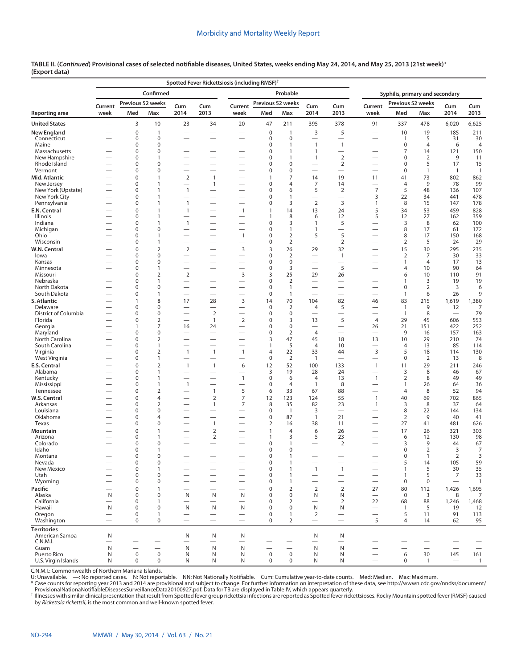|                                     |                               |                          |                                  |                                                      | Spotted Fever Rickettsiosis (including RMSF) <sup>†</sup> |                                      |                          |                                |                                          |                                                      |                                  |                                 |                     |                                       |                          |
|-------------------------------------|-------------------------------|--------------------------|----------------------------------|------------------------------------------------------|-----------------------------------------------------------|--------------------------------------|--------------------------|--------------------------------|------------------------------------------|------------------------------------------------------|----------------------------------|---------------------------------|---------------------|---------------------------------------|--------------------------|
|                                     |                               |                          | Confirmed                        |                                                      |                                                           |                                      |                          | Probable                       |                                          |                                                      |                                  | Syphilis, primary and secondary |                     |                                       |                          |
|                                     | Current                       |                          | Previous 52 weeks                | Cum                                                  | Cum                                                       | Current                              | Previous 52 weeks        |                                | Cum                                      | Cum                                                  | Current                          | Previous 52 weeks               |                     | Cum                                   |                          |
| Reporting area                      | week                          | Med                      | Max                              | 2014                                                 | 2013                                                      | week                                 | Med                      | Max                            | 2014                                     | 2013                                                 | week                             | Med                             | Max                 | 2014                                  | Cum<br>2013              |
| <b>United States</b>                |                               | 3                        | 10                               | 23                                                   | 34                                                        | 20                                   | 47                       | 211                            | 395                                      | 378                                                  | 91                               | 337                             | 478                 | 6,020                                 | 6,625                    |
| New England                         |                               | 0                        | $\mathbf{1}$                     | $\overline{\phantom{0}}$                             |                                                           | $\overline{\phantom{0}}$             | $\mathbf 0$              | $\mathbf{1}$                   | 3                                        | 5                                                    |                                  | 10                              | 19                  | 185                                   | 211                      |
| Connecticut<br>Maine                |                               | 0<br>0                   | $\mathbf 0$<br>$\mathbf 0$       | -                                                    |                                                           | $\overline{\phantom{0}}$<br><u>—</u> | $\mathbf 0$<br>0         | $\mathbf 0$<br>$\mathbf{1}$    | $\overline{\phantom{0}}$<br>$\mathbf{1}$ | $\mathbf{1}$                                         |                                  | $\mathbf{1}$<br>$\mathbf 0$     | 5<br>4              | 31<br>6                               | 30<br>$\overline{4}$     |
| Massachusetts                       |                               | 0                        | $\mathbf 0$                      |                                                      |                                                           | -                                    | 0                        | $\overline{1}$                 | 1                                        |                                                      | -                                | $\overline{7}$                  | 14                  | 121                                   | 150                      |
| New Hampshire<br>Rhode Island       |                               | 0                        | 1<br>$\mathbf 0$                 | -                                                    |                                                           | -                                    | 0                        | $\mathbf{1}$<br>$\mathbf 0$    | $\mathbf{1}$                             | $\overline{2}$                                       |                                  | $\mathbf 0$<br>$\mathbf 0$      | $\overline{2}$<br>5 | 9                                     | 11                       |
| Vermont                             |                               | 0<br>0                   | $\mathbf 0$                      | $\overline{\phantom{0}}$<br>$\overline{\phantom{0}}$ | $\overline{\phantom{0}}$                                  | -                                    | 0<br>0                   | $\mathbf 0$                    | $\overline{\phantom{0}}$                 | $\overline{2}$                                       | —                                | $\mathbf 0$                     | 1                   | 17<br>$\mathbf{1}$                    | 15<br>$\overline{1}$     |
| Mid. Atlantic                       |                               | 0                        | $\mathbf{1}$                     | $\overline{2}$                                       | 1                                                         | -                                    | 1                        | $\overline{7}$                 | 14                                       | 19                                                   | 11                               | 41                              | 73                  | 802                                   | 862                      |
| New Jersey                          |                               | 0                        | $\mathbf{1}$                     |                                                      | 1                                                         |                                      | 0                        | $\overline{4}$                 | 7                                        | 14                                                   |                                  | $\overline{4}$                  | 9                   | 78                                    | 99                       |
| New York (Upstate)<br>New York City |                               | 0<br>0                   | $\mathbf{1}$<br>$\mathbf{1}$     | $\mathbf{1}$<br>$\overline{\phantom{0}}$             |                                                           |                                      | 0<br>0                   | 6<br>$\overline{1}$            | 5                                        | 2                                                    | $\overline{7}$<br>3              | 5<br>22                         | 48<br>34            | 136<br>441                            | 107<br>478               |
| Pennsylvania                        |                               | 0                        | $\mathbf{1}$                     | $\overline{1}$                                       | $\overline{\phantom{0}}$                                  | -                                    | 0                        | 3                              | $\overline{2}$                           | 3                                                    | 1                                | 8                               | 15                  | 147                                   | 178                      |
| E.N. Central                        |                               | 0                        | $\mathbf{1}$                     | $\mathbf{1}$                                         |                                                           | 1                                    | $\mathbf{1}$             | 14                             | 13                                       | 24                                                   | 5                                | 34                              | 53                  | 459                                   | 828                      |
| Illinois<br>Indiana                 |                               | 0<br>0                   | $\mathbf{1}$<br>$\mathbf{1}$     | $\overline{\phantom{0}}$<br>$\mathbf{1}$             | $\overline{\phantom{0}}$<br>$\overline{\phantom{0}}$      | -                                    | 1<br>0                   | 8<br>3                         | 6<br>$\mathbf{1}$                        | 12<br>5                                              | 5                                | 12<br>3                         | 27<br>8             | 162<br>62                             | 359<br>100               |
| Michigan                            |                               | 0                        | $\mathbf 0$                      | $\overline{\phantom{0}}$                             |                                                           |                                      | 0                        | $\mathbf{1}$                   | $\mathbf{1}$                             | $\overline{\phantom{0}}$                             |                                  | 8                               | 17                  | 61                                    | 172                      |
| Ohio                                |                               | 0                        | $\mathbf{1}$                     |                                                      |                                                           | $\overline{1}$                       | 0                        | $\overline{2}$                 | 5                                        | 5                                                    |                                  | 8                               | 17                  | 150                                   | 168                      |
| Wisconsin                           |                               | 0                        | $\mathbf{1}$                     |                                                      |                                                           | $\overline{\phantom{0}}$             | $\mathbf 0$              | $\overline{2}$                 | $\overline{\phantom{0}}$                 | $\overline{2}$                                       |                                  | $\overline{2}$                  | 5                   | 24                                    | 29                       |
| W.N. Central                        |                               | 0<br>0                   | $\overline{2}$<br>0              | $\overline{2}$<br>$\overline{\phantom{0}}$           |                                                           | 3<br>$\overline{\phantom{0}}$        | 3<br>0                   | 26<br>$\overline{2}$           | 29<br>$\overline{\phantom{0}}$           | 32<br>$\mathbf{1}$                                   | —                                | 15                              | 30<br>7             | 295<br>30                             | 235<br>33                |
| lowa<br>Kansas                      |                               | $\Omega$                 | $\mathbf 0$                      | -                                                    |                                                           | -                                    | 0                        | $\mathbf 0$                    |                                          | $\overline{\phantom{0}}$                             |                                  | 2<br>$\mathbf{1}$               | 4                   | 17                                    | 13                       |
| Minnesota                           |                               | 0                        | $\mathbf{1}$                     | $\overline{\phantom{0}}$                             |                                                           | $\overline{\phantom{0}}$             | 0                        | 3                              |                                          | 5                                                    | $\overline{\phantom{0}}$         | $\overline{4}$                  | 10                  | 90                                    | 64                       |
| Missouri                            |                               | 0                        | $\overline{2}$                   | $\overline{2}$                                       | $\overline{\phantom{0}}$                                  | 3                                    | 3                        | 25                             | 29                                       | 26                                                   | —                                | 6                               | 10                  | 110                                   | 91                       |
| Nebraska<br>North Dakota            |                               | 0<br>0                   | $\mathbf{1}$<br>$\mathbf 0$      | $\overline{\phantom{0}}$<br>$\overline{\phantom{0}}$ |                                                           |                                      | 0<br>0                   | $\overline{2}$<br>$\mathbf{1}$ |                                          | $\overline{\phantom{0}}$<br>$\overline{\phantom{0}}$ | $\overline{\phantom{0}}$         | $\mathbf{1}$<br>$\pmb{0}$       | 3<br>$\overline{2}$ | 19<br>3                               | 19<br>6                  |
| South Dakota                        |                               | 0                        | $\mathbf{1}$                     | $\overline{\phantom{0}}$                             |                                                           | $\overline{\phantom{0}}$             | 0                        | $\mathbf{1}$                   |                                          | $\overline{\phantom{0}}$                             |                                  | $\mathbf{1}$                    | 6                   | 26                                    | 9                        |
| S. Atlantic                         |                               | 1                        | 8                                | 17                                                   | 28                                                        | 3                                    | 14                       | 70                             | 104                                      | 82                                                   | 46                               | 83                              | 215                 | 1,619                                 | 1,380                    |
| Delaware                            |                               | 0                        | $\mathbf 0$                      | $\overline{\phantom{0}}$                             |                                                           | -                                    | 0                        | $\overline{2}$                 | 4                                        | 5                                                    |                                  | $\mathbf{1}$                    | 9                   | 12                                    | 7                        |
| District of Columbia<br>Florida     |                               | 0<br>$\Omega$            | $\pmb{0}$<br>$\overline{2}$      | $\overline{\phantom{0}}$<br>$\overline{\phantom{0}}$ | $\overline{2}$<br>$\mathbf{1}$                            | -<br>$\mathbf 2$                     | 0<br>$\Omega$            | $\mathbf 0$<br>3               | 13                                       | $\overline{\phantom{0}}$<br>5                        | -<br>4                           | $\mathbf{1}$<br>29              | 8<br>45             | 606                                   | 79<br>553                |
| Georgia                             |                               | 1                        | $\overline{7}$                   | 16                                                   | 24                                                        |                                      | 0                        | $\mathbf 0$                    |                                          | $\overline{\phantom{0}}$                             | 26                               | 21                              | 151                 | 422                                   | 252                      |
| Maryland                            |                               | $\Omega$                 | $\mathbf 0$                      |                                                      |                                                           |                                      | 0                        | $\overline{2}$                 | $\overline{4}$                           | $\overline{\phantom{0}}$                             | $\overline{\phantom{0}}$         | 9                               | 16                  | 157                                   | 163                      |
| North Carolina                      |                               | 0                        | $\overline{2}$                   | $\overline{\phantom{0}}$                             |                                                           | -                                    | 3                        | 47                             | 45                                       | 18                                                   | 13                               | 10                              | 29                  | 210                                   | 74                       |
| South Carolina<br>Virginia          |                               | 0<br>0                   | 1<br>$\overline{2}$              | $\mathbf{1}$                                         | $\overline{1}$                                            | $\overline{1}$                       | 1<br>4                   | 5<br>22                        | $\overline{4}$<br>33                     | 10<br>44                                             | 3                                | $\overline{4}$<br>5             | 13<br>18            | 85<br>114                             | 114<br>130               |
| West Virginia                       |                               | 0                        | 1                                |                                                      |                                                           | $\overline{\phantom{0}}$             | 0                        | $\overline{2}$                 | $\mathbf{1}$                             | $\overline{\phantom{0}}$                             | —                                | $\pmb{0}$                       | 2                   | 13                                    | 8                        |
| E.S. Central                        |                               | 0                        | $\overline{2}$                   | $\overline{\phantom{a}}$                             | $\mathbf{1}$                                              | 6                                    | 12                       | 52                             | 100                                      | 133                                                  | $\mathbf{1}$                     | 11                              | 29                  | 211                                   | 246                      |
| Alabama                             |                               | 0<br>$\Omega$            | $\mathbf{1}$<br>$\mathbf{1}$     | $\overline{\phantom{0}}$                             |                                                           | $\overline{\phantom{0}}$             | 3<br>0                   | 19<br>6                        | 28<br>$\overline{4}$                     | 24                                                   |                                  | 3                               | 8                   | 46                                    | 67                       |
| Kentucky<br>Mississippi             |                               | 0                        | $\mathbf{1}$                     | -<br>$\mathbf{1}$                                    |                                                           | 1                                    | 0                        | $\overline{4}$                 | 1                                        | 13<br>8                                              | $\mathbf{1}$                     | $\overline{2}$<br>1             | 8<br>26             | 49<br>64                              | 49<br>36                 |
| Tennessee                           |                               | $\Omega$                 | $\overline{2}$                   | -                                                    | 1                                                         | 5                                    | 6                        | 33                             | 67                                       | 88                                                   | $\overline{\phantom{0}}$         | $\overline{4}$                  | 8                   | 52                                    | 94                       |
| W.S. Central                        |                               | 0                        | $\overline{4}$                   | -                                                    | $\overline{2}$                                            | $\overline{7}$                       | 12                       | 123                            | 124                                      | 55                                                   | $\mathbf{1}$                     | 40                              | 69                  | 702                                   | 865                      |
| Arkansas<br>Louisiana               | -                             | 0<br>0                   | $\overline{2}$<br>$\mathbf 0$    |                                                      | 1                                                         | 7<br>-                               | 8<br>0                   | 35<br>$\overline{1}$           | 82<br>3                                  | 23                                                   | $\mathbf{1}$                     | 3<br>8                          | 8<br>22             | 37<br>144                             | 64<br>134                |
| Oklahoma                            |                               | 0                        | $\overline{4}$                   | $\overline{\phantom{0}}$                             | $\overline{\phantom{0}}$                                  |                                      | 0                        | 87                             | $\mathbf{1}$                             | 21                                                   | —                                | $\overline{2}$                  | 9                   | 40                                    | 41                       |
| Texas                               |                               | 0                        | $\mathbf 0$                      | <u>.</u>                                             | 1                                                         |                                      | 2                        | 16                             | 38                                       | 11                                                   |                                  | 27                              | 41                  | 481                                   | 626                      |
| Mountain                            |                               | 0                        | $\mathbf{1}$                     | -                                                    | $\overline{2}$                                            |                                      |                          | $\overline{4}$                 | 6                                        | 26                                                   |                                  | 17                              | 26                  | 321                                   | 303                      |
| Arizona<br>Colorado                 |                               | 0<br>0                   | 1<br>$\mathbf 0$                 |                                                      | $\overline{2}$                                            |                                      | 1<br>0                   | 3<br>$\mathbf{1}$              | 5                                        | 23<br>2                                              |                                  | 6<br>3                          | 12<br>9             | 130<br>44                             | 98<br>67                 |
| Idaho                               |                               | 0                        | 1                                |                                                      |                                                           |                                      | 0                        | $\mathbf 0$                    |                                          |                                                      |                                  | $\pmb{0}$                       | $\overline{2}$      | 3                                     | 7                        |
| Montana                             |                               | $\Omega$                 | $\Omega$                         |                                                      |                                                           |                                      | 0                        | $\mathbf{1}$                   |                                          |                                                      |                                  | $\Omega$                        |                     | $\overline{2}$                        | 3                        |
| Nevada<br>New Mexico                |                               | $\mathbf 0$<br>0         | 0<br>$\mathbf{1}$                | —                                                    |                                                           |                                      | $\mathbf 0$<br>0         | $\mathbf{1}$<br>$\mathbf{1}$   | $\mathbf{1}$                             | $\overline{\phantom{0}}$<br>$\mathbf{1}$             |                                  | 5<br>$\mathbf{1}$               | 14<br>5             | 105                                   | 59<br>35                 |
| Utah                                | —<br>$\overline{\phantom{0}}$ | 0                        | $\mathbf 0$                      | $\overline{\phantom{0}}$                             |                                                           | -                                    | 0                        | $\mathbf{1}$                   |                                          | $\overline{\phantom{0}}$                             | —                                | 1                               | 5                   | 30<br>$\overline{7}$                  | 33                       |
| Wyoming                             |                               | 0                        | $\mathbf 0$                      | $\overline{\phantom{0}}$                             |                                                           | $\overbrace{\phantom{123221111}}$    | 0                        | $\mathbf{1}$                   |                                          | $\overline{\phantom{0}}$                             | $\overline{\phantom{0}}$         | $\mathbf 0$                     | 0                   | $\overline{\phantom{0}}$              | $\overline{1}$           |
| Pacific                             |                               | 0                        | $\mathbf{1}$                     | $\overline{\phantom{0}}$                             |                                                           |                                      | $\mathbf 0$              | $\overline{2}$                 | $\overline{2}$                           | $\overline{2}$                                       | 27                               | 80                              | 112                 | 1,426                                 | 1,695                    |
| Alaska<br>California                | N                             | 0<br>0                   | $\pmb{0}$<br>$\mathbf{1}$        | N                                                    | N                                                         | N                                    | 0<br>0                   | $\pmb{0}$<br>2                 | N                                        | N<br>2                                               | $\overline{\phantom{m}}$<br>22   | $\mathbf 0$<br>68               | 3<br>88             | 8<br>1,246                            | 7<br>1,468               |
| Hawaii                              | N                             | 0                        | $\mathbf 0$                      | N                                                    | N                                                         | N                                    | 0                        | $\mathbf 0$                    | N                                        | N                                                    |                                  | $\mathbf{1}$                    | 5                   | 19                                    | 12                       |
| Oregon                              |                               | 0                        | $\mathbf{1}$                     | $\overline{\phantom{0}}$                             |                                                           |                                      | 0                        | $\mathbf{1}$                   | $\overline{2}$                           | $\overline{\phantom{0}}$                             | $\overline{\phantom{0}}$         | 5                               | 11                  | 91                                    | 113                      |
| Washington                          |                               | $\mathbf 0$              | $\mathbf 0$                      | $\overline{\phantom{0}}$                             | $\overline{\phantom{0}}$                                  | $\overline{\phantom{0}}$             | 0                        | 2                              | $\overline{\phantom{0}}$                 | $\overline{\phantom{0}}$                             | 5                                | $\overline{4}$                  | 14                  | 62                                    | 95                       |
| <b>Territories</b>                  |                               |                          |                                  |                                                      |                                                           |                                      |                          |                                |                                          |                                                      |                                  |                                 |                     |                                       |                          |
| American Samoa<br>C.N.M.I.          | N                             | $\overline{\phantom{0}}$ | $\overbrace{\phantom{12322111}}$ | N<br>$\overline{\phantom{0}}$                        | N<br>$\overline{\phantom{0}}$                             | N<br>$\overline{\phantom{0}}$        | $\overline{\phantom{0}}$ | $\overline{\phantom{0}}$       | N<br>$\overline{\phantom{0}}$            | N<br>$\overline{\phantom{0}}$                        | $\overbrace{\phantom{12322111}}$ | $\overline{\phantom{0}}$        |                     | —<br>$\overbrace{\phantom{12322111}}$ | $\overline{\phantom{0}}$ |
| Guam                                | N                             | $\overline{\phantom{0}}$ |                                  | N                                                    | N                                                         | N                                    | $\overline{\phantom{0}}$ |                                | N                                        | N                                                    |                                  |                                 |                     |                                       | $\overline{\phantom{0}}$ |
| Puerto Rico                         | N                             | $\bf 0$                  | $\mathbf 0$                      | N                                                    | N                                                         | N                                    | 0                        | $\mathbf 0$                    | N                                        | N                                                    |                                  | 6                               | 30                  | 145                                   | 161                      |
| U.S. Virgin Islands                 | N                             | 0                        | 0                                | N                                                    | N                                                         | N                                    | 0                        | $\mathbf 0$                    | N                                        | N                                                    | $\overline{\phantom{0}}$         | 0                               | $\overline{1}$      |                                       | $\overline{1}$           |

C.N.M.I.: Commonwealth of Northern Mariana Islands.

U: Unavailable. —: No reported cases. N: Not reportable. NN: Not Nationally Notifiable. Cum: Cumulative year-to-date counts. Med: Median. Max: Maximum.

\* Case counts for reporting year 2013 and 2014 are provisional and subject to change. For further information on interpretation of these data, see [http://wwwn.cdc.gov/nndss/document/](http://wwwn.cdc.gov/nndss/document/ProvisionalNationaNotifiableDiseasesSurveillanceData20100927.pdf)

[ProvisionalNationaNotifiableDiseasesSurveillanceData20100927.pdf](http://wwwn.cdc.gov/nndss/document/ProvisionalNationaNotifiableDiseasesSurveillanceData20100927.pdf). Data for TB are displayed in Table IV, which appears quarterly.<br><sup>†</sup> Illnesses with similar clinical presentation that result from Spotted fever group ricket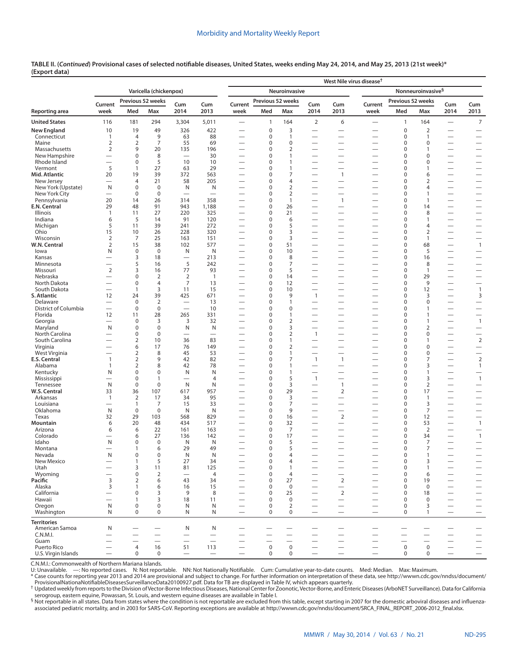|                               |                                  |                      |                                  |                                   |                          | West Nile virus disease <sup>†</sup> |                            |                                |                          |                                                              |                               |                            |                      |                                                      |                                                             |  |
|-------------------------------|----------------------------------|----------------------|----------------------------------|-----------------------------------|--------------------------|--------------------------------------|----------------------------|--------------------------------|--------------------------|--------------------------------------------------------------|-------------------------------|----------------------------|----------------------|------------------------------------------------------|-------------------------------------------------------------|--|
|                               | Varicella (chickenpox)           |                      |                                  |                                   |                          |                                      |                            | Neuroinvasive                  |                          |                                                              | Nonneuroinvasive <sup>§</sup> |                            |                      |                                                      |                                                             |  |
|                               | Current                          |                      | Previous 52 weeks                | Cum                               | Cum                      | Current                              | Previous 52 weeks          |                                | Cum                      | Cum                                                          | Current                       | Previous 52 weeks          |                      | Cum                                                  | Cum                                                         |  |
| Reporting area                | week                             | Med                  | Max                              | 2014                              | 2013                     | week                                 | Med                        | Max                            | 2014                     | 2013                                                         | week                          | Med                        | Max                  | 2014                                                 | 2013                                                        |  |
| <b>United States</b>          | 116                              | 181                  | 294                              | 3,304                             | 5,011                    |                                      | 1                          | 164                            | 2                        | 6                                                            |                               | $\mathbf{1}$               | 164                  | $\qquad \qquad$                                      | $\overline{7}$                                              |  |
| <b>New England</b>            | 10                               | 19                   | 49                               | 326                               | 422                      | $\overline{\phantom{0}}$             | 0                          | 3                              |                          | -                                                            |                               | $\mathbf 0$                | $\overline{2}$       |                                                      | $\overline{\phantom{0}}$                                    |  |
| Connecticut<br>Maine          | 1<br>2                           | 4<br>2               | 9<br>7                           | 63<br>55                          | 88<br>69                 | $\overline{\phantom{0}}$             | 0<br>0                     | $\mathbf{1}$<br>$\mathbf 0$    | $\overline{\phantom{0}}$ | $\overline{\phantom{0}}$                                     | -                             | 0<br>$\mathbf 0$           | 1<br>0               | $\overline{\phantom{0}}$                             | $\overline{\phantom{0}}$<br>$\overline{\phantom{0}}$        |  |
| Massachusetts                 | $\overline{2}$                   | 9                    | 20                               | 135                               | 196                      | -                                    | 0                          | $\overline{2}$                 |                          | $\overline{\phantom{0}}$                                     |                               | $\mathbf 0$                | 1                    | $\overline{\phantom{0}}$                             | $\overline{\phantom{0}}$                                    |  |
| New Hampshire                 | $\overline{\phantom{0}}$         | 0                    | 8                                |                                   | 30                       | $\overline{\phantom{0}}$             | 0                          | $\mathbf{1}$                   | $\overline{\phantom{0}}$ |                                                              | —                             | 0                          | 0                    |                                                      | $\overline{\phantom{0}}$                                    |  |
| Rhode Island                  |                                  | 0                    | 5                                | 10                                | 10                       |                                      | 0                          | $\mathbf{1}$                   |                          | $\overline{\phantom{0}}$                                     |                               | 0                          | 0                    | $\overline{\phantom{0}}$                             | $\overline{\phantom{0}}$                                    |  |
| Vermont<br>Mid. Atlantic      | 5<br>20                          | 1<br>19              | 27<br>39                         | 63<br>372                         | 29<br>563                | $\overline{\phantom{0}}$<br>-        | 0<br>0                     | $\mathbf{1}$<br>7              | -                        | $\overline{\phantom{0}}$<br>$\mathbf{1}$                     | $\overline{\phantom{0}}$<br>— | 0<br>$\mathbf 0$           | 1<br>6               |                                                      | $\overline{\phantom{0}}$<br>$\overline{\phantom{0}}$        |  |
| New Jersey                    | $\overline{\phantom{0}}$         | 4                    | 21                               | 58                                | 205                      | -                                    | 0                          | $\overline{4}$                 | $\overline{\phantom{0}}$ |                                                              | —                             | 0                          | 2                    |                                                      | $\overline{\phantom{0}}$                                    |  |
| New York (Upstate)            | N                                | 0                    | $\mathbf 0$                      | N                                 | N                        |                                      | 0                          | $\overline{2}$                 |                          | $\overline{\phantom{0}}$                                     |                               | $\mathbf 0$                | $\overline{4}$       |                                                      | $\overline{\phantom{0}}$                                    |  |
| New York City                 |                                  | 0                    | 0                                |                                   |                          |                                      | 0                          | $\overline{2}$                 |                          | $\overline{\phantom{0}}$                                     | $\overline{\phantom{0}}$      | 0                          | 1                    |                                                      | $\overline{\phantom{0}}$                                    |  |
| Pennsylvania<br>E.N. Central  | 20<br>29                         | 14<br>48             | 26<br>91                         | 314<br>943                        | 358<br>1,188             | $\overline{\phantom{0}}$             | $\mathbf 0$<br>$\mathbf 0$ | $\mathbf{1}$<br>26             |                          | $\mathbf{1}$                                                 |                               | $\mathbf 0$<br>0           | $\mathbf{1}$<br>14   | —                                                    | $\overline{\phantom{0}}$                                    |  |
| Illinois                      | $\mathbf{1}$                     | 11                   | 27                               | 220                               | 325                      | $\overline{\phantom{0}}$             | 0                          | 21                             |                          | $\overline{\phantom{0}}$                                     |                               | $\mathbf 0$                | 8                    | $\overline{\phantom{0}}$                             | $\overline{\phantom{0}}$                                    |  |
| Indiana                       | 6                                | 5                    | 14                               | 91                                | 120                      |                                      | 0                          | 6                              |                          |                                                              |                               | $\mathbf 0$                | $\mathbf{1}$         |                                                      |                                                             |  |
| Michigan                      | 5                                | 11                   | 39                               | 241                               | 272                      |                                      | 0                          | 5                              |                          |                                                              |                               | $\mathbf 0$                | 4                    |                                                      | $\overline{\phantom{0}}$                                    |  |
| Ohio                          | 15                               | 10                   | 26                               | 228                               | 320                      | $\overline{\phantom{0}}$             | 0                          | 3                              |                          |                                                              |                               | $\mathbf 0$                | $\overline{2}$       |                                                      |                                                             |  |
| Wisconsin<br>W.N. Central     | $\overline{2}$<br>$\overline{2}$ | 7<br>15              | 25<br>38                         | 163<br>102                        | 151<br>577               | -                                    | $\mathbf 0$<br>0           | 3<br>51                        |                          | $\overline{\phantom{0}}$<br>-                                |                               | $\mathbf 0$<br>$\mathbf 0$ | $\mathbf{1}$<br>68   |                                                      | $\overline{\phantom{0}}$<br>$\overline{1}$                  |  |
| lowa                          | N                                | $\mathbf 0$          | $\mathbf 0$                      | N                                 | N                        |                                      | 0                          | 10                             |                          |                                                              |                               | $\mathbf 0$                | 5                    |                                                      |                                                             |  |
| Kansas                        |                                  | 3                    | 18                               |                                   | 213                      |                                      | 0                          | 8                              |                          | $\overline{\phantom{0}}$                                     | —                             | $\mathbf 0$                | 16                   |                                                      |                                                             |  |
| Minnesota                     | —                                | 5                    | 16                               | 5                                 | 242                      | -                                    | $\mathbf 0$                | $\overline{7}$                 |                          | $\overline{\phantom{0}}$                                     | —                             | $\mathbf 0$                | 8                    |                                                      |                                                             |  |
| Missouri                      | $\overline{2}$                   | 3                    | 16                               | 77                                | 93                       | <u>—</u>                             | 0                          | 5                              |                          | $\overline{\phantom{0}}$                                     | -                             | $\mathbf 0$                | $\mathbf{1}$         |                                                      |                                                             |  |
| Nebraska<br>North Dakota      | $\overline{\phantom{0}}$         | 0<br>$\mathbf 0$     | $\overline{2}$<br>$\overline{4}$ | $\overline{2}$<br>7               | $\overline{1}$<br>13     | $\overline{\phantom{0}}$             | $\mathbf 0$<br>0           | 14<br>12                       | $\overline{\phantom{0}}$ | $\overline{\phantom{0}}$<br>$\overline{\phantom{0}}$         | $\overline{\phantom{0}}$      | $\mathbf 0$<br>$\mathbf 0$ | 29<br>9              |                                                      |                                                             |  |
| South Dakota                  | $\overline{\phantom{0}}$         | $\mathbf{1}$         | 3                                | 11                                | 15                       | -                                    | $\mathbf 0$                | 10                             | $\overline{\phantom{0}}$ | $\overline{\phantom{0}}$                                     | —                             | $\mathbf 0$                | 12                   |                                                      | $\overline{1}$                                              |  |
| S. Atlantic                   | 12                               | 24                   | 39                               | 425                               | 671                      |                                      | 0                          | 9                              | $\mathbf{1}$             | $\overline{\phantom{0}}$                                     |                               | $\mathbf 0$                | 3                    | $\overline{\phantom{0}}$                             | 3                                                           |  |
| Delaware                      |                                  | $\mathbf 0$          | 2                                | $\overline{\phantom{0}}$          | 13                       | $\overline{\phantom{0}}$             | 0                          | $\mathbf{1}$                   |                          | $\overline{\phantom{0}}$                                     | —                             | 0                          | 0                    |                                                      | $\overline{\phantom{0}}$                                    |  |
| District of Columbia          | $\overline{\phantom{0}}$         | 0                    | $\mathbf 0$                      | $\equiv$                          | 10                       |                                      | $\Omega$                   | $\mathbf 0$                    | —                        | $\overline{\phantom{0}}$                                     | —                             | $\mathbf 0$                | 1                    |                                                      | $\overline{\phantom{0}}$                                    |  |
| Florida<br>Georgia            | 12                               | 11<br>$\mathbf 0$    | 28<br>3                          | 265<br>3                          | 331<br>32                | -                                    | 0<br>0                     | $\mathbf{1}$<br>$\overline{2}$ | -                        | $\overline{\phantom{0}}$<br>$\overline{\phantom{0}}$         | -                             | 0<br>$\mathbf 0$           | $\mathbf{1}$<br>1    | $\overline{\phantom{0}}$<br>$\overline{\phantom{0}}$ | $\overline{\phantom{0}}$<br>$\overline{1}$                  |  |
| Maryland                      | N                                | 0                    | $\mathbf 0$                      | N                                 | N                        | -                                    | 0                          | 3                              | $\overline{\phantom{0}}$ | $\overline{\phantom{0}}$                                     | —                             | 0                          | 2                    |                                                      | $\overline{\phantom{0}}$                                    |  |
| North Carolina                |                                  | 0                    | $\mathbf 0$                      | $\overline{\phantom{0}}$          | $\overline{\phantom{0}}$ | -                                    | $\Omega$                   | $\overline{2}$                 | $\mathbf{1}$             | $\overline{\phantom{0}}$                                     | —                             | $\mathbf 0$                | 0                    |                                                      | $\overline{\phantom{0}}$                                    |  |
| South Carolina                |                                  | 2                    | 10                               | 36                                | 83                       |                                      | 0                          | $\mathbf{1}$                   |                          | $\overline{\phantom{0}}$                                     |                               | 0                          | $\mathbf{1}$         | $\overline{\phantom{0}}$                             | $\overline{2}$                                              |  |
| Virginia                      |                                  | 6                    | 17                               | 76                                | 149                      | -                                    | 0                          | $\overline{2}$                 |                          | $\overline{\phantom{0}}$                                     |                               | $\pmb{0}$                  | 0                    | $\overline{\phantom{0}}$                             | $\overbrace{\phantom{12322111}}$                            |  |
| West Virginia<br>E.S. Central | $\mathbf{1}$                     | 2<br>$\overline{2}$  | 8<br>9                           | 45<br>42                          | 53<br>82                 | -<br>$\overline{\phantom{0}}$        | 0<br>0                     | $\mathbf{1}$<br>7              | $\mathbf{1}$             | $\overline{\phantom{0}}$<br>$\mathbf{1}$                     | —<br>—                        | 0<br>$\mathbf 0$           | 0<br>7               | $\overline{\phantom{0}}$                             | $\overline{2}$                                              |  |
| Alabama                       | $\mathbf{1}$                     | $\overline{2}$       | 8                                | 42                                | 78                       | $\overline{\phantom{0}}$             | 0                          | $\mathbf{1}$                   |                          |                                                              | $\overline{\phantom{0}}$      | 0                          | 3                    |                                                      | $\mathbf{1}$                                                |  |
| Kentucky                      | N                                | 0                    | $\mathbf 0$                      | N                                 | N                        | -                                    | 0                          | $\mathbf{1}$                   | $\overline{\phantom{0}}$ | $\overline{\phantom{0}}$                                     | —                             | $\mathbf 0$                | 1                    | $\overline{\phantom{0}}$                             | $\overbrace{\phantom{12322111}}$                            |  |
| Mississippi                   | $\overline{\phantom{0}}$         | 0                    | $\mathbf{1}$                     | $\overline{\phantom{0}}$          | 4                        | -                                    | 0                          | 5                              | $\mathbf{1}$             | $\overline{\phantom{0}}$                                     | —                             | 0                          | 3                    | $\qquad \qquad -$                                    | $\overline{1}$                                              |  |
| Tennessee                     | N                                | $\mathbf 0$          | $\pmb{0}$                        | N                                 | N                        |                                      | 0                          | 3                              |                          | $\overline{1}$                                               |                               | $\mathbf 0$                | $\overline{2}$       | $\overline{\phantom{0}}$                             | $\overbrace{\phantom{12322111}}$                            |  |
| W.S. Central<br>Arkansas      | 33<br>$\mathbf{1}$               | 36<br>$\overline{2}$ | 107<br>17                        | 617<br>34                         | 957<br>95                |                                      | 0<br>0                     | 29<br>3                        |                          | 2<br>$\overline{\phantom{0}}$                                |                               | $\mathbf 0$<br>$\mathbf 0$ | 17<br>$\mathbf{1}$   |                                                      | $\overline{\phantom{0}}$<br>$\overline{\phantom{0}}$        |  |
| Louisiana                     |                                  | 1                    | 7                                | 15                                | 33                       |                                      | 0                          | 7                              |                          | $\overline{\phantom{0}}$                                     |                               | $\mathbf 0$                | 3                    | —                                                    |                                                             |  |
| Oklahoma                      | N                                | $\mathbf 0$          | $\mathbf 0$                      | N                                 | N                        | $\overline{\phantom{0}}$             | $\mathbf 0$                | 9                              |                          | $\overline{\phantom{0}}$                                     |                               | $\mathbf 0$                | 7                    |                                                      | $\overline{\phantom{0}}$                                    |  |
| Texas                         | 32                               | 29                   | 103                              | 568                               | 829                      |                                      | 0                          | 16                             |                          | $\overline{2}$                                               |                               | $\mathbf 0$                | 12                   |                                                      |                                                             |  |
| Mountain<br>Arizona           | 6<br>6                           | 20<br>6              | 48<br>22                         | 434<br>161                        | 517<br>163               |                                      | 0<br>0                     | 32<br>7                        |                          | —                                                            |                               | $\mathbf 0$<br>$\mathbf 0$ | 53<br>$\overline{2}$ |                                                      | $\overline{1}$                                              |  |
| Colorado                      |                                  | 6                    | 27                               | 136                               | 142                      |                                      | 0                          | 17                             |                          | $\overline{\phantom{0}}$                                     |                               | $\pmb{0}$                  | 34                   | $\overline{\phantom{0}}$                             | $\overline{1}$                                              |  |
| Idaho                         | N                                | 0                    | $\mathbf 0$                      | N                                 | N                        |                                      | 0                          | 5                              |                          | -                                                            |                               | $\mathbf 0$                | $\overline{7}$       |                                                      | $\overline{\phantom{0}}$                                    |  |
| Montana                       | $\overline{\phantom{0}}$         | 1                    | 6                                | 29                                | 49                       |                                      | 0                          | 5                              |                          | $\overline{\phantom{0}}$                                     |                               | $\mathbf 0$                | 7                    |                                                      |                                                             |  |
| Nevada                        | N                                | 0                    | 0                                | N                                 | N                        |                                      | $\Omega$                   | 4                              |                          |                                                              |                               | $\Omega$                   | $\mathbf{1}$         |                                                      |                                                             |  |
| New Mexico<br>Utah            | -                                | $\mathbf{1}$<br>3    | 5<br>11                          | 27<br>81                          | 34<br>125                | -                                    | 0<br>$\mathbf 0$           | 4<br>$\mathbf{1}$              |                          | —                                                            | —                             | $\mathbf 0$<br>$\pmb{0}$   | 3<br>1               |                                                      | $\qquad \qquad -$                                           |  |
| Wyoming                       |                                  | 0                    | $\overline{2}$                   | $\overline{\phantom{0}}$          | 4                        |                                      | 0                          | $\overline{4}$                 |                          | $\overline{\phantom{0}}$                                     |                               | $\pmb{0}$                  | 6                    |                                                      |                                                             |  |
| Pacific                       | 3                                | 2                    | 6                                | 43                                | 34                       | $\overline{\phantom{0}}$             | 0                          | 27                             |                          | $\overline{2}$                                               |                               | $\mathbf 0$                | 19                   |                                                      | $\overline{\phantom{m}}$                                    |  |
| Alaska                        | 3                                | $\mathbf{1}$         | 6                                | 16                                | 15                       | $\overline{\phantom{0}}$             | 0                          | $\mathbf 0$                    |                          |                                                              | —                             | $\pmb{0}$                  | $\boldsymbol{0}$     |                                                      | $\qquad \qquad -$                                           |  |
| California                    | $\overline{\phantom{0}}$         | 0                    | 3                                | 9                                 | 8                        | -                                    | 0                          | 25                             |                          | $\mathbf 2$                                                  | —                             | $\pmb{0}$                  | 18                   | $\overline{\phantom{0}}$                             | $\overbrace{\phantom{12322111}}$                            |  |
| Hawaii<br>Oregon              | $\mathsf{N}$                     | $\mathbf{1}$<br>0    | 3<br>$\mathbf 0$                 | 18<br>N                           | 11<br>N                  | $\overline{\phantom{0}}$             | 0<br>0                     | $\mathbf 0$<br>$\overline{2}$  | —                        | $\overbrace{\phantom{12322111}}$<br>$\overline{\phantom{m}}$ | $\overline{\phantom{0}}$      | 0<br>$\mathbf 0$           | 0<br>3               | $\overline{\phantom{0}}$                             | $\overline{\phantom{0}}$<br>$\hspace{0.1mm}-\hspace{0.1mm}$ |  |
| Washington                    | N                                | 0                    | 0                                | N                                 | N                        | $\overline{\phantom{0}}$             | 0                          | $\mathbf 0$                    |                          | $\overline{\phantom{0}}$                                     | $\overline{\phantom{0}}$      | 0                          | $\mathbf{1}$         | $\overbrace{\phantom{1232211}}$                      |                                                             |  |
| <b>Territories</b>            |                                  |                      |                                  |                                   |                          |                                      |                            |                                |                          |                                                              |                               |                            |                      |                                                      |                                                             |  |
| American Samoa                | N                                |                      |                                  | N                                 | N                        |                                      |                            |                                |                          | -                                                            |                               |                            |                      |                                                      |                                                             |  |
| C.N.M.I.                      | $\overline{\phantom{0}}$         |                      | $\overline{\phantom{0}}$         |                                   |                          |                                      |                            |                                |                          | —                                                            |                               |                            |                      |                                                      |                                                             |  |
| Guam                          | —                                |                      |                                  |                                   | $\overline{\phantom{m}}$ | $\overline{\phantom{0}}$             |                            |                                | $\qquad \qquad$          |                                                              |                               |                            |                      |                                                      |                                                             |  |
| Puerto Rico                   |                                  | $\overline{4}$       | 16                               | 51                                | 113                      | $\overbrace{\phantom{123221111}}$    | $\pmb{0}$                  | $\mathsf 0$                    |                          | $\overline{\phantom{0}}$                                     | $\qquad \qquad -$             | $\mathsf 0$                | 0                    |                                                      | $\qquad \qquad -$                                           |  |
| U.S. Virgin Islands           |                                  | $\mathbf 0$          | 0                                | $\overbrace{\phantom{123221111}}$ | $\overline{\phantom{m}}$ | $\overbrace{\phantom{123221111}}$    | 0                          | 0                              | $\qquad \qquad -$        | $\overline{\phantom{0}}$                                     | $\qquad \qquad -$             | 0                          | 0                    |                                                      | $\qquad \qquad -$                                           |  |

C.N.M.I.: Commonwealth of Northern Mariana Islands.

U: Unavailable. —: No reported cases. N: Not reportable. NN: Not Nationally Notifiable. Cum: Cumulative year-to-date counts. Med: Median. Max: Maximum.<br>\* Case counts for reporting year 2013 and 2014 are provisional and sub

[ProvisionalNationaNotifiableDiseasesSurveillanceData20100927.pdf](http://wwwn.cdc.gov/nndss/document/ProvisionalNationaNotifiableDiseasesSurveillanceData20100927.pdf). Data for TB are displayed in Table IV, which appears quarterly.<br>† Updated weekly from reports to the Division of Vector-Borne Infectious Diseases, National

associated pediatric mortality, and in 2003 for SARS-CoV. Reporting exceptions are available at [http://wwwn.cdc.gov/nndss/document/SRCA\\_FINAL\\_REPORT\\_2006-2012\\_final.xlsx](http://wwwn.cdc.gov/nndss/document/SRCA_FINAL_REPORT_2006-2012_final.xlsx).